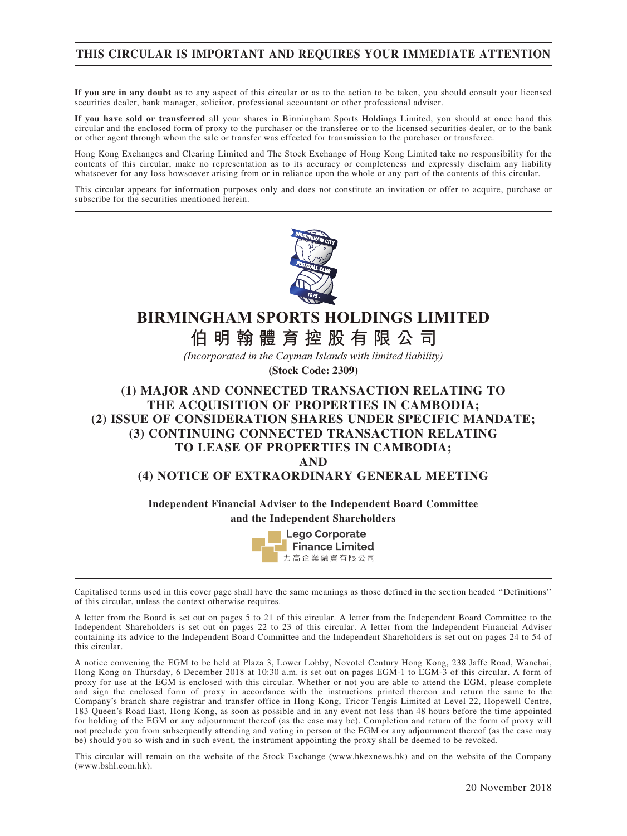### THIS CIRCULAR IS IMPORTANT AND REQUIRES YOUR IMMEDIATE ATTENTION

If you are in any doubt as to any aspect of this circular or as to the action to be taken, you should consult your licensed securities dealer, bank manager, solicitor, professional accountant or other professional adviser.

If you have sold or transferred all your shares in Birmingham Sports Holdings Limited, you should at once hand this circular and the enclosed form of proxy to the purchaser or the transferee or to the licensed securities dealer, or to the bank or other agent through whom the sale or transfer was effected for transmission to the purchaser or transferee.

Hong Kong Exchanges and Clearing Limited and The Stock Exchange of Hong Kong Limited take no responsibility for the contents of this circular, make no representation as to its accuracy or completeness and expressly disclaim any liability whatsoever for any loss howsoever arising from or in reliance upon the whole or any part of the contents of this circular.

This circular appears for information purposes only and does not constitute an invitation or offer to acquire, purchase or subscribe for the securities mentioned herein.



# **BIRMINGHAM SPORTS HOLDINGS LIMITED**

**AIR 的一个字句的**是一个字的一个字 **伯明翰體育控股有限公司**

*(Incorporated in the Cayman Islands with limited liability)*

**(Stock Code: 2309)**

### (1) MAJOR AND CONNECTED TRANSACTION RELATING TO THE ACQUISITION OF PROPERTIES IN CAMBODIA; (2) ISSUE OF CONSIDERATION SHARES UNDER SPECIFIC MANDATE; (3) CONTINUING CONNECTED TRANSACTION RELATING TO LEASE OF PROPERTIES IN CAMBODIA; AND

### (4) NOTICE OF EXTRAORDINARY GENERAL MEETING

Independent Financial Adviser to the Independent Board Committee and the Independent Shareholders



Capitalised terms used in this cover page shall have the same meanings as those defined in the section headed ''Definitions'' of this circular, unless the context otherwise requires.

A letter from the Board is set out on pages 5 to 21 of this circular. A letter from the Independent Board Committee to the Independent Shareholders is set out on pages 22 to 23 of this circular. A letter from the Independent Financial Adviser containing its advice to the Independent Board Committee and the Independent Shareholders is set out on pages 24 to 54 of this circular.

A notice convening the EGM to be held at Plaza 3, Lower Lobby, Novotel Century Hong Kong, 238 Jaffe Road, Wanchai, Hong Kong on Thursday, 6 December 2018 at 10:30 a.m. is set out on pages EGM-1 to EGM-3 of this circular. A form of proxy for use at the EGM is enclosed with this circular. Whether or not you are able to attend the EGM, please complete and sign the enclosed form of proxy in accordance with the instructions printed thereon and return the same to the Company's branch share registrar and transfer office in Hong Kong, Tricor Tengis Limited at Level 22, Hopewell Centre, 183 Queen's Road East, Hong Kong, as soon as possible and in any event not less than 48 hours before the time appointed for holding of the EGM or any adjournment thereof (as the case may be). Completion and return of the form of proxy will not preclude you from subsequently attending and voting in person at the EGM or any adjournment thereof (as the case may be) should you so wish and in such event, the instrument appointing the proxy shall be deemed to be revoked.

This circular will remain on the website of the Stock Exchange (www.hkexnews.hk) and on the website of the Company (www.bshl.com.hk).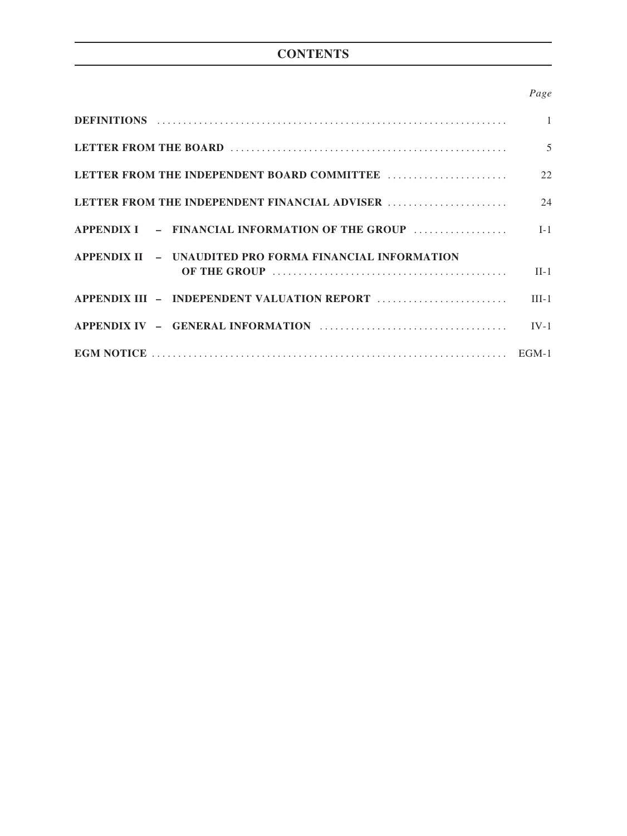# **CONTENTS**

### Page

|                                                         | $5\overline{)}$ |
|---------------------------------------------------------|-----------------|
|                                                         |                 |
|                                                         |                 |
|                                                         |                 |
| APPENDIX II - UNAUDITED PRO FORMA FINANCIAL INFORMATION | $\Pi-1$         |
|                                                         |                 |
|                                                         |                 |
|                                                         |                 |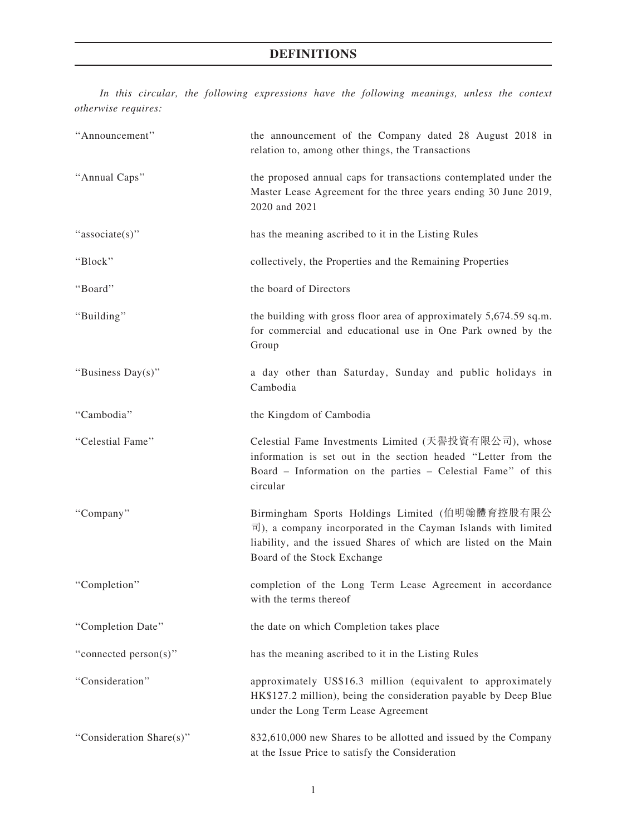In this circular, the following expressions have the following meanings, unless the context otherwise requires:

| "Announcement"           | the announcement of the Company dated 28 August 2018 in<br>relation to, among other things, the Transactions                                                                                                                              |
|--------------------------|-------------------------------------------------------------------------------------------------------------------------------------------------------------------------------------------------------------------------------------------|
| "Annual Caps"            | the proposed annual caps for transactions contemplated under the<br>Master Lease Agreement for the three years ending 30 June 2019,<br>2020 and 2021                                                                                      |
| "associate(s)"           | has the meaning ascribed to it in the Listing Rules                                                                                                                                                                                       |
| "Block"                  | collectively, the Properties and the Remaining Properties                                                                                                                                                                                 |
| "Board"                  | the board of Directors                                                                                                                                                                                                                    |
| "Building"               | the building with gross floor area of approximately 5,674.59 sq.m.<br>for commercial and educational use in One Park owned by the<br>Group                                                                                                |
| "Business Day(s)"        | a day other than Saturday, Sunday and public holidays in<br>Cambodia                                                                                                                                                                      |
| "Cambodia"               | the Kingdom of Cambodia                                                                                                                                                                                                                   |
| "Celestial Fame"         | Celestial Fame Investments Limited (天譽投資有限公司), whose<br>information is set out in the section headed "Letter from the<br>Board - Information on the parties - Celestial Fame" of this<br>circular                                         |
| "Company"                | Birmingham Sports Holdings Limited (伯明翰體育控股有限公<br>$\overline{\mathbb{E}}$ ), a company incorporated in the Cayman Islands with limited<br>liability, and the issued Shares of which are listed on the Main<br>Board of the Stock Exchange |
| "Completion"             | completion of the Long Term Lease Agreement in accordance<br>with the terms thereof                                                                                                                                                       |
| "Completion Date"        | the date on which Completion takes place                                                                                                                                                                                                  |
| "connected person(s)"    | has the meaning ascribed to it in the Listing Rules                                                                                                                                                                                       |
| "Consideration"          | approximately US\$16.3 million (equivalent to approximately<br>HK\$127.2 million), being the consideration payable by Deep Blue<br>under the Long Term Lease Agreement                                                                    |
| "Consideration Share(s)" | 832,610,000 new Shares to be allotted and issued by the Company<br>at the Issue Price to satisfy the Consideration                                                                                                                        |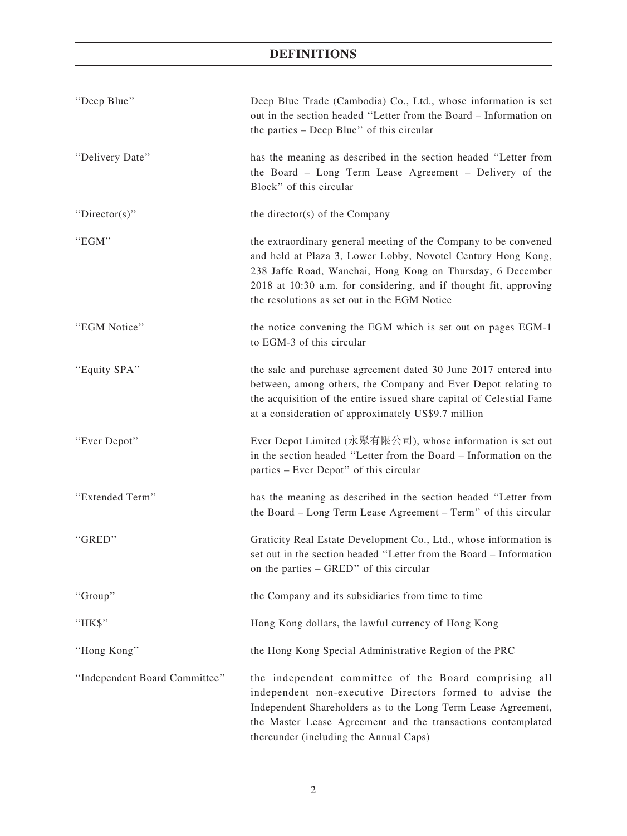| "Deep Blue"                   | Deep Blue Trade (Cambodia) Co., Ltd., whose information is set<br>out in the section headed "Letter from the Board - Information on<br>the parties - Deep Blue" of this circular                                                                                                                                   |
|-------------------------------|--------------------------------------------------------------------------------------------------------------------------------------------------------------------------------------------------------------------------------------------------------------------------------------------------------------------|
| "Delivery Date"               | has the meaning as described in the section headed "Letter from<br>the Board - Long Term Lease Agreement - Delivery of the<br>Block" of this circular                                                                                                                                                              |
| "Director(s)"                 | the director(s) of the Company                                                                                                                                                                                                                                                                                     |
| "EGM"                         | the extraordinary general meeting of the Company to be convened<br>and held at Plaza 3, Lower Lobby, Novotel Century Hong Kong,<br>238 Jaffe Road, Wanchai, Hong Kong on Thursday, 6 December<br>2018 at 10:30 a.m. for considering, and if thought fit, approving<br>the resolutions as set out in the EGM Notice |
| "EGM Notice"                  | the notice convening the EGM which is set out on pages EGM-1<br>to EGM-3 of this circular                                                                                                                                                                                                                          |
| "Equity SPA"                  | the sale and purchase agreement dated 30 June 2017 entered into<br>between, among others, the Company and Ever Depot relating to<br>the acquisition of the entire issued share capital of Celestial Fame<br>at a consideration of approximately US\$9.7 million                                                    |
| "Ever Depot"                  | Ever Depot Limited (永聚有限公司), whose information is set out<br>in the section headed "Letter from the Board - Information on the<br>parties – Ever Depot" of this circular                                                                                                                                           |
| "Extended Term"               | has the meaning as described in the section headed "Letter from<br>the Board – Long Term Lease Agreement – Term" of this circular                                                                                                                                                                                  |
| "GRED"                        | Graticity Real Estate Development Co., Ltd., whose information is<br>set out in the section headed "Letter from the Board - Information<br>on the parties – GRED" of this circular                                                                                                                                 |
| "Group"                       | the Company and its subsidiaries from time to time                                                                                                                                                                                                                                                                 |
| "HK\$"                        | Hong Kong dollars, the lawful currency of Hong Kong                                                                                                                                                                                                                                                                |
| "Hong Kong"                   | the Hong Kong Special Administrative Region of the PRC                                                                                                                                                                                                                                                             |
| "Independent Board Committee" | the independent committee of the Board comprising all<br>independent non-executive Directors formed to advise the<br>Independent Shareholders as to the Long Term Lease Agreement,<br>the Master Lease Agreement and the transactions contemplated<br>thereunder (including the Annual Caps)                       |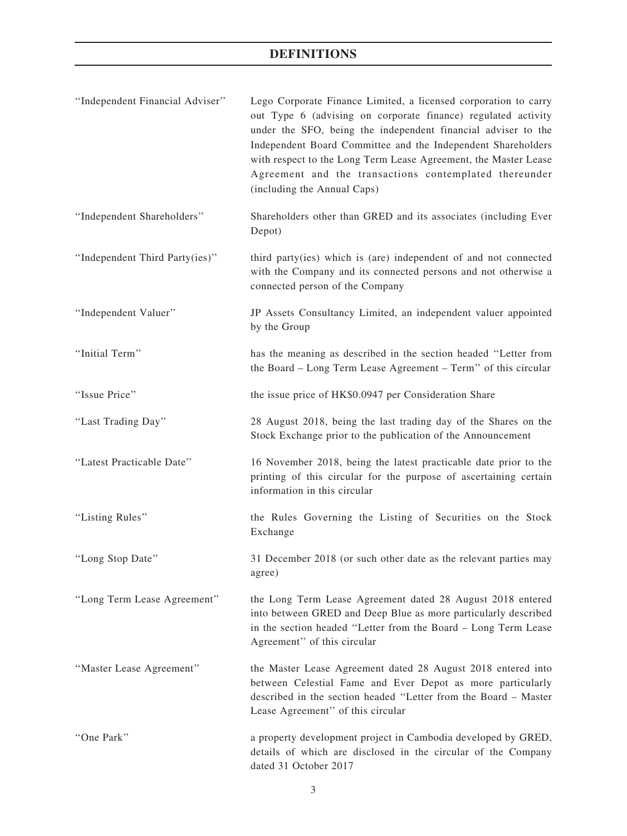| "Independent Financial Adviser" | Lego Corporate Finance Limited, a licensed corporation to carry<br>out Type 6 (advising on corporate finance) regulated activity<br>under the SFO, being the independent financial adviser to the<br>Independent Board Committee and the Independent Shareholders<br>with respect to the Long Term Lease Agreement, the Master Lease<br>Agreement and the transactions contemplated thereunder<br>(including the Annual Caps) |
|---------------------------------|-------------------------------------------------------------------------------------------------------------------------------------------------------------------------------------------------------------------------------------------------------------------------------------------------------------------------------------------------------------------------------------------------------------------------------|
| "Independent Shareholders"      | Shareholders other than GRED and its associates (including Ever<br>Depot)                                                                                                                                                                                                                                                                                                                                                     |
| "Independent Third Party(ies)"  | third party(ies) which is (are) independent of and not connected<br>with the Company and its connected persons and not otherwise a<br>connected person of the Company                                                                                                                                                                                                                                                         |
| "Independent Valuer"            | JP Assets Consultancy Limited, an independent valuer appointed<br>by the Group                                                                                                                                                                                                                                                                                                                                                |
| "Initial Term"                  | has the meaning as described in the section headed "Letter from<br>the Board - Long Term Lease Agreement - Term" of this circular                                                                                                                                                                                                                                                                                             |
| "Issue Price"                   | the issue price of HK\$0.0947 per Consideration Share                                                                                                                                                                                                                                                                                                                                                                         |
| "Last Trading Day"              | 28 August 2018, being the last trading day of the Shares on the<br>Stock Exchange prior to the publication of the Announcement                                                                                                                                                                                                                                                                                                |
| "Latest Practicable Date"       | 16 November 2018, being the latest practicable date prior to the<br>printing of this circular for the purpose of ascertaining certain<br>information in this circular                                                                                                                                                                                                                                                         |
| "Listing Rules"                 | the Rules Governing the Listing of Securities on the Stock<br>Exchange                                                                                                                                                                                                                                                                                                                                                        |
| "Long Stop Date"                | 31 December 2018 (or such other date as the relevant parties may<br>agree)                                                                                                                                                                                                                                                                                                                                                    |
| "Long Term Lease Agreement"     | the Long Term Lease Agreement dated 28 August 2018 entered<br>into between GRED and Deep Blue as more particularly described<br>in the section headed "Letter from the Board - Long Term Lease<br>Agreement" of this circular                                                                                                                                                                                                 |
| "Master Lease Agreement"        | the Master Lease Agreement dated 28 August 2018 entered into<br>between Celestial Fame and Ever Depot as more particularly<br>described in the section headed "Letter from the Board - Master<br>Lease Agreement" of this circular                                                                                                                                                                                            |
| "One Park"                      | a property development project in Cambodia developed by GRED,<br>details of which are disclosed in the circular of the Company<br>dated 31 October 2017                                                                                                                                                                                                                                                                       |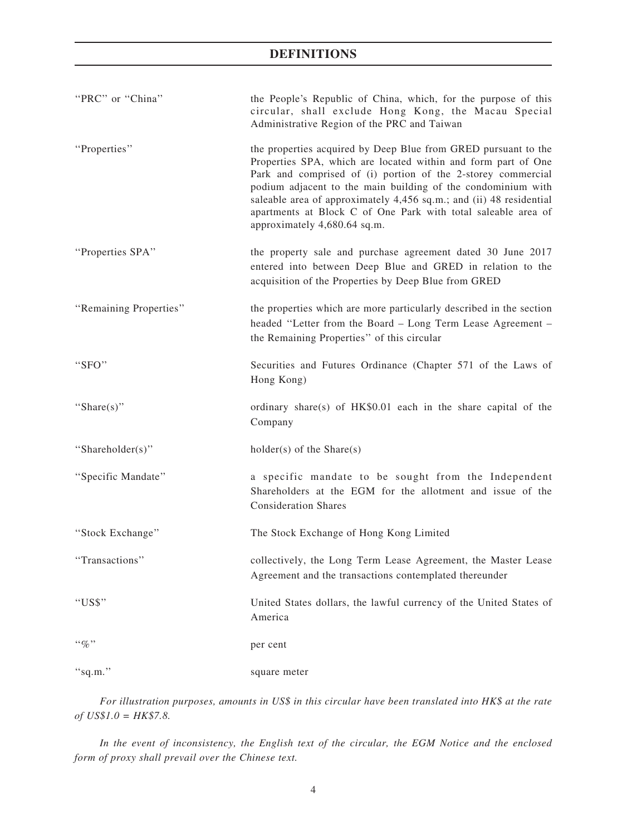| "PRC" or "China"       | the People's Republic of China, which, for the purpose of this<br>circular, shall exclude Hong Kong, the Macau Special<br>Administrative Region of the PRC and Taiwan                                                                                                                                                                                                                                                                   |
|------------------------|-----------------------------------------------------------------------------------------------------------------------------------------------------------------------------------------------------------------------------------------------------------------------------------------------------------------------------------------------------------------------------------------------------------------------------------------|
| "Properties"           | the properties acquired by Deep Blue from GRED pursuant to the<br>Properties SPA, which are located within and form part of One<br>Park and comprised of (i) portion of the 2-storey commercial<br>podium adjacent to the main building of the condominium with<br>saleable area of approximately 4,456 sq.m.; and (ii) 48 residential<br>apartments at Block C of One Park with total saleable area of<br>approximately 4,680.64 sq.m. |
| "Properties SPA"       | the property sale and purchase agreement dated 30 June 2017<br>entered into between Deep Blue and GRED in relation to the<br>acquisition of the Properties by Deep Blue from GRED                                                                                                                                                                                                                                                       |
| "Remaining Properties" | the properties which are more particularly described in the section<br>headed "Letter from the Board - Long Term Lease Agreement -<br>the Remaining Properties" of this circular                                                                                                                                                                                                                                                        |
| "SFO"                  | Securities and Futures Ordinance (Chapter 571 of the Laws of<br>Hong Kong)                                                                                                                                                                                                                                                                                                                                                              |
| "Share $(s)$ "         | ordinary share(s) of HK\$0.01 each in the share capital of the<br>Company                                                                                                                                                                                                                                                                                                                                                               |
| "Shareholder(s)"       | $holder(s)$ of the Share $(s)$                                                                                                                                                                                                                                                                                                                                                                                                          |
| "Specific Mandate"     | a specific mandate to be sought from the Independent<br>Shareholders at the EGM for the allotment and issue of the<br><b>Consideration Shares</b>                                                                                                                                                                                                                                                                                       |
| "Stock Exchange"       | The Stock Exchange of Hong Kong Limited                                                                                                                                                                                                                                                                                                                                                                                                 |
| "Transactions"         | collectively, the Long Term Lease Agreement, the Master Lease<br>Agreement and the transactions contemplated thereunder                                                                                                                                                                                                                                                                                                                 |
| "US\$"                 | United States dollars, the lawful currency of the United States of<br>America                                                                                                                                                                                                                                                                                                                                                           |
| $``q_0"$               | per cent                                                                                                                                                                                                                                                                                                                                                                                                                                |
| "sq.m."                | square meter                                                                                                                                                                                                                                                                                                                                                                                                                            |
|                        |                                                                                                                                                                                                                                                                                                                                                                                                                                         |

For illustration purposes, amounts in US\$ in this circular have been translated into HK\$ at the rate  $of US$1.0 = HK$7.8.$ 

In the event of inconsistency, the English text of the circular, the EGM Notice and the enclosed form of proxy shall prevail over the Chinese text.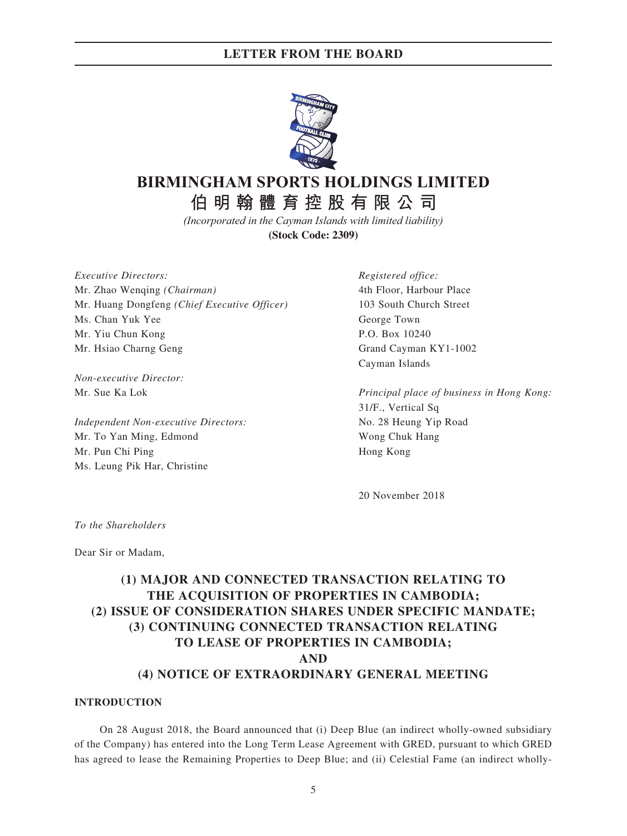

# **AIR的健**宫协职右阳八司

**伯明翰體育控股有限公司**

*(Incorporated in the Cayman Islands with limited liability)*

**(Stock Code: 2309)**

Executive Directors: Mr. Zhao Wenqing (Chairman) Mr. Huang Dongfeng (Chief Executive Officer) Ms. Chan Yuk Yee Mr. Yiu Chun Kong Mr. Hsiao Charng Geng

Non-executive Director: Mr. Sue Ka Lok

Independent Non-executive Directors: Mr. To Yan Ming, Edmond Mr. Pun Chi Ping Ms. Leung Pik Har, Christine

Registered office: 4th Floor, Harbour Place 103 South Church Street George Town P.O. Box 10240 Grand Cayman KY1-1002 Cayman Islands

Principal place of business in Hong Kong: 31/F., Vertical Sq No. 28 Heung Yip Road Wong Chuk Hang Hong Kong

20 November 2018

To the Shareholders

Dear Sir or Madam,

# (1) MAJOR AND CONNECTED TRANSACTION RELATING TO THE ACQUISITION OF PROPERTIES IN CAMBODIA; (2) ISSUE OF CONSIDERATION SHARES UNDER SPECIFIC MANDATE; (3) CONTINUING CONNECTED TRANSACTION RELATING TO LEASE OF PROPERTIES IN CAMBODIA; AND (4) NOTICE OF EXTRAORDINARY GENERAL MEETING

#### INTRODUCTION

On 28 August 2018, the Board announced that (i) Deep Blue (an indirect wholly-owned subsidiary of the Company) has entered into the Long Term Lease Agreement with GRED, pursuant to which GRED has agreed to lease the Remaining Properties to Deep Blue; and (ii) Celestial Fame (an indirect wholly-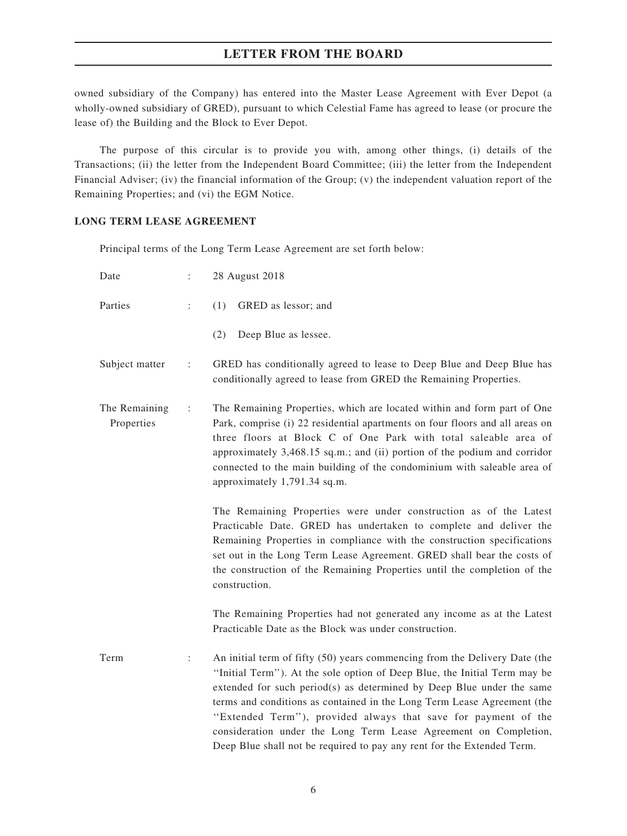owned subsidiary of the Company) has entered into the Master Lease Agreement with Ever Depot (a wholly-owned subsidiary of GRED), pursuant to which Celestial Fame has agreed to lease (or procure the lease of) the Building and the Block to Ever Depot.

The purpose of this circular is to provide you with, among other things, (i) details of the Transactions; (ii) the letter from the Independent Board Committee; (iii) the letter from the Independent Financial Adviser; (iv) the financial information of the Group; (v) the independent valuation report of the Remaining Properties; and (vi) the EGM Notice.

### LONG TERM LEASE AGREEMENT

Principal terms of the Long Term Lease Agreement are set forth below:

| Date                        | $\ddot{\cdot}$       | 28 August 2018                                                                                                                                                                                                                                                                                                                                                                                                                                                                                                              |
|-----------------------------|----------------------|-----------------------------------------------------------------------------------------------------------------------------------------------------------------------------------------------------------------------------------------------------------------------------------------------------------------------------------------------------------------------------------------------------------------------------------------------------------------------------------------------------------------------------|
| Parties                     | ÷                    | (1)<br>GRED as lessor; and                                                                                                                                                                                                                                                                                                                                                                                                                                                                                                  |
|                             |                      | (2)<br>Deep Blue as lessee.                                                                                                                                                                                                                                                                                                                                                                                                                                                                                                 |
| Subject matter              | $\ddot{\phantom{a}}$ | GRED has conditionally agreed to lease to Deep Blue and Deep Blue has<br>conditionally agreed to lease from GRED the Remaining Properties.                                                                                                                                                                                                                                                                                                                                                                                  |
| The Remaining<br>Properties | ÷                    | The Remaining Properties, which are located within and form part of One<br>Park, comprise (i) 22 residential apartments on four floors and all areas on<br>three floors at Block C of One Park with total saleable area of<br>approximately 3,468.15 sq.m.; and (ii) portion of the podium and corridor<br>connected to the main building of the condominium with saleable area of<br>approximately 1,791.34 sq.m.                                                                                                          |
|                             |                      | The Remaining Properties were under construction as of the Latest<br>Practicable Date. GRED has undertaken to complete and deliver the<br>Remaining Properties in compliance with the construction specifications<br>set out in the Long Term Lease Agreement. GRED shall bear the costs of<br>the construction of the Remaining Properties until the completion of the<br>construction.                                                                                                                                    |
|                             |                      | The Remaining Properties had not generated any income as at the Latest<br>Practicable Date as the Block was under construction.                                                                                                                                                                                                                                                                                                                                                                                             |
| Term                        | :                    | An initial term of fifty (50) years commencing from the Delivery Date (the<br>"Initial Term"). At the sole option of Deep Blue, the Initial Term may be<br>extended for such period(s) as determined by Deep Blue under the same<br>terms and conditions as contained in the Long Term Lease Agreement (the<br>"Extended Term"), provided always that save for payment of the<br>consideration under the Long Term Lease Agreement on Completion,<br>Deep Blue shall not be required to pay any rent for the Extended Term. |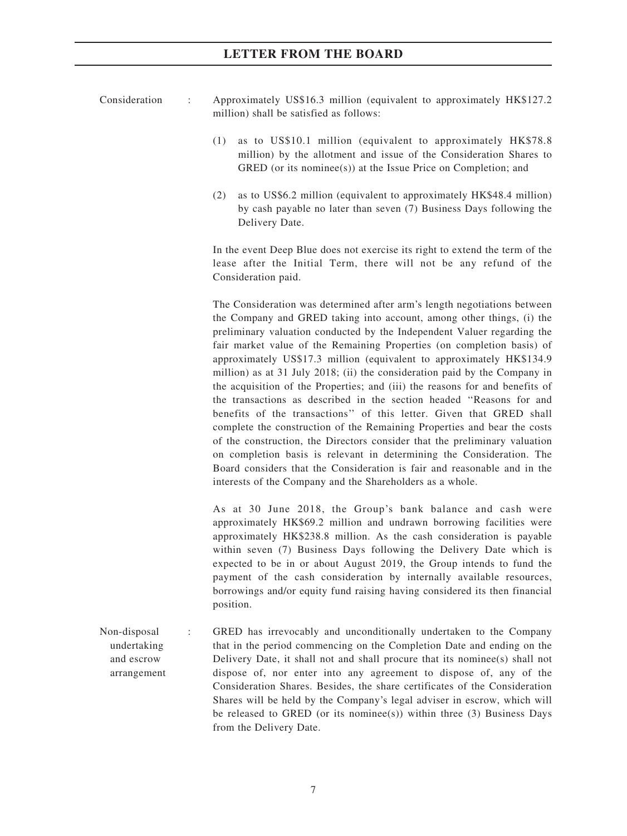| Consideration | Approximately US\$16.3 million (equivalent to approximately HK\$127.2 |  |
|---------------|-----------------------------------------------------------------------|--|
|               | million) shall be satisfied as follows:                               |  |

- (1) as to US\$10.1 million (equivalent to approximately HK\$78.8 million) by the allotment and issue of the Consideration Shares to GRED (or its nominee(s)) at the Issue Price on Completion; and
- (2) as to US\$6.2 million (equivalent to approximately HK\$48.4 million) by cash payable no later than seven (7) Business Days following the Delivery Date.

In the event Deep Blue does not exercise its right to extend the term of the lease after the Initial Term, there will not be any refund of the Consideration paid.

The Consideration was determined after arm's length negotiations between the Company and GRED taking into account, among other things, (i) the preliminary valuation conducted by the Independent Valuer regarding the fair market value of the Remaining Properties (on completion basis) of approximately US\$17.3 million (equivalent to approximately HK\$134.9 million) as at 31 July 2018; (ii) the consideration paid by the Company in the acquisition of the Properties; and (iii) the reasons for and benefits of the transactions as described in the section headed ''Reasons for and benefits of the transactions'' of this letter. Given that GRED shall complete the construction of the Remaining Properties and bear the costs of the construction, the Directors consider that the preliminary valuation on completion basis is relevant in determining the Consideration. The Board considers that the Consideration is fair and reasonable and in the interests of the Company and the Shareholders as a whole.

As at 30 June 2018, the Group's bank balance and cash were approximately HK\$69.2 million and undrawn borrowing facilities were approximately HK\$238.8 million. As the cash consideration is payable within seven (7) Business Days following the Delivery Date which is expected to be in or about August 2019, the Group intends to fund the payment of the cash consideration by internally available resources, borrowings and/or equity fund raising having considered its then financial position.

Non-disposal undertaking and escrow arrangement : GRED has irrevocably and unconditionally undertaken to the Company that in the period commencing on the Completion Date and ending on the Delivery Date, it shall not and shall procure that its nominee(s) shall not dispose of, nor enter into any agreement to dispose of, any of the Consideration Shares. Besides, the share certificates of the Consideration Shares will be held by the Company's legal adviser in escrow, which will be released to GRED (or its nominee(s)) within three  $(3)$  Business Days from the Delivery Date.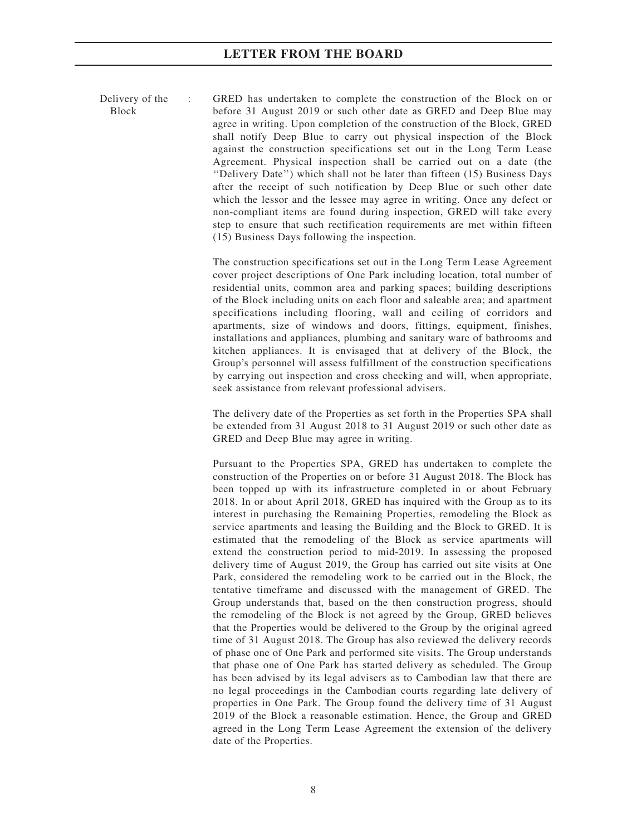Delivery of the Block

: GRED has undertaken to complete the construction of the Block on or before 31 August 2019 or such other date as GRED and Deep Blue may agree in writing. Upon completion of the construction of the Block, GRED shall notify Deep Blue to carry out physical inspection of the Block against the construction specifications set out in the Long Term Lease Agreement. Physical inspection shall be carried out on a date (the ''Delivery Date'') which shall not be later than fifteen (15) Business Days after the receipt of such notification by Deep Blue or such other date which the lessor and the lessee may agree in writing. Once any defect or non-compliant items are found during inspection, GRED will take every step to ensure that such rectification requirements are met within fifteen (15) Business Days following the inspection.

The construction specifications set out in the Long Term Lease Agreement cover project descriptions of One Park including location, total number of residential units, common area and parking spaces; building descriptions of the Block including units on each floor and saleable area; and apartment specifications including flooring, wall and ceiling of corridors and apartments, size of windows and doors, fittings, equipment, finishes, installations and appliances, plumbing and sanitary ware of bathrooms and kitchen appliances. It is envisaged that at delivery of the Block, the Group's personnel will assess fulfillment of the construction specifications by carrying out inspection and cross checking and will, when appropriate, seek assistance from relevant professional advisers.

The delivery date of the Properties as set forth in the Properties SPA shall be extended from 31 August 2018 to 31 August 2019 or such other date as GRED and Deep Blue may agree in writing.

Pursuant to the Properties SPA, GRED has undertaken to complete the construction of the Properties on or before 31 August 2018. The Block has been topped up with its infrastructure completed in or about February 2018. In or about April 2018, GRED has inquired with the Group as to its interest in purchasing the Remaining Properties, remodeling the Block as service apartments and leasing the Building and the Block to GRED. It is estimated that the remodeling of the Block as service apartments will extend the construction period to mid-2019. In assessing the proposed delivery time of August 2019, the Group has carried out site visits at One Park, considered the remodeling work to be carried out in the Block, the tentative timeframe and discussed with the management of GRED. The Group understands that, based on the then construction progress, should the remodeling of the Block is not agreed by the Group, GRED believes that the Properties would be delivered to the Group by the original agreed time of 31 August 2018. The Group has also reviewed the delivery records of phase one of One Park and performed site visits. The Group understands that phase one of One Park has started delivery as scheduled. The Group has been advised by its legal advisers as to Cambodian law that there are no legal proceedings in the Cambodian courts regarding late delivery of properties in One Park. The Group found the delivery time of 31 August 2019 of the Block a reasonable estimation. Hence, the Group and GRED agreed in the Long Term Lease Agreement the extension of the delivery date of the Properties.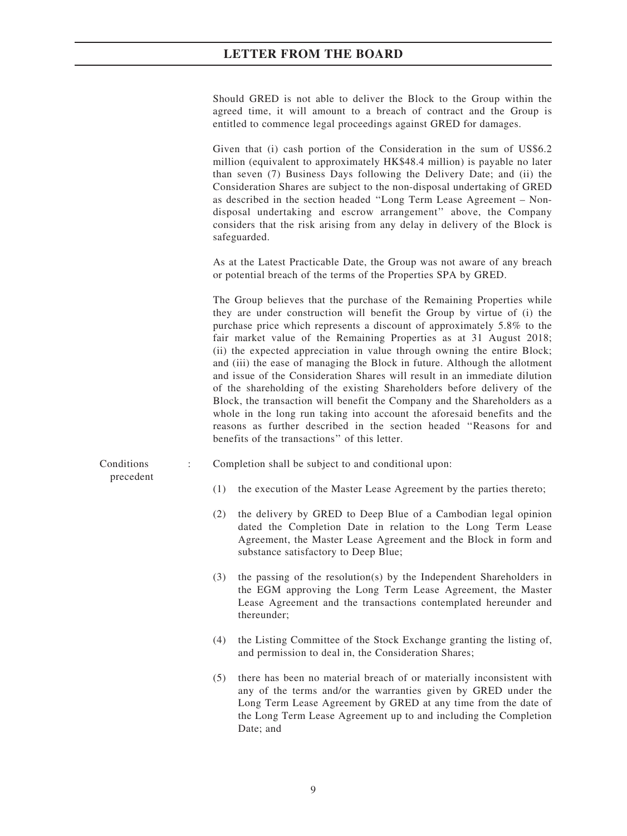Should GRED is not able to deliver the Block to the Group within the agreed time, it will amount to a breach of contract and the Group is entitled to commence legal proceedings against GRED for damages.

Given that (i) cash portion of the Consideration in the sum of US\$6.2 million (equivalent to approximately HK\$48.4 million) is payable no later than seven (7) Business Days following the Delivery Date; and (ii) the Consideration Shares are subject to the non-disposal undertaking of GRED as described in the section headed ''Long Term Lease Agreement – Nondisposal undertaking and escrow arrangement'' above, the Company considers that the risk arising from any delay in delivery of the Block is safeguarded.

As at the Latest Practicable Date, the Group was not aware of any breach or potential breach of the terms of the Properties SPA by GRED.

The Group believes that the purchase of the Remaining Properties while they are under construction will benefit the Group by virtue of (i) the purchase price which represents a discount of approximately 5.8% to the fair market value of the Remaining Properties as at 31 August 2018; (ii) the expected appreciation in value through owning the entire Block; and (iii) the ease of managing the Block in future. Although the allotment and issue of the Consideration Shares will result in an immediate dilution of the shareholding of the existing Shareholders before delivery of the Block, the transaction will benefit the Company and the Shareholders as a whole in the long run taking into account the aforesaid benefits and the reasons as further described in the section headed ''Reasons for and benefits of the transactions'' of this letter.

: Completion shall be subject to and conditional upon:

(1) the execution of the Master Lease Agreement by the parties thereto;

- (2) the delivery by GRED to Deep Blue of a Cambodian legal opinion dated the Completion Date in relation to the Long Term Lease Agreement, the Master Lease Agreement and the Block in form and substance satisfactory to Deep Blue;
- (3) the passing of the resolution(s) by the Independent Shareholders in the EGM approving the Long Term Lease Agreement, the Master Lease Agreement and the transactions contemplated hereunder and thereunder;
- (4) the Listing Committee of the Stock Exchange granting the listing of, and permission to deal in, the Consideration Shares;
- (5) there has been no material breach of or materially inconsistent with any of the terms and/or the warranties given by GRED under the Long Term Lease Agreement by GRED at any time from the date of the Long Term Lease Agreement up to and including the Completion Date; and

Conditions precedent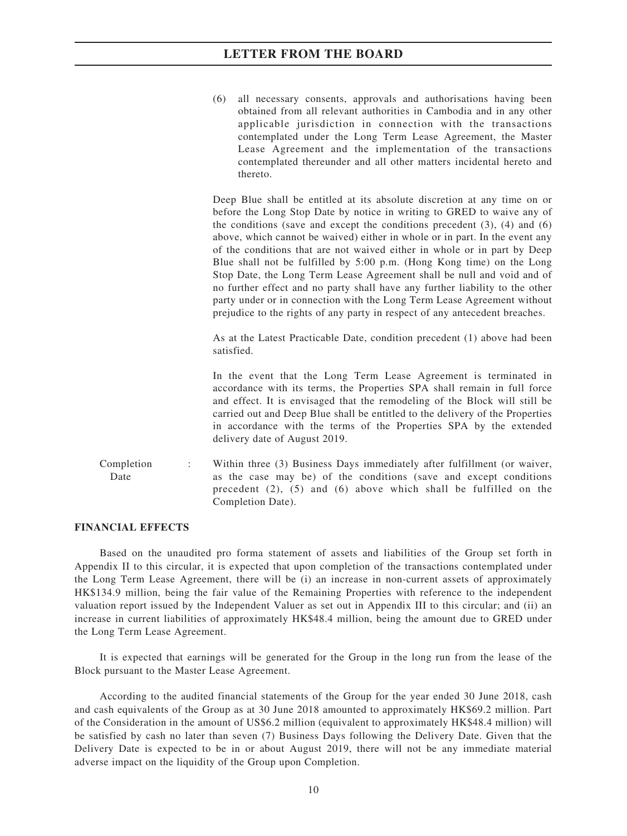(6) all necessary consents, approvals and authorisations having been obtained from all relevant authorities in Cambodia and in any other applicable jurisdiction in connection with the transactions contemplated under the Long Term Lease Agreement, the Master Lease Agreement and the implementation of the transactions contemplated thereunder and all other matters incidental hereto and thereto.

Deep Blue shall be entitled at its absolute discretion at any time on or before the Long Stop Date by notice in writing to GRED to waive any of the conditions (save and except the conditions precedent  $(3)$ ,  $(4)$  and  $(6)$ above, which cannot be waived) either in whole or in part. In the event any of the conditions that are not waived either in whole or in part by Deep Blue shall not be fulfilled by 5:00 p.m. (Hong Kong time) on the Long Stop Date, the Long Term Lease Agreement shall be null and void and of no further effect and no party shall have any further liability to the other party under or in connection with the Long Term Lease Agreement without prejudice to the rights of any party in respect of any antecedent breaches.

As at the Latest Practicable Date, condition precedent (1) above had been satisfied.

In the event that the Long Term Lease Agreement is terminated in accordance with its terms, the Properties SPA shall remain in full force and effect. It is envisaged that the remodeling of the Block will still be carried out and Deep Blue shall be entitled to the delivery of the Properties in accordance with the terms of the Properties SPA by the extended delivery date of August 2019.

Completion Date : Within three (3) Business Days immediately after fulfillment (or waiver, as the case may be) of the conditions (save and except conditions precedent (2), (5) and (6) above which shall be fulfilled on the Completion Date).

#### FINANCIAL EFFECTS

Based on the unaudited pro forma statement of assets and liabilities of the Group set forth in Appendix II to this circular, it is expected that upon completion of the transactions contemplated under the Long Term Lease Agreement, there will be (i) an increase in non-current assets of approximately HK\$134.9 million, being the fair value of the Remaining Properties with reference to the independent valuation report issued by the Independent Valuer as set out in Appendix III to this circular; and (ii) an increase in current liabilities of approximately HK\$48.4 million, being the amount due to GRED under the Long Term Lease Agreement.

It is expected that earnings will be generated for the Group in the long run from the lease of the Block pursuant to the Master Lease Agreement.

According to the audited financial statements of the Group for the year ended 30 June 2018, cash and cash equivalents of the Group as at 30 June 2018 amounted to approximately HK\$69.2 million. Part of the Consideration in the amount of US\$6.2 million (equivalent to approximately HK\$48.4 million) will be satisfied by cash no later than seven (7) Business Days following the Delivery Date. Given that the Delivery Date is expected to be in or about August 2019, there will not be any immediate material adverse impact on the liquidity of the Group upon Completion.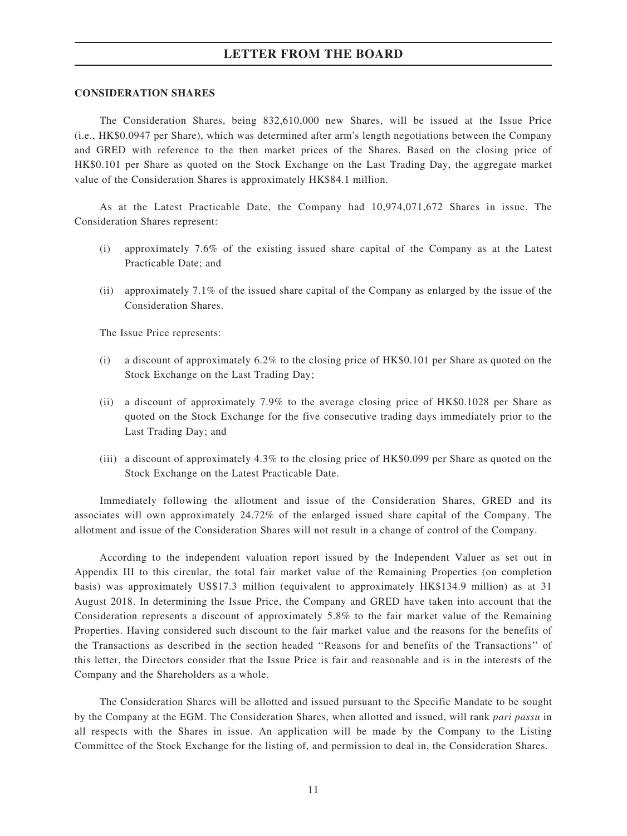#### CONSIDERATION SHARES

The Consideration Shares, being 832,610,000 new Shares, will be issued at the Issue Price (i.e., HK\$0.0947 per Share), which was determined after arm's length negotiations between the Company and GRED with reference to the then market prices of the Shares. Based on the closing price of HK\$0.101 per Share as quoted on the Stock Exchange on the Last Trading Day, the aggregate market value of the Consideration Shares is approximately HK\$84.1 million.

As at the Latest Practicable Date, the Company had 10,974,071,672 Shares in issue. The Consideration Shares represent:

- (i) approximately 7.6% of the existing issued share capital of the Company as at the Latest Practicable Date; and
- (ii) approximately 7.1% of the issued share capital of the Company as enlarged by the issue of the Consideration Shares.

The Issue Price represents:

- (i) a discount of approximately 6.2% to the closing price of HK\$0.101 per Share as quoted on the Stock Exchange on the Last Trading Day;
- (ii) a discount of approximately 7.9% to the average closing price of HK\$0.1028 per Share as quoted on the Stock Exchange for the five consecutive trading days immediately prior to the Last Trading Day; and
- (iii) a discount of approximately 4.3% to the closing price of HK\$0.099 per Share as quoted on the Stock Exchange on the Latest Practicable Date.

Immediately following the allotment and issue of the Consideration Shares, GRED and its associates will own approximately 24.72% of the enlarged issued share capital of the Company. The allotment and issue of the Consideration Shares will not result in a change of control of the Company.

According to the independent valuation report issued by the Independent Valuer as set out in Appendix III to this circular, the total fair market value of the Remaining Properties (on completion basis) was approximately US\$17.3 million (equivalent to approximately HK\$134.9 million) as at 31 August 2018. In determining the Issue Price, the Company and GRED have taken into account that the Consideration represents a discount of approximately 5.8% to the fair market value of the Remaining Properties. Having considered such discount to the fair market value and the reasons for the benefits of the Transactions as described in the section headed ''Reasons for and benefits of the Transactions'' of this letter, the Directors consider that the Issue Price is fair and reasonable and is in the interests of the Company and the Shareholders as a whole.

The Consideration Shares will be allotted and issued pursuant to the Specific Mandate to be sought by the Company at the EGM. The Consideration Shares, when allotted and issued, will rank pari passu in all respects with the Shares in issue. An application will be made by the Company to the Listing Committee of the Stock Exchange for the listing of, and permission to deal in, the Consideration Shares.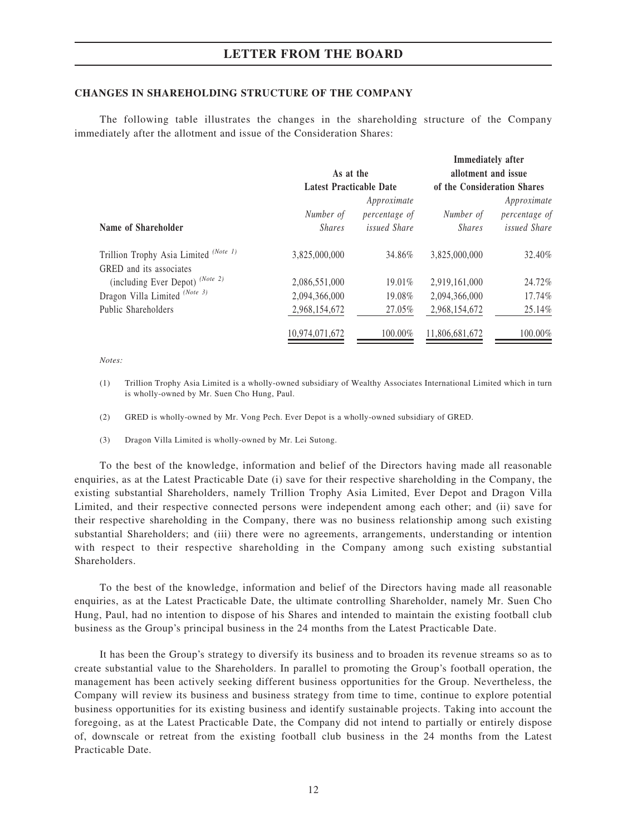#### CHANGES IN SHAREHOLDING STRUCTURE OF THE COMPANY

The following table illustrates the changes in the shareholding structure of the Company immediately after the allotment and issue of the Consideration Shares:

|                                       |                                |                              | <b>Immediately after</b>    |                              |
|---------------------------------------|--------------------------------|------------------------------|-----------------------------|------------------------------|
|                                       | As at the                      |                              | allotment and issue         |                              |
|                                       | <b>Latest Practicable Date</b> |                              | of the Consideration Shares |                              |
|                                       | Number of                      | Approximate<br>percentage of | Number of                   | Approximate<br>percentage of |
| Name of Shareholder                   | <i>Shares</i>                  | <i>issued Share</i>          | <i>Shares</i>               | <i>issued Share</i>          |
| Trillion Trophy Asia Limited (Note 1) | 3,825,000,000                  | 34.86%                       | 3.825,000,000               | 32.40%                       |
| GRED and its associates               |                                |                              |                             |                              |
| (including Ever Depot) (Note 2)       | 2,086,551,000                  | $19.01\%$                    | 2.919.161.000               | 24.72%                       |
| Dragon Villa Limited (Note 3)         | 2,094,366,000                  | 19.08%                       | 2,094,366,000               | 17.74%                       |
| Public Shareholders                   | 2,968,154,672                  | 27.05%                       | 2,968,154,672               | 25.14%                       |
|                                       | 10,974,071,672                 | 100.00%                      | 11,806,681,672              | 100.00%                      |

Notes:

- (1) Trillion Trophy Asia Limited is a wholly-owned subsidiary of Wealthy Associates International Limited which in turn is wholly-owned by Mr. Suen Cho Hung, Paul.
- (2) GRED is wholly-owned by Mr. Vong Pech. Ever Depot is a wholly-owned subsidiary of GRED.
- (3) Dragon Villa Limited is wholly-owned by Mr. Lei Sutong.

To the best of the knowledge, information and belief of the Directors having made all reasonable enquiries, as at the Latest Practicable Date (i) save for their respective shareholding in the Company, the existing substantial Shareholders, namely Trillion Trophy Asia Limited, Ever Depot and Dragon Villa Limited, and their respective connected persons were independent among each other; and (ii) save for their respective shareholding in the Company, there was no business relationship among such existing substantial Shareholders; and (iii) there were no agreements, arrangements, understanding or intention with respect to their respective shareholding in the Company among such existing substantial **Shareholders** 

To the best of the knowledge, information and belief of the Directors having made all reasonable enquiries, as at the Latest Practicable Date, the ultimate controlling Shareholder, namely Mr. Suen Cho Hung, Paul, had no intention to dispose of his Shares and intended to maintain the existing football club business as the Group's principal business in the 24 months from the Latest Practicable Date.

It has been the Group's strategy to diversify its business and to broaden its revenue streams so as to create substantial value to the Shareholders. In parallel to promoting the Group's football operation, the management has been actively seeking different business opportunities for the Group. Nevertheless, the Company will review its business and business strategy from time to time, continue to explore potential business opportunities for its existing business and identify sustainable projects. Taking into account the foregoing, as at the Latest Practicable Date, the Company did not intend to partially or entirely dispose of, downscale or retreat from the existing football club business in the 24 months from the Latest Practicable Date.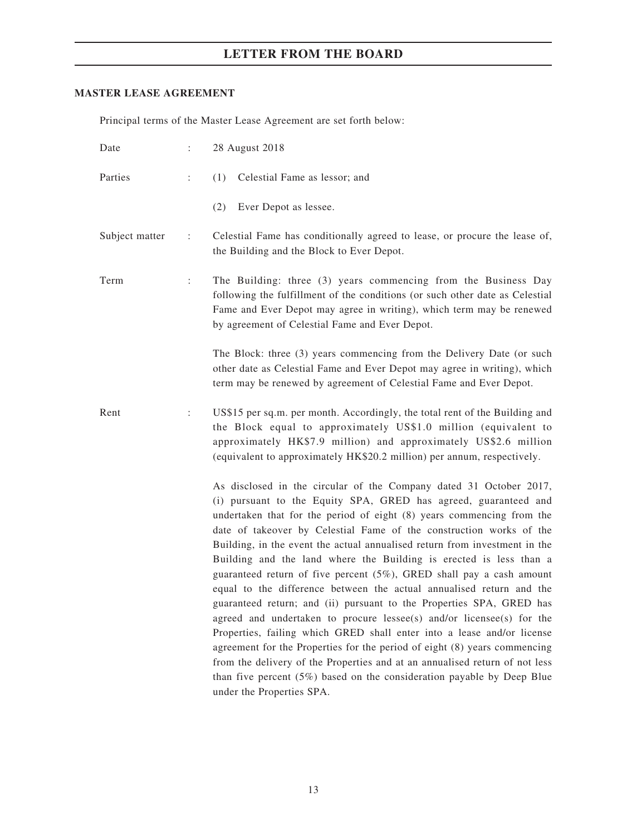### MASTER LEASE AGREEMENT

Principal terms of the Master Lease Agreement are set forth below:

| Date           | $\ddot{\cdot}$       | 28 August 2018                                                                                                                                                                                                                                                                                                                                                                                                                                                                                                                                                                                                                                                                                                                                                                                                                                                                                                                                                                                                                                                                                 |
|----------------|----------------------|------------------------------------------------------------------------------------------------------------------------------------------------------------------------------------------------------------------------------------------------------------------------------------------------------------------------------------------------------------------------------------------------------------------------------------------------------------------------------------------------------------------------------------------------------------------------------------------------------------------------------------------------------------------------------------------------------------------------------------------------------------------------------------------------------------------------------------------------------------------------------------------------------------------------------------------------------------------------------------------------------------------------------------------------------------------------------------------------|
| Parties        | $\ddot{\phantom{a}}$ | (1) Celestial Fame as lessor; and                                                                                                                                                                                                                                                                                                                                                                                                                                                                                                                                                                                                                                                                                                                                                                                                                                                                                                                                                                                                                                                              |
|                |                      | (2)<br>Ever Depot as lessee.                                                                                                                                                                                                                                                                                                                                                                                                                                                                                                                                                                                                                                                                                                                                                                                                                                                                                                                                                                                                                                                                   |
| Subject matter | ÷                    | Celestial Fame has conditionally agreed to lease, or procure the lease of,<br>the Building and the Block to Ever Depot.                                                                                                                                                                                                                                                                                                                                                                                                                                                                                                                                                                                                                                                                                                                                                                                                                                                                                                                                                                        |
| Term           | $\ddot{\phantom{a}}$ | The Building: three (3) years commencing from the Business Day<br>following the fulfillment of the conditions (or such other date as Celestial<br>Fame and Ever Depot may agree in writing), which term may be renewed<br>by agreement of Celestial Fame and Ever Depot.                                                                                                                                                                                                                                                                                                                                                                                                                                                                                                                                                                                                                                                                                                                                                                                                                       |
|                |                      | The Block: three (3) years commencing from the Delivery Date (or such<br>other date as Celestial Fame and Ever Depot may agree in writing), which<br>term may be renewed by agreement of Celestial Fame and Ever Depot.                                                                                                                                                                                                                                                                                                                                                                                                                                                                                                                                                                                                                                                                                                                                                                                                                                                                        |
| Rent           | $\ddot{\phantom{a}}$ | US\$15 per sq.m. per month. Accordingly, the total rent of the Building and<br>the Block equal to approximately US\$1.0 million (equivalent to<br>approximately HK\$7.9 million) and approximately US\$2.6 million<br>(equivalent to approximately HK\$20.2 million) per annum, respectively.                                                                                                                                                                                                                                                                                                                                                                                                                                                                                                                                                                                                                                                                                                                                                                                                  |
|                |                      | As disclosed in the circular of the Company dated 31 October 2017,<br>(i) pursuant to the Equity SPA, GRED has agreed, guaranteed and<br>undertaken that for the period of eight (8) years commencing from the<br>date of takeover by Celestial Fame of the construction works of the<br>Building, in the event the actual annualised return from investment in the<br>Building and the land where the Building is erected is less than a<br>guaranteed return of five percent $(5\%)$ , GRED shall pay a cash amount<br>equal to the difference between the actual annualised return and the<br>guaranteed return; and (ii) pursuant to the Properties SPA, GRED has<br>agreed and undertaken to procure lessee(s) and/or licensee(s) for the<br>Properties, failing which GRED shall enter into a lease and/or license<br>agreement for the Properties for the period of eight (8) years commencing<br>from the delivery of the Properties and at an annualised return of not less<br>than five percent $(5\%)$ based on the consideration payable by Deep Blue<br>under the Properties SPA. |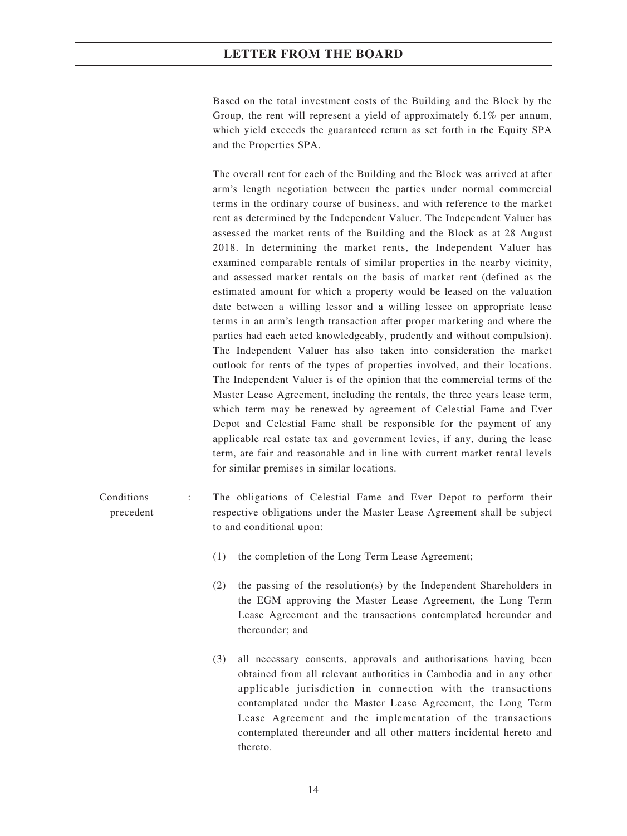Based on the total investment costs of the Building and the Block by the Group, the rent will represent a yield of approximately 6.1% per annum, which yield exceeds the guaranteed return as set forth in the Equity SPA and the Properties SPA.

The overall rent for each of the Building and the Block was arrived at after arm's length negotiation between the parties under normal commercial terms in the ordinary course of business, and with reference to the market rent as determined by the Independent Valuer. The Independent Valuer has assessed the market rents of the Building and the Block as at 28 August 2018. In determining the market rents, the Independent Valuer has examined comparable rentals of similar properties in the nearby vicinity, and assessed market rentals on the basis of market rent (defined as the estimated amount for which a property would be leased on the valuation date between a willing lessor and a willing lessee on appropriate lease terms in an arm's length transaction after proper marketing and where the parties had each acted knowledgeably, prudently and without compulsion). The Independent Valuer has also taken into consideration the market outlook for rents of the types of properties involved, and their locations. The Independent Valuer is of the opinion that the commercial terms of the Master Lease Agreement, including the rentals, the three years lease term, which term may be renewed by agreement of Celestial Fame and Ever Depot and Celestial Fame shall be responsible for the payment of any applicable real estate tax and government levies, if any, during the lease term, are fair and reasonable and in line with current market rental levels for similar premises in similar locations.

- Conditions precedent The obligations of Celestial Fame and Ever Depot to perform their respective obligations under the Master Lease Agreement shall be subject to and conditional upon:
	- (1) the completion of the Long Term Lease Agreement;
	- (2) the passing of the resolution(s) by the Independent Shareholders in the EGM approving the Master Lease Agreement, the Long Term Lease Agreement and the transactions contemplated hereunder and thereunder; and
	- (3) all necessary consents, approvals and authorisations having been obtained from all relevant authorities in Cambodia and in any other applicable jurisdiction in connection with the transactions contemplated under the Master Lease Agreement, the Long Term Lease Agreement and the implementation of the transactions contemplated thereunder and all other matters incidental hereto and thereto.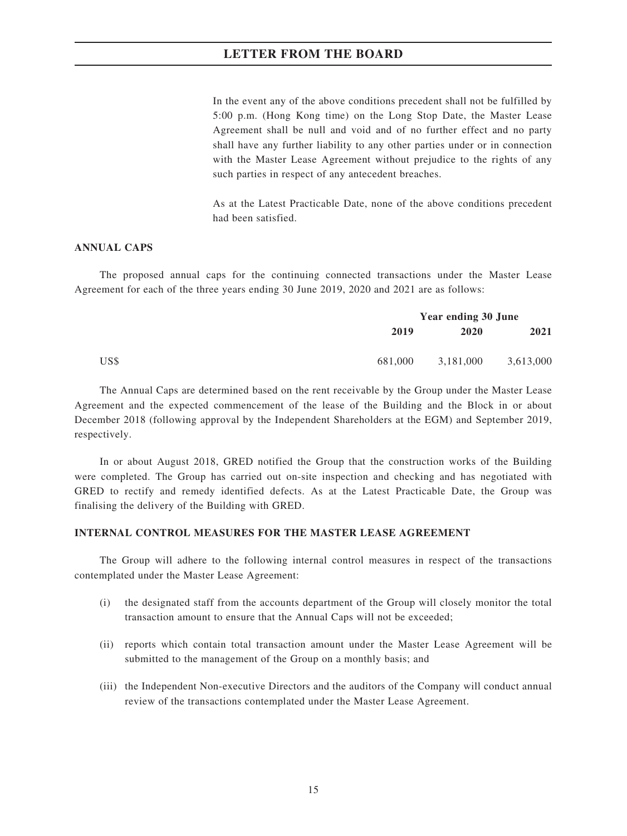In the event any of the above conditions precedent shall not be fulfilled by 5:00 p.m. (Hong Kong time) on the Long Stop Date, the Master Lease Agreement shall be null and void and of no further effect and no party shall have any further liability to any other parties under or in connection with the Master Lease Agreement without prejudice to the rights of any such parties in respect of any antecedent breaches.

As at the Latest Practicable Date, none of the above conditions precedent had been satisfied.

#### ANNUAL CAPS

The proposed annual caps for the continuing connected transactions under the Master Lease Agreement for each of the three years ending 30 June 2019, 2020 and 2021 are as follows:

|      |         | <b>Year ending 30 June</b> |           |  |
|------|---------|----------------------------|-----------|--|
|      | 2019    | 2020                       | 2021      |  |
| US\$ | 681,000 | 3.181.000                  | 3,613,000 |  |

The Annual Caps are determined based on the rent receivable by the Group under the Master Lease Agreement and the expected commencement of the lease of the Building and the Block in or about December 2018 (following approval by the Independent Shareholders at the EGM) and September 2019, respectively.

In or about August 2018, GRED notified the Group that the construction works of the Building were completed. The Group has carried out on-site inspection and checking and has negotiated with GRED to rectify and remedy identified defects. As at the Latest Practicable Date, the Group was finalising the delivery of the Building with GRED.

#### INTERNAL CONTROL MEASURES FOR THE MASTER LEASE AGREEMENT

The Group will adhere to the following internal control measures in respect of the transactions contemplated under the Master Lease Agreement:

- (i) the designated staff from the accounts department of the Group will closely monitor the total transaction amount to ensure that the Annual Caps will not be exceeded;
- (ii) reports which contain total transaction amount under the Master Lease Agreement will be submitted to the management of the Group on a monthly basis; and
- (iii) the Independent Non-executive Directors and the auditors of the Company will conduct annual review of the transactions contemplated under the Master Lease Agreement.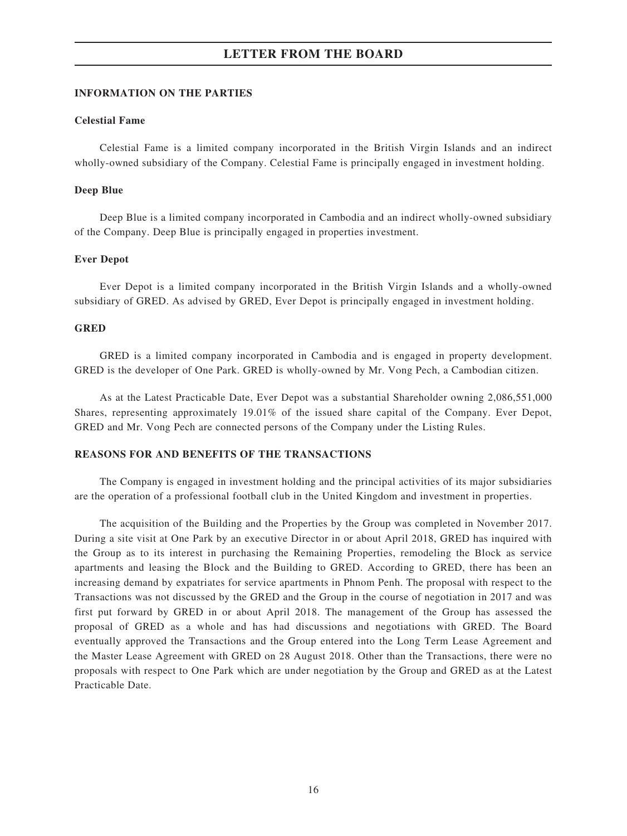#### INFORMATION ON THE PARTIES

#### Celestial Fame

Celestial Fame is a limited company incorporated in the British Virgin Islands and an indirect wholly-owned subsidiary of the Company. Celestial Fame is principally engaged in investment holding.

#### Deep Blue

Deep Blue is a limited company incorporated in Cambodia and an indirect wholly-owned subsidiary of the Company. Deep Blue is principally engaged in properties investment.

#### Ever Depot

Ever Depot is a limited company incorporated in the British Virgin Islands and a wholly-owned subsidiary of GRED. As advised by GRED, Ever Depot is principally engaged in investment holding.

#### GRED

GRED is a limited company incorporated in Cambodia and is engaged in property development. GRED is the developer of One Park. GRED is wholly-owned by Mr. Vong Pech, a Cambodian citizen.

As at the Latest Practicable Date, Ever Depot was a substantial Shareholder owning 2,086,551,000 Shares, representing approximately 19.01% of the issued share capital of the Company. Ever Depot, GRED and Mr. Vong Pech are connected persons of the Company under the Listing Rules.

#### REASONS FOR AND BENEFITS OF THE TRANSACTIONS

The Company is engaged in investment holding and the principal activities of its major subsidiaries are the operation of a professional football club in the United Kingdom and investment in properties.

The acquisition of the Building and the Properties by the Group was completed in November 2017. During a site visit at One Park by an executive Director in or about April 2018, GRED has inquired with the Group as to its interest in purchasing the Remaining Properties, remodeling the Block as service apartments and leasing the Block and the Building to GRED. According to GRED, there has been an increasing demand by expatriates for service apartments in Phnom Penh. The proposal with respect to the Transactions was not discussed by the GRED and the Group in the course of negotiation in 2017 and was first put forward by GRED in or about April 2018. The management of the Group has assessed the proposal of GRED as a whole and has had discussions and negotiations with GRED. The Board eventually approved the Transactions and the Group entered into the Long Term Lease Agreement and the Master Lease Agreement with GRED on 28 August 2018. Other than the Transactions, there were no proposals with respect to One Park which are under negotiation by the Group and GRED as at the Latest Practicable Date.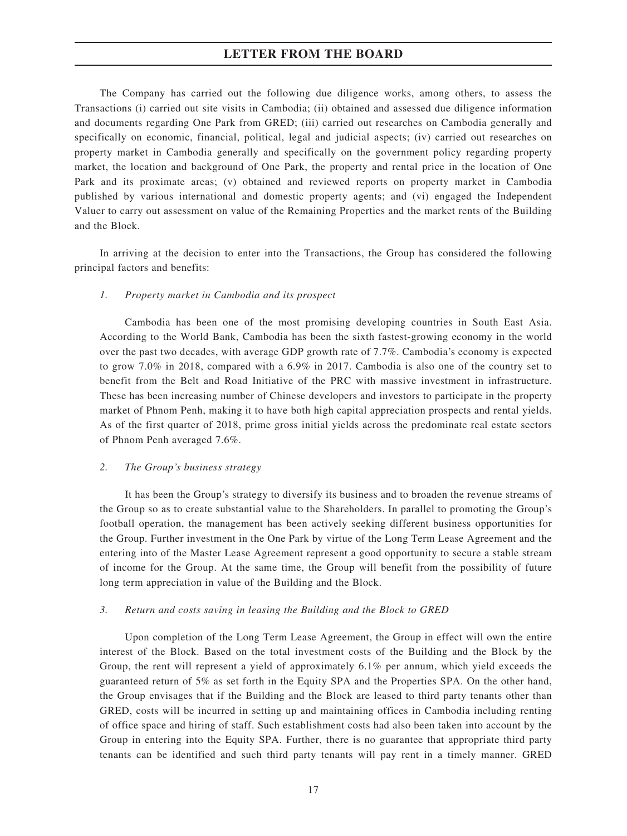The Company has carried out the following due diligence works, among others, to assess the Transactions (i) carried out site visits in Cambodia; (ii) obtained and assessed due diligence information and documents regarding One Park from GRED; (iii) carried out researches on Cambodia generally and specifically on economic, financial, political, legal and judicial aspects; (iv) carried out researches on property market in Cambodia generally and specifically on the government policy regarding property market, the location and background of One Park, the property and rental price in the location of One Park and its proximate areas; (v) obtained and reviewed reports on property market in Cambodia published by various international and domestic property agents; and (vi) engaged the Independent Valuer to carry out assessment on value of the Remaining Properties and the market rents of the Building and the Block.

In arriving at the decision to enter into the Transactions, the Group has considered the following principal factors and benefits:

#### 1. Property market in Cambodia and its prospect

Cambodia has been one of the most promising developing countries in South East Asia. According to the World Bank, Cambodia has been the sixth fastest-growing economy in the world over the past two decades, with average GDP growth rate of 7.7%. Cambodia's economy is expected to grow 7.0% in 2018, compared with a 6.9% in 2017. Cambodia is also one of the country set to benefit from the Belt and Road Initiative of the PRC with massive investment in infrastructure. These has been increasing number of Chinese developers and investors to participate in the property market of Phnom Penh, making it to have both high capital appreciation prospects and rental yields. As of the first quarter of 2018, prime gross initial yields across the predominate real estate sectors of Phnom Penh averaged 7.6%.

#### 2. The Group's business strategy

It has been the Group's strategy to diversify its business and to broaden the revenue streams of the Group so as to create substantial value to the Shareholders. In parallel to promoting the Group's football operation, the management has been actively seeking different business opportunities for the Group. Further investment in the One Park by virtue of the Long Term Lease Agreement and the entering into of the Master Lease Agreement represent a good opportunity to secure a stable stream of income for the Group. At the same time, the Group will benefit from the possibility of future long term appreciation in value of the Building and the Block.

#### 3. Return and costs saving in leasing the Building and the Block to GRED

Upon completion of the Long Term Lease Agreement, the Group in effect will own the entire interest of the Block. Based on the total investment costs of the Building and the Block by the Group, the rent will represent a yield of approximately 6.1% per annum, which yield exceeds the guaranteed return of 5% as set forth in the Equity SPA and the Properties SPA. On the other hand, the Group envisages that if the Building and the Block are leased to third party tenants other than GRED, costs will be incurred in setting up and maintaining offices in Cambodia including renting of office space and hiring of staff. Such establishment costs had also been taken into account by the Group in entering into the Equity SPA. Further, there is no guarantee that appropriate third party tenants can be identified and such third party tenants will pay rent in a timely manner. GRED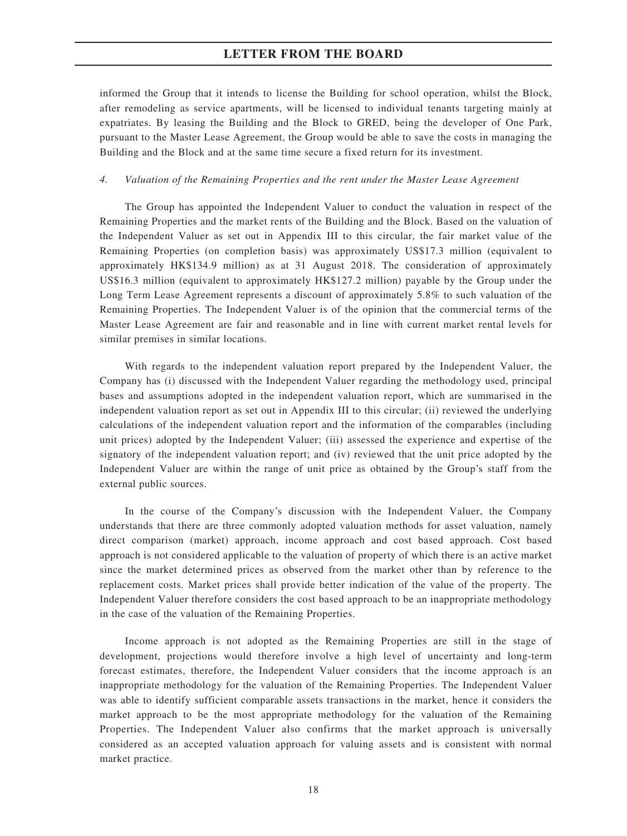informed the Group that it intends to license the Building for school operation, whilst the Block, after remodeling as service apartments, will be licensed to individual tenants targeting mainly at expatriates. By leasing the Building and the Block to GRED, being the developer of One Park, pursuant to the Master Lease Agreement, the Group would be able to save the costs in managing the Building and the Block and at the same time secure a fixed return for its investment.

#### 4. Valuation of the Remaining Properties and the rent under the Master Lease Agreement

The Group has appointed the Independent Valuer to conduct the valuation in respect of the Remaining Properties and the market rents of the Building and the Block. Based on the valuation of the Independent Valuer as set out in Appendix III to this circular, the fair market value of the Remaining Properties (on completion basis) was approximately US\$17.3 million (equivalent to approximately HK\$134.9 million) as at 31 August 2018. The consideration of approximately US\$16.3 million (equivalent to approximately HK\$127.2 million) payable by the Group under the Long Term Lease Agreement represents a discount of approximately 5.8% to such valuation of the Remaining Properties. The Independent Valuer is of the opinion that the commercial terms of the Master Lease Agreement are fair and reasonable and in line with current market rental levels for similar premises in similar locations.

With regards to the independent valuation report prepared by the Independent Valuer, the Company has (i) discussed with the Independent Valuer regarding the methodology used, principal bases and assumptions adopted in the independent valuation report, which are summarised in the independent valuation report as set out in Appendix III to this circular; (ii) reviewed the underlying calculations of the independent valuation report and the information of the comparables (including unit prices) adopted by the Independent Valuer; (iii) assessed the experience and expertise of the signatory of the independent valuation report; and (iv) reviewed that the unit price adopted by the Independent Valuer are within the range of unit price as obtained by the Group's staff from the external public sources.

In the course of the Company's discussion with the Independent Valuer, the Company understands that there are three commonly adopted valuation methods for asset valuation, namely direct comparison (market) approach, income approach and cost based approach. Cost based approach is not considered applicable to the valuation of property of which there is an active market since the market determined prices as observed from the market other than by reference to the replacement costs. Market prices shall provide better indication of the value of the property. The Independent Valuer therefore considers the cost based approach to be an inappropriate methodology in the case of the valuation of the Remaining Properties.

Income approach is not adopted as the Remaining Properties are still in the stage of development, projections would therefore involve a high level of uncertainty and long-term forecast estimates, therefore, the Independent Valuer considers that the income approach is an inappropriate methodology for the valuation of the Remaining Properties. The Independent Valuer was able to identify sufficient comparable assets transactions in the market, hence it considers the market approach to be the most appropriate methodology for the valuation of the Remaining Properties. The Independent Valuer also confirms that the market approach is universally considered as an accepted valuation approach for valuing assets and is consistent with normal market practice.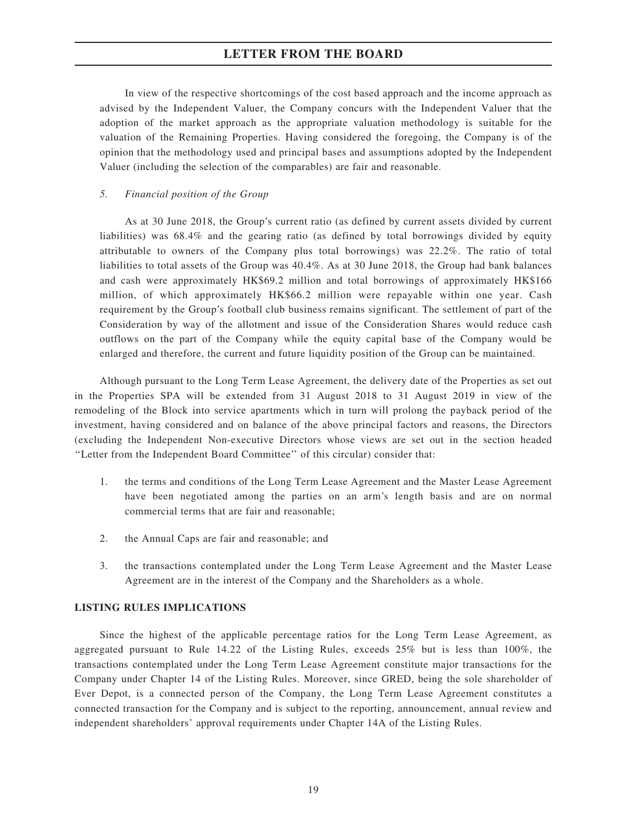In view of the respective shortcomings of the cost based approach and the income approach as advised by the Independent Valuer, the Company concurs with the Independent Valuer that the adoption of the market approach as the appropriate valuation methodology is suitable for the valuation of the Remaining Properties. Having considered the foregoing, the Company is of the opinion that the methodology used and principal bases and assumptions adopted by the Independent Valuer (including the selection of the comparables) are fair and reasonable.

#### 5. Financial position of the Group

As at 30 June 2018, the Group's current ratio (as defined by current assets divided by current liabilities) was 68.4% and the gearing ratio (as defined by total borrowings divided by equity attributable to owners of the Company plus total borrowings) was 22.2%. The ratio of total liabilities to total assets of the Group was 40.4%. As at 30 June 2018, the Group had bank balances and cash were approximately HK\$69.2 million and total borrowings of approximately HK\$166 million, of which approximately HK\$66.2 million were repayable within one year. Cash requirement by the Group's football club business remains significant. The settlement of part of the Consideration by way of the allotment and issue of the Consideration Shares would reduce cash outflows on the part of the Company while the equity capital base of the Company would be enlarged and therefore, the current and future liquidity position of the Group can be maintained.

Although pursuant to the Long Term Lease Agreement, the delivery date of the Properties as set out in the Properties SPA will be extended from 31 August 2018 to 31 August 2019 in view of the remodeling of the Block into service apartments which in turn will prolong the payback period of the investment, having considered and on balance of the above principal factors and reasons, the Directors (excluding the Independent Non-executive Directors whose views are set out in the section headed ''Letter from the Independent Board Committee'' of this circular) consider that:

- 1. the terms and conditions of the Long Term Lease Agreement and the Master Lease Agreement have been negotiated among the parties on an arm's length basis and are on normal commercial terms that are fair and reasonable;
- 2. the Annual Caps are fair and reasonable; and
- 3. the transactions contemplated under the Long Term Lease Agreement and the Master Lease Agreement are in the interest of the Company and the Shareholders as a whole.

#### LISTING RULES IMPLICATIONS

Since the highest of the applicable percentage ratios for the Long Term Lease Agreement, as aggregated pursuant to Rule 14.22 of the Listing Rules, exceeds 25% but is less than 100%, the transactions contemplated under the Long Term Lease Agreement constitute major transactions for the Company under Chapter 14 of the Listing Rules. Moreover, since GRED, being the sole shareholder of Ever Depot, is a connected person of the Company, the Long Term Lease Agreement constitutes a connected transaction for the Company and is subject to the reporting, announcement, annual review and independent shareholders' approval requirements under Chapter 14A of the Listing Rules.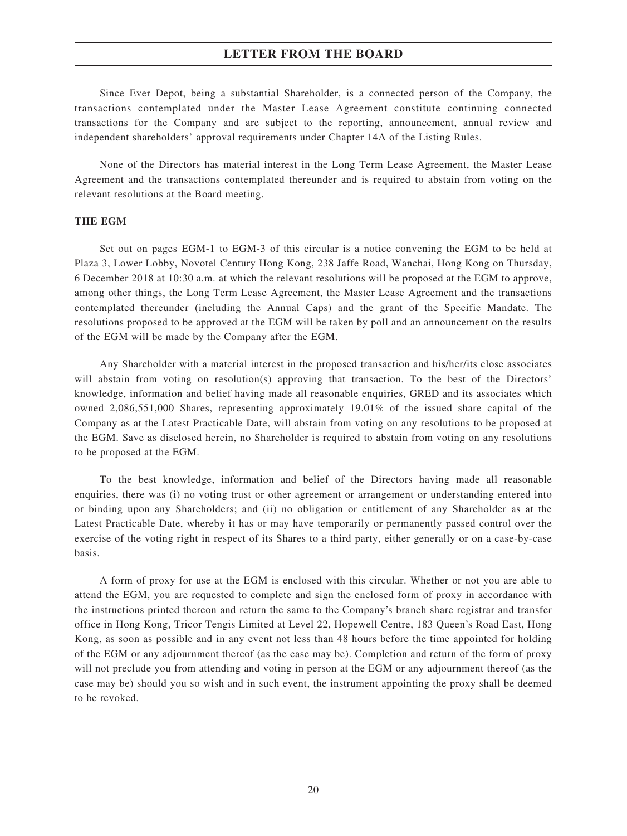Since Ever Depot, being a substantial Shareholder, is a connected person of the Company, the transactions contemplated under the Master Lease Agreement constitute continuing connected transactions for the Company and are subject to the reporting, announcement, annual review and independent shareholders' approval requirements under Chapter 14A of the Listing Rules.

None of the Directors has material interest in the Long Term Lease Agreement, the Master Lease Agreement and the transactions contemplated thereunder and is required to abstain from voting on the relevant resolutions at the Board meeting.

#### THE EGM

Set out on pages EGM-1 to EGM-3 of this circular is a notice convening the EGM to be held at Plaza 3, Lower Lobby, Novotel Century Hong Kong, 238 Jaffe Road, Wanchai, Hong Kong on Thursday, 6 December 2018 at 10:30 a.m. at which the relevant resolutions will be proposed at the EGM to approve, among other things, the Long Term Lease Agreement, the Master Lease Agreement and the transactions contemplated thereunder (including the Annual Caps) and the grant of the Specific Mandate. The resolutions proposed to be approved at the EGM will be taken by poll and an announcement on the results of the EGM will be made by the Company after the EGM.

Any Shareholder with a material interest in the proposed transaction and his/her/its close associates will abstain from voting on resolution(s) approving that transaction. To the best of the Directors' knowledge, information and belief having made all reasonable enquiries, GRED and its associates which owned 2,086,551,000 Shares, representing approximately 19.01% of the issued share capital of the Company as at the Latest Practicable Date, will abstain from voting on any resolutions to be proposed at the EGM. Save as disclosed herein, no Shareholder is required to abstain from voting on any resolutions to be proposed at the EGM.

To the best knowledge, information and belief of the Directors having made all reasonable enquiries, there was (i) no voting trust or other agreement or arrangement or understanding entered into or binding upon any Shareholders; and (ii) no obligation or entitlement of any Shareholder as at the Latest Practicable Date, whereby it has or may have temporarily or permanently passed control over the exercise of the voting right in respect of its Shares to a third party, either generally or on a case-by-case basis.

A form of proxy for use at the EGM is enclosed with this circular. Whether or not you are able to attend the EGM, you are requested to complete and sign the enclosed form of proxy in accordance with the instructions printed thereon and return the same to the Company's branch share registrar and transfer office in Hong Kong, Tricor Tengis Limited at Level 22, Hopewell Centre, 183 Queen's Road East, Hong Kong, as soon as possible and in any event not less than 48 hours before the time appointed for holding of the EGM or any adjournment thereof (as the case may be). Completion and return of the form of proxy will not preclude you from attending and voting in person at the EGM or any adjournment thereof (as the case may be) should you so wish and in such event, the instrument appointing the proxy shall be deemed to be revoked.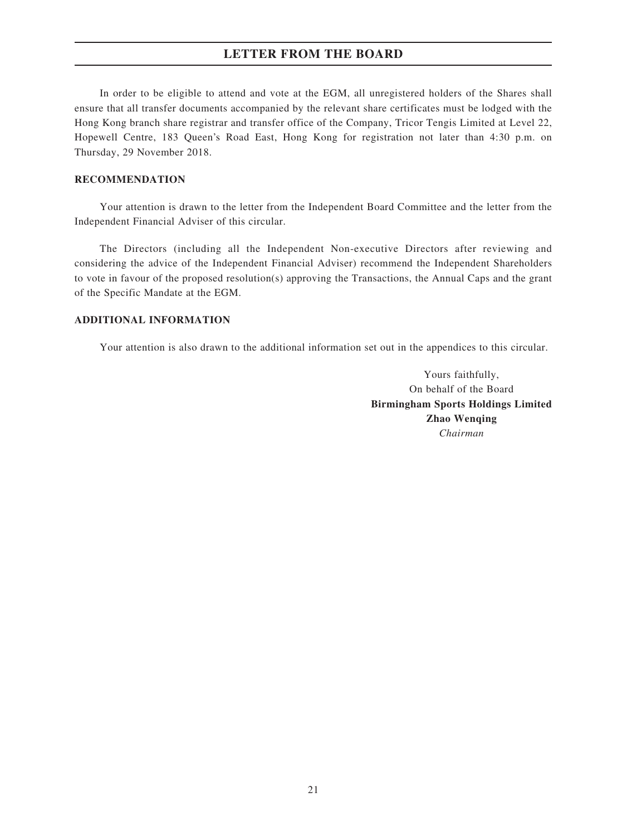In order to be eligible to attend and vote at the EGM, all unregistered holders of the Shares shall ensure that all transfer documents accompanied by the relevant share certificates must be lodged with the Hong Kong branch share registrar and transfer office of the Company, Tricor Tengis Limited at Level 22, Hopewell Centre, 183 Queen's Road East, Hong Kong for registration not later than 4:30 p.m. on Thursday, 29 November 2018.

#### RECOMMENDATION

Your attention is drawn to the letter from the Independent Board Committee and the letter from the Independent Financial Adviser of this circular.

The Directors (including all the Independent Non-executive Directors after reviewing and considering the advice of the Independent Financial Adviser) recommend the Independent Shareholders to vote in favour of the proposed resolution(s) approving the Transactions, the Annual Caps and the grant of the Specific Mandate at the EGM.

#### ADDITIONAL INFORMATION

Your attention is also drawn to the additional information set out in the appendices to this circular.

Yours faithfully, On behalf of the Board Birmingham Sports Holdings Limited Zhao Wenqing Chairman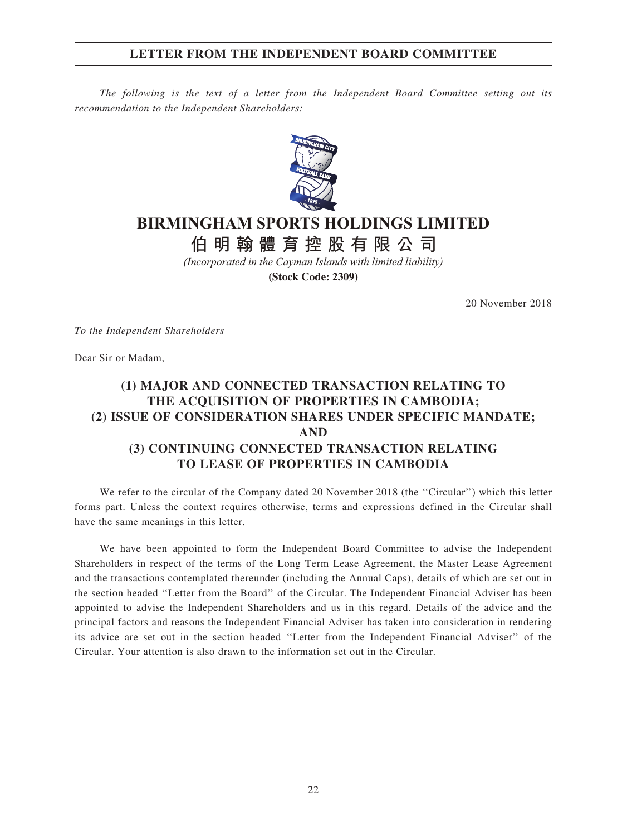### LETTER FROM THE INDEPENDENT BOARD COMMITTEE

The following is the text of a letter from the Independent Board Committee setting out its recommendation to the Independent Shareholders:



# **BIRMINGHAM SPORTS HOLDINGS LIMITED**

**AIR的健**宫协职右阳八司 **伯明翰體育控股有限公司**

*(Incorporated in the Cayman Islands with limited liability)* **(Stock Code: 2309)**

20 November 2018

To the Independent Shareholders

Dear Sir or Madam,

# (1) MAJOR AND CONNECTED TRANSACTION RELATING TO THE ACQUISITION OF PROPERTIES IN CAMBODIA; (2) ISSUE OF CONSIDERATION SHARES UNDER SPECIFIC MANDATE; AND (3) CONTINUING CONNECTED TRANSACTION RELATING TO LEASE OF PROPERTIES IN CAMBODIA

We refer to the circular of the Company dated 20 November 2018 (the "Circular") which this letter forms part. Unless the context requires otherwise, terms and expressions defined in the Circular shall have the same meanings in this letter.

We have been appointed to form the Independent Board Committee to advise the Independent Shareholders in respect of the terms of the Long Term Lease Agreement, the Master Lease Agreement and the transactions contemplated thereunder (including the Annual Caps), details of which are set out in the section headed ''Letter from the Board'' of the Circular. The Independent Financial Adviser has been appointed to advise the Independent Shareholders and us in this regard. Details of the advice and the principal factors and reasons the Independent Financial Adviser has taken into consideration in rendering its advice are set out in the section headed ''Letter from the Independent Financial Adviser'' of the Circular. Your attention is also drawn to the information set out in the Circular.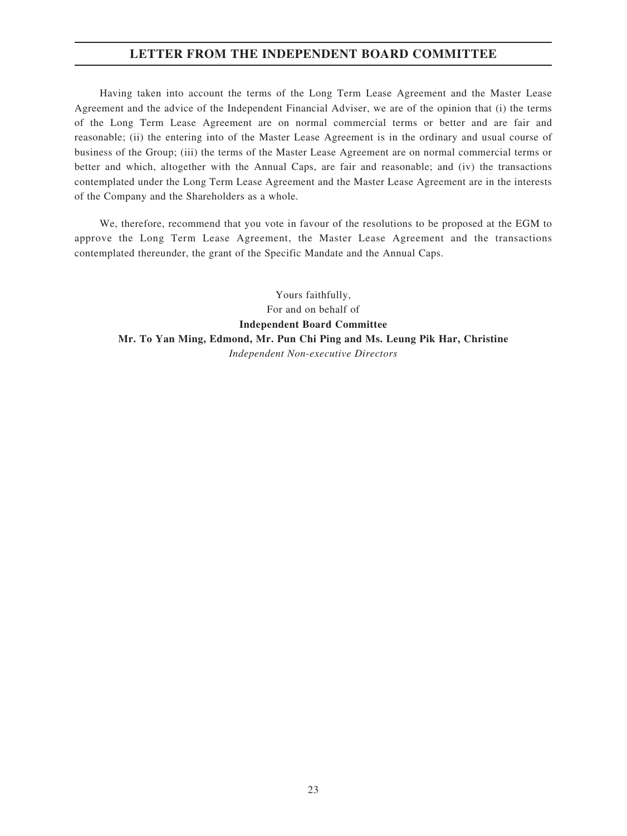### LETTER FROM THE INDEPENDENT BOARD COMMITTEE

Having taken into account the terms of the Long Term Lease Agreement and the Master Lease Agreement and the advice of the Independent Financial Adviser, we are of the opinion that (i) the terms of the Long Term Lease Agreement are on normal commercial terms or better and are fair and reasonable; (ii) the entering into of the Master Lease Agreement is in the ordinary and usual course of business of the Group; (iii) the terms of the Master Lease Agreement are on normal commercial terms or better and which, altogether with the Annual Caps, are fair and reasonable; and (iv) the transactions contemplated under the Long Term Lease Agreement and the Master Lease Agreement are in the interests of the Company and the Shareholders as a whole.

We, therefore, recommend that you vote in favour of the resolutions to be proposed at the EGM to approve the Long Term Lease Agreement, the Master Lease Agreement and the transactions contemplated thereunder, the grant of the Specific Mandate and the Annual Caps.

Yours faithfully, For and on behalf of Independent Board Committee Mr. To Yan Ming, Edmond, Mr. Pun Chi Ping and Ms. Leung Pik Har, Christine Independent Non-executive Directors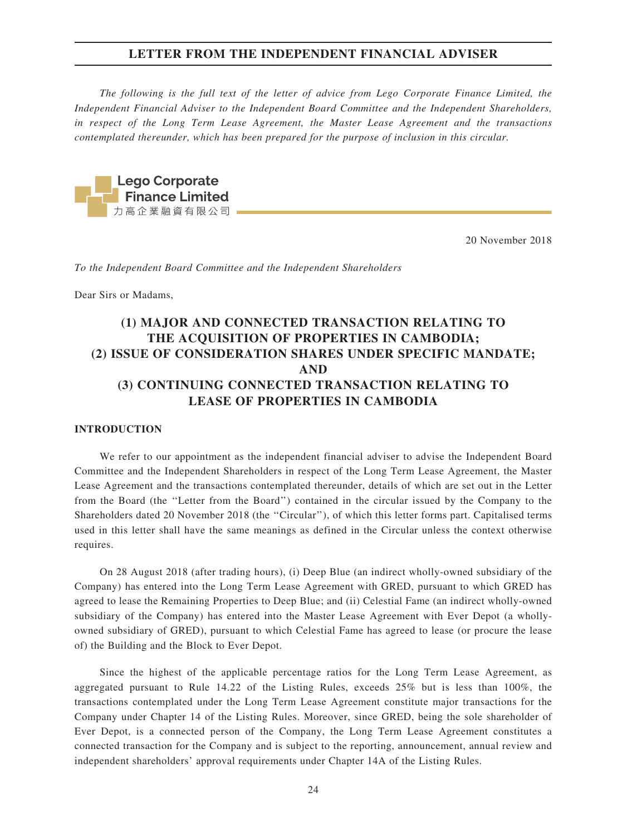The following is the full text of the letter of advice from Lego Corporate Finance Limited, the Independent Financial Adviser to the Independent Board Committee and the Independent Shareholders, in respect of the Long Term Lease Agreement, the Master Lease Agreement and the transactions contemplated thereunder, which has been prepared for the purpose of inclusion in this circular.

Lego Corporate<br>Finance Limited

20 November 2018

To the Independent Board Committee and the Independent Shareholders

Dear Sirs or Madams,

# (1) MAJOR AND CONNECTED TRANSACTION RELATING TO THE ACQUISITION OF PROPERTIES IN CAMBODIA; (2) ISSUE OF CONSIDERATION SHARES UNDER SPECIFIC MANDATE; AND (3) CONTINUING CONNECTED TRANSACTION RELATING TO LEASE OF PROPERTIES IN CAMBODIA

#### INTRODUCTION

We refer to our appointment as the independent financial adviser to advise the Independent Board Committee and the Independent Shareholders in respect of the Long Term Lease Agreement, the Master Lease Agreement and the transactions contemplated thereunder, details of which are set out in the Letter from the Board (the ''Letter from the Board'') contained in the circular issued by the Company to the Shareholders dated 20 November 2018 (the ''Circular''), of which this letter forms part. Capitalised terms used in this letter shall have the same meanings as defined in the Circular unless the context otherwise requires.

On 28 August 2018 (after trading hours), (i) Deep Blue (an indirect wholly-owned subsidiary of the Company) has entered into the Long Term Lease Agreement with GRED, pursuant to which GRED has agreed to lease the Remaining Properties to Deep Blue; and (ii) Celestial Fame (an indirect wholly-owned subsidiary of the Company) has entered into the Master Lease Agreement with Ever Depot (a whollyowned subsidiary of GRED), pursuant to which Celestial Fame has agreed to lease (or procure the lease of) the Building and the Block to Ever Depot.

Since the highest of the applicable percentage ratios for the Long Term Lease Agreement, as aggregated pursuant to Rule 14.22 of the Listing Rules, exceeds 25% but is less than 100%, the transactions contemplated under the Long Term Lease Agreement constitute major transactions for the Company under Chapter 14 of the Listing Rules. Moreover, since GRED, being the sole shareholder of Ever Depot, is a connected person of the Company, the Long Term Lease Agreement constitutes a connected transaction for the Company and is subject to the reporting, announcement, annual review and independent shareholders' approval requirements under Chapter 14A of the Listing Rules.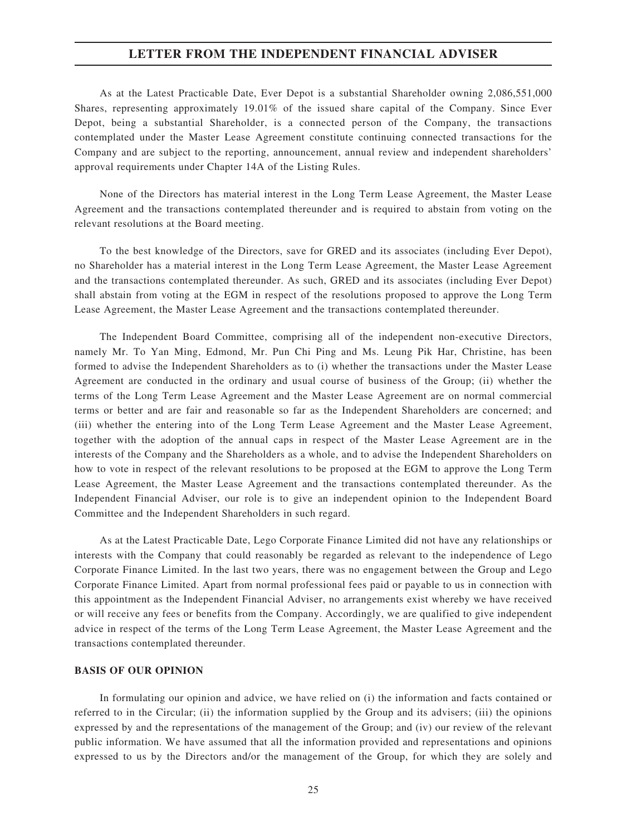As at the Latest Practicable Date, Ever Depot is a substantial Shareholder owning 2,086,551,000 Shares, representing approximately 19.01% of the issued share capital of the Company. Since Ever Depot, being a substantial Shareholder, is a connected person of the Company, the transactions contemplated under the Master Lease Agreement constitute continuing connected transactions for the Company and are subject to the reporting, announcement, annual review and independent shareholders' approval requirements under Chapter 14A of the Listing Rules.

None of the Directors has material interest in the Long Term Lease Agreement, the Master Lease Agreement and the transactions contemplated thereunder and is required to abstain from voting on the relevant resolutions at the Board meeting.

To the best knowledge of the Directors, save for GRED and its associates (including Ever Depot), no Shareholder has a material interest in the Long Term Lease Agreement, the Master Lease Agreement and the transactions contemplated thereunder. As such, GRED and its associates (including Ever Depot) shall abstain from voting at the EGM in respect of the resolutions proposed to approve the Long Term Lease Agreement, the Master Lease Agreement and the transactions contemplated thereunder.

The Independent Board Committee, comprising all of the independent non-executive Directors, namely Mr. To Yan Ming, Edmond, Mr. Pun Chi Ping and Ms. Leung Pik Har, Christine, has been formed to advise the Independent Shareholders as to (i) whether the transactions under the Master Lease Agreement are conducted in the ordinary and usual course of business of the Group; (ii) whether the terms of the Long Term Lease Agreement and the Master Lease Agreement are on normal commercial terms or better and are fair and reasonable so far as the Independent Shareholders are concerned; and (iii) whether the entering into of the Long Term Lease Agreement and the Master Lease Agreement, together with the adoption of the annual caps in respect of the Master Lease Agreement are in the interests of the Company and the Shareholders as a whole, and to advise the Independent Shareholders on how to vote in respect of the relevant resolutions to be proposed at the EGM to approve the Long Term Lease Agreement, the Master Lease Agreement and the transactions contemplated thereunder. As the Independent Financial Adviser, our role is to give an independent opinion to the Independent Board Committee and the Independent Shareholders in such regard.

As at the Latest Practicable Date, Lego Corporate Finance Limited did not have any relationships or interests with the Company that could reasonably be regarded as relevant to the independence of Lego Corporate Finance Limited. In the last two years, there was no engagement between the Group and Lego Corporate Finance Limited. Apart from normal professional fees paid or payable to us in connection with this appointment as the Independent Financial Adviser, no arrangements exist whereby we have received or will receive any fees or benefits from the Company. Accordingly, we are qualified to give independent advice in respect of the terms of the Long Term Lease Agreement, the Master Lease Agreement and the transactions contemplated thereunder.

#### BASIS OF OUR OPINION

In formulating our opinion and advice, we have relied on (i) the information and facts contained or referred to in the Circular; (ii) the information supplied by the Group and its advisers; (iii) the opinions expressed by and the representations of the management of the Group; and (iv) our review of the relevant public information. We have assumed that all the information provided and representations and opinions expressed to us by the Directors and/or the management of the Group, for which they are solely and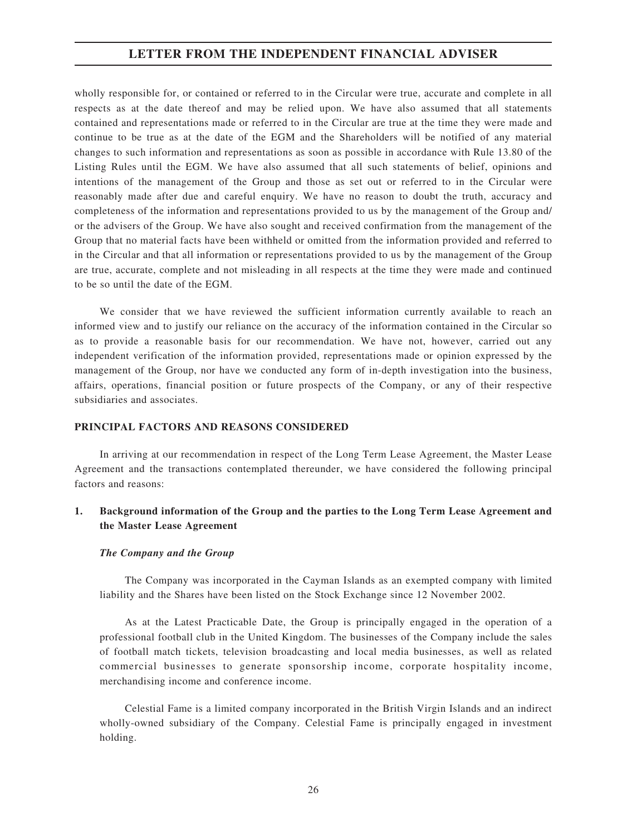wholly responsible for, or contained or referred to in the Circular were true, accurate and complete in all respects as at the date thereof and may be relied upon. We have also assumed that all statements contained and representations made or referred to in the Circular are true at the time they were made and continue to be true as at the date of the EGM and the Shareholders will be notified of any material changes to such information and representations as soon as possible in accordance with Rule 13.80 of the Listing Rules until the EGM. We have also assumed that all such statements of belief, opinions and intentions of the management of the Group and those as set out or referred to in the Circular were reasonably made after due and careful enquiry. We have no reason to doubt the truth, accuracy and completeness of the information and representations provided to us by the management of the Group and/ or the advisers of the Group. We have also sought and received confirmation from the management of the Group that no material facts have been withheld or omitted from the information provided and referred to in the Circular and that all information or representations provided to us by the management of the Group are true, accurate, complete and not misleading in all respects at the time they were made and continued to be so until the date of the EGM.

We consider that we have reviewed the sufficient information currently available to reach an informed view and to justify our reliance on the accuracy of the information contained in the Circular so as to provide a reasonable basis for our recommendation. We have not, however, carried out any independent verification of the information provided, representations made or opinion expressed by the management of the Group, nor have we conducted any form of in-depth investigation into the business, affairs, operations, financial position or future prospects of the Company, or any of their respective subsidiaries and associates.

#### PRINCIPAL FACTORS AND REASONS CONSIDERED

In arriving at our recommendation in respect of the Long Term Lease Agreement, the Master Lease Agreement and the transactions contemplated thereunder, we have considered the following principal factors and reasons:

### 1. Background information of the Group and the parties to the Long Term Lease Agreement and the Master Lease Agreement

#### The Company and the Group

The Company was incorporated in the Cayman Islands as an exempted company with limited liability and the Shares have been listed on the Stock Exchange since 12 November 2002.

As at the Latest Practicable Date, the Group is principally engaged in the operation of a professional football club in the United Kingdom. The businesses of the Company include the sales of football match tickets, television broadcasting and local media businesses, as well as related commercial businesses to generate sponsorship income, corporate hospitality income, merchandising income and conference income.

Celestial Fame is a limited company incorporated in the British Virgin Islands and an indirect wholly-owned subsidiary of the Company. Celestial Fame is principally engaged in investment holding.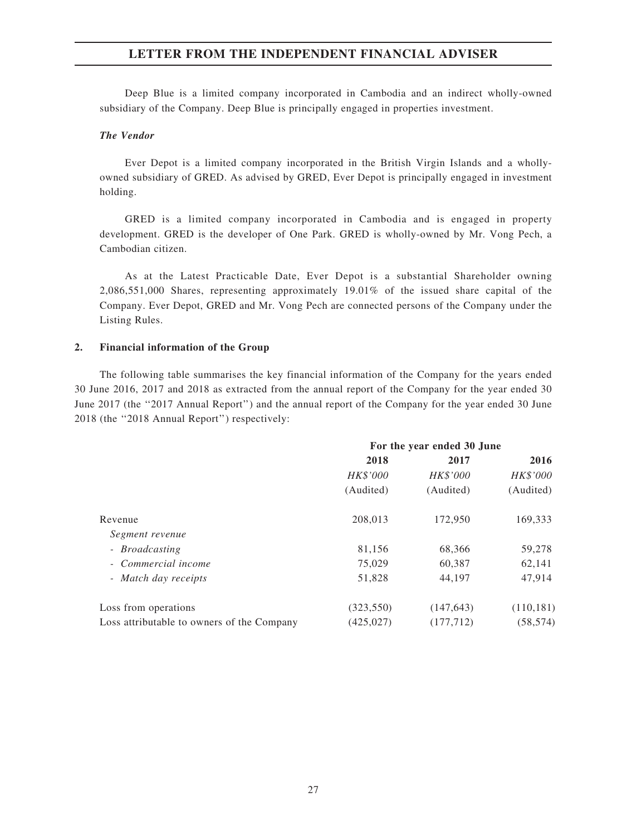Deep Blue is a limited company incorporated in Cambodia and an indirect wholly-owned subsidiary of the Company. Deep Blue is principally engaged in properties investment.

#### The Vendor

Ever Depot is a limited company incorporated in the British Virgin Islands and a whollyowned subsidiary of GRED. As advised by GRED, Ever Depot is principally engaged in investment holding.

GRED is a limited company incorporated in Cambodia and is engaged in property development. GRED is the developer of One Park. GRED is wholly-owned by Mr. Vong Pech, a Cambodian citizen.

As at the Latest Practicable Date, Ever Depot is a substantial Shareholder owning 2,086,551,000 Shares, representing approximately 19.01% of the issued share capital of the Company. Ever Depot, GRED and Mr. Vong Pech are connected persons of the Company under the Listing Rules.

#### 2. Financial information of the Group

The following table summarises the key financial information of the Company for the years ended 30 June 2016, 2017 and 2018 as extracted from the annual report of the Company for the year ended 30 June 2017 (the "2017 Annual Report") and the annual report of the Company for the year ended 30 June 2018 (the ''2018 Annual Report'') respectively:

|                                            | For the year ended 30 June |            |            |
|--------------------------------------------|----------------------------|------------|------------|
|                                            | 2018                       | 2017       | 2016       |
|                                            | HK\$'000                   | HK\$'000   | HK\$'000   |
|                                            | (Audited)                  | (Audited)  | (Audited)  |
| Revenue                                    | 208,013                    | 172,950    | 169,333    |
| Segment revenue                            |                            |            |            |
| - Broadcasting                             | 81,156                     | 68,366     | 59,278     |
| - Commercial income                        | 75,029                     | 60,387     | 62,141     |
| - Match day receipts                       | 51,828                     | 44,197     | 47,914     |
| Loss from operations                       | (323, 550)                 | (147, 643) | (110, 181) |
| Loss attributable to owners of the Company | (425, 027)                 | (177, 712) | (58, 574)  |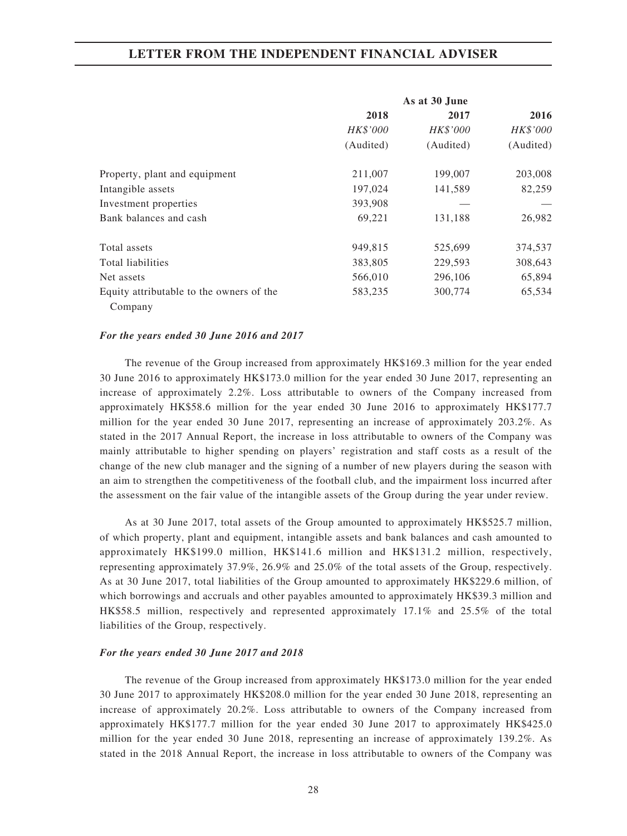|                                          |           | As at 30 June |           |
|------------------------------------------|-----------|---------------|-----------|
|                                          | 2018      | 2017          | 2016      |
|                                          | HK\$'000  | HK\$'000      | HK\$'000  |
|                                          | (Audited) | (Audited)     | (Audited) |
| Property, plant and equipment            | 211,007   | 199,007       | 203,008   |
| Intangible assets                        | 197,024   | 141,589       | 82,259    |
| Investment properties                    | 393,908   |               |           |
| Bank balances and cash                   | 69,221    | 131,188       | 26,982    |
| Total assets                             | 949,815   | 525,699       | 374,537   |
| Total liabilities                        | 383,805   | 229,593       | 308,643   |
| Net assets                               | 566,010   | 296,106       | 65,894    |
| Equity attributable to the owners of the | 583,235   | 300,774       | 65,534    |
| Company                                  |           |               |           |

#### For the years ended 30 June 2016 and 2017

The revenue of the Group increased from approximately HK\$169.3 million for the year ended 30 June 2016 to approximately HK\$173.0 million for the year ended 30 June 2017, representing an increase of approximately 2.2%. Loss attributable to owners of the Company increased from approximately HK\$58.6 million for the year ended 30 June 2016 to approximately HK\$177.7 million for the year ended 30 June 2017, representing an increase of approximately 203.2%. As stated in the 2017 Annual Report, the increase in loss attributable to owners of the Company was mainly attributable to higher spending on players' registration and staff costs as a result of the change of the new club manager and the signing of a number of new players during the season with an aim to strengthen the competitiveness of the football club, and the impairment loss incurred after the assessment on the fair value of the intangible assets of the Group during the year under review.

As at 30 June 2017, total assets of the Group amounted to approximately HK\$525.7 million, of which property, plant and equipment, intangible assets and bank balances and cash amounted to approximately HK\$199.0 million, HK\$141.6 million and HK\$131.2 million, respectively, representing approximately 37.9%, 26.9% and 25.0% of the total assets of the Group, respectively. As at 30 June 2017, total liabilities of the Group amounted to approximately HK\$229.6 million, of which borrowings and accruals and other payables amounted to approximately HK\$39.3 million and HK\$58.5 million, respectively and represented approximately 17.1% and 25.5% of the total liabilities of the Group, respectively.

#### For the years ended 30 June 2017 and 2018

The revenue of the Group increased from approximately HK\$173.0 million for the year ended 30 June 2017 to approximately HK\$208.0 million for the year ended 30 June 2018, representing an increase of approximately 20.2%. Loss attributable to owners of the Company increased from approximately HK\$177.7 million for the year ended 30 June 2017 to approximately HK\$425.0 million for the year ended 30 June 2018, representing an increase of approximately 139.2%. As stated in the 2018 Annual Report, the increase in loss attributable to owners of the Company was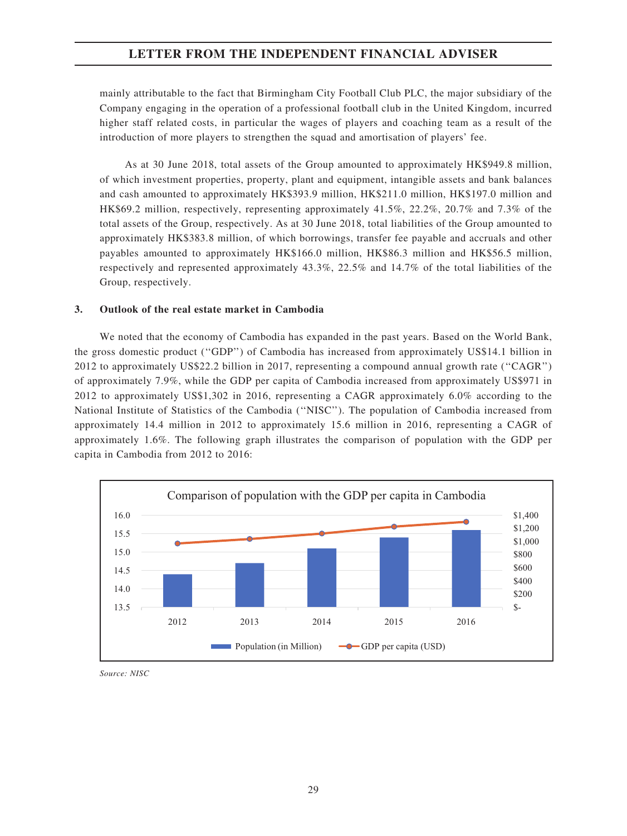mainly attributable to the fact that Birmingham City Football Club PLC, the major subsidiary of the Company engaging in the operation of a professional football club in the United Kingdom, incurred higher staff related costs, in particular the wages of players and coaching team as a result of the introduction of more players to strengthen the squad and amortisation of players' fee.

As at 30 June 2018, total assets of the Group amounted to approximately HK\$949.8 million, of which investment properties, property, plant and equipment, intangible assets and bank balances and cash amounted to approximately HK\$393.9 million, HK\$211.0 million, HK\$197.0 million and HK\$69.2 million, respectively, representing approximately 41.5%, 22.2%, 20.7% and 7.3% of the total assets of the Group, respectively. As at 30 June 2018, total liabilities of the Group amounted to approximately HK\$383.8 million, of which borrowings, transfer fee payable and accruals and other payables amounted to approximately HK\$166.0 million, HK\$86.3 million and HK\$56.5 million, respectively and represented approximately 43.3%, 22.5% and 14.7% of the total liabilities of the Group, respectively.

#### 3. Outlook of the real estate market in Cambodia

We noted that the economy of Cambodia has expanded in the past years. Based on the World Bank, the gross domestic product (''GDP'') of Cambodia has increased from approximately US\$14.1 billion in 2012 to approximately US\$22.2 billion in 2017, representing a compound annual growth rate (''CAGR'') of approximately 7.9%, while the GDP per capita of Cambodia increased from approximately US\$971 in 2012 to approximately US\$1,302 in 2016, representing a CAGR approximately 6.0% according to the National Institute of Statistics of the Cambodia (''NISC''). The population of Cambodia increased from approximately 14.4 million in 2012 to approximately 15.6 million in 2016, representing a CAGR of approximately 1.6%. The following graph illustrates the comparison of population with the GDP per capita in Cambodia from 2012 to 2016:



Source: NISC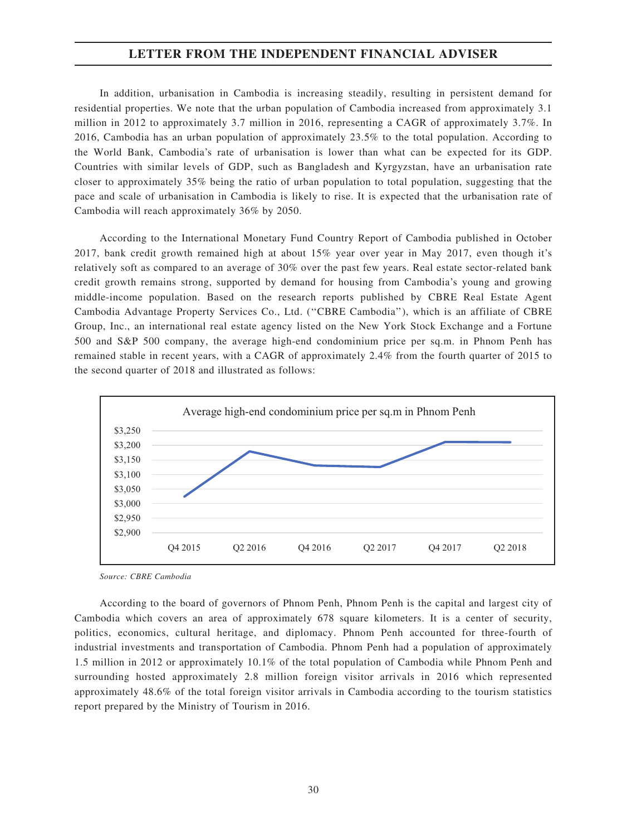In addition, urbanisation in Cambodia is increasing steadily, resulting in persistent demand for residential properties. We note that the urban population of Cambodia increased from approximately 3.1 million in 2012 to approximately 3.7 million in 2016, representing a CAGR of approximately 3.7%. In 2016, Cambodia has an urban population of approximately 23.5% to the total population. According to the World Bank, Cambodia's rate of urbanisation is lower than what can be expected for its GDP. Countries with similar levels of GDP, such as Bangladesh and Kyrgyzstan, have an urbanisation rate closer to approximately 35% being the ratio of urban population to total population, suggesting that the pace and scale of urbanisation in Cambodia is likely to rise. It is expected that the urbanisation rate of Cambodia will reach approximately 36% by 2050.

According to the International Monetary Fund Country Report of Cambodia published in October 2017, bank credit growth remained high at about 15% year over year in May 2017, even though it's relatively soft as compared to an average of 30% over the past few years. Real estate sector-related bank credit growth remains strong, supported by demand for housing from Cambodia's young and growing middle-income population. Based on the research reports published by CBRE Real Estate Agent Cambodia Advantage Property Services Co., Ltd. (''CBRE Cambodia''), which is an affiliate of CBRE Group, Inc., an international real estate agency listed on the New York Stock Exchange and a Fortune 500 and S&P 500 company, the average high-end condominium price per sq.m. in Phnom Penh has remained stable in recent years, with a CAGR of approximately 2.4% from the fourth quarter of 2015 to the second quarter of 2018 and illustrated as follows:



Source: CBRE Cambodia

According to the board of governors of Phnom Penh, Phnom Penh is the capital and largest city of Cambodia which covers an area of approximately 678 square kilometers. It is a center of security, politics, economics, cultural heritage, and diplomacy. Phnom Penh accounted for three-fourth of industrial investments and transportation of Cambodia. Phnom Penh had a population of approximately 1.5 million in 2012 or approximately 10.1% of the total population of Cambodia while Phnom Penh and surrounding hosted approximately 2.8 million foreign visitor arrivals in 2016 which represented approximately 48.6% of the total foreign visitor arrivals in Cambodia according to the tourism statistics report prepared by the Ministry of Tourism in 2016.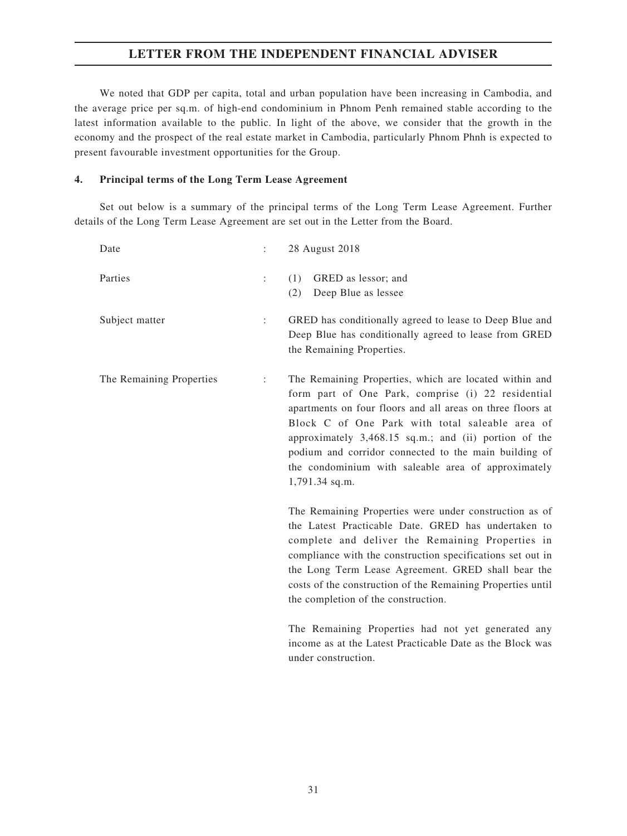We noted that GDP per capita, total and urban population have been increasing in Cambodia, and the average price per sq.m. of high-end condominium in Phnom Penh remained stable according to the latest information available to the public. In light of the above, we consider that the growth in the economy and the prospect of the real estate market in Cambodia, particularly Phnom Phnh is expected to present favourable investment opportunities for the Group.

#### 4. Principal terms of the Long Term Lease Agreement

Set out below is a summary of the principal terms of the Long Term Lease Agreement. Further details of the Long Term Lease Agreement are set out in the Letter from the Board.

| Date                     |                      | 28 August 2018                                                                                                                                                                                                                                                                                                                                                                                                           |
|--------------------------|----------------------|--------------------------------------------------------------------------------------------------------------------------------------------------------------------------------------------------------------------------------------------------------------------------------------------------------------------------------------------------------------------------------------------------------------------------|
| Parties                  | $\ddot{\phantom{a}}$ | GRED as lessor; and<br>(1)<br>Deep Blue as lessee<br>(2)                                                                                                                                                                                                                                                                                                                                                                 |
| Subject matter           | ÷                    | GRED has conditionally agreed to lease to Deep Blue and<br>Deep Blue has conditionally agreed to lease from GRED<br>the Remaining Properties.                                                                                                                                                                                                                                                                            |
| The Remaining Properties | $\ddot{\cdot}$       | The Remaining Properties, which are located within and<br>form part of One Park, comprise (i) 22 residential<br>apartments on four floors and all areas on three floors at<br>Block C of One Park with total saleable area of<br>approximately 3,468.15 sq.m.; and (ii) portion of the<br>podium and corridor connected to the main building of<br>the condominium with saleable area of approximately<br>1,791.34 sq.m. |
|                          |                      | The Remaining Properties were under construction as of<br>the Latest Practicable Date. GRED has undertaken to<br>complete and deliver the Remaining Properties in<br>compliance with the construction specifications set out in<br>the Long Term Lease Agreement. GRED shall bear the<br>costs of the construction of the Remaining Properties until<br>the completion of the construction.                              |
|                          |                      | The Remaining Properties had not yet generated any                                                                                                                                                                                                                                                                                                                                                                       |

The Remaining Properties had not yet generated any income as at the Latest Practicable Date as the Block was under construction.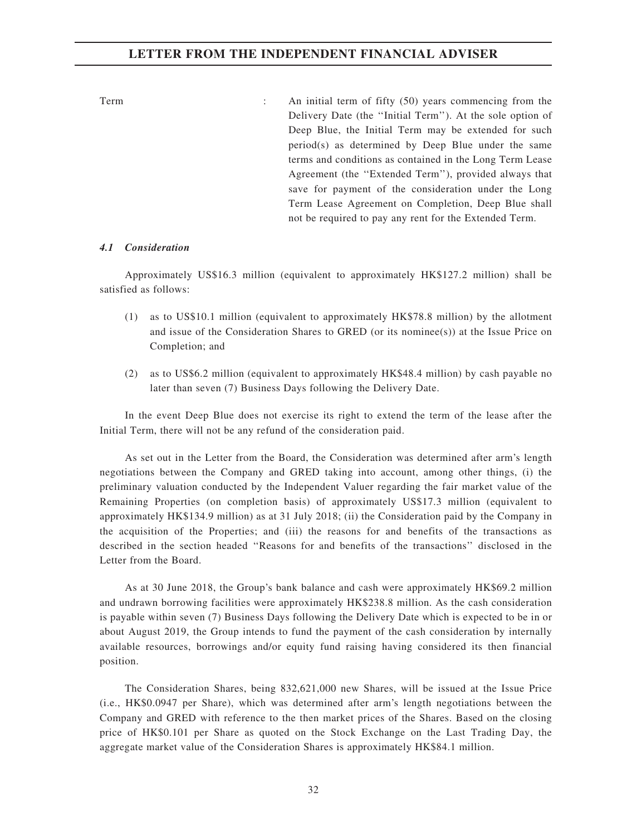Term : An initial term of fifty (50) years commencing from the Delivery Date (the ''Initial Term''). At the sole option of Deep Blue, the Initial Term may be extended for such period(s) as determined by Deep Blue under the same terms and conditions as contained in the Long Term Lease Agreement (the ''Extended Term''), provided always that save for payment of the consideration under the Long Term Lease Agreement on Completion, Deep Blue shall not be required to pay any rent for the Extended Term.

#### 4.1 Consideration

Approximately US\$16.3 million (equivalent to approximately HK\$127.2 million) shall be satisfied as follows:

- (1) as to US\$10.1 million (equivalent to approximately HK\$78.8 million) by the allotment and issue of the Consideration Shares to GRED (or its nominee(s)) at the Issue Price on Completion; and
- (2) as to US\$6.2 million (equivalent to approximately HK\$48.4 million) by cash payable no later than seven (7) Business Days following the Delivery Date.

In the event Deep Blue does not exercise its right to extend the term of the lease after the Initial Term, there will not be any refund of the consideration paid.

As set out in the Letter from the Board, the Consideration was determined after arm's length negotiations between the Company and GRED taking into account, among other things, (i) the preliminary valuation conducted by the Independent Valuer regarding the fair market value of the Remaining Properties (on completion basis) of approximately US\$17.3 million (equivalent to approximately HK\$134.9 million) as at 31 July 2018; (ii) the Consideration paid by the Company in the acquisition of the Properties; and (iii) the reasons for and benefits of the transactions as described in the section headed ''Reasons for and benefits of the transactions'' disclosed in the Letter from the Board.

As at 30 June 2018, the Group's bank balance and cash were approximately HK\$69.2 million and undrawn borrowing facilities were approximately HK\$238.8 million. As the cash consideration is payable within seven (7) Business Days following the Delivery Date which is expected to be in or about August 2019, the Group intends to fund the payment of the cash consideration by internally available resources, borrowings and/or equity fund raising having considered its then financial position.

The Consideration Shares, being 832,621,000 new Shares, will be issued at the Issue Price (i.e., HK\$0.0947 per Share), which was determined after arm's length negotiations between the Company and GRED with reference to the then market prices of the Shares. Based on the closing price of HK\$0.101 per Share as quoted on the Stock Exchange on the Last Trading Day, the aggregate market value of the Consideration Shares is approximately HK\$84.1 million.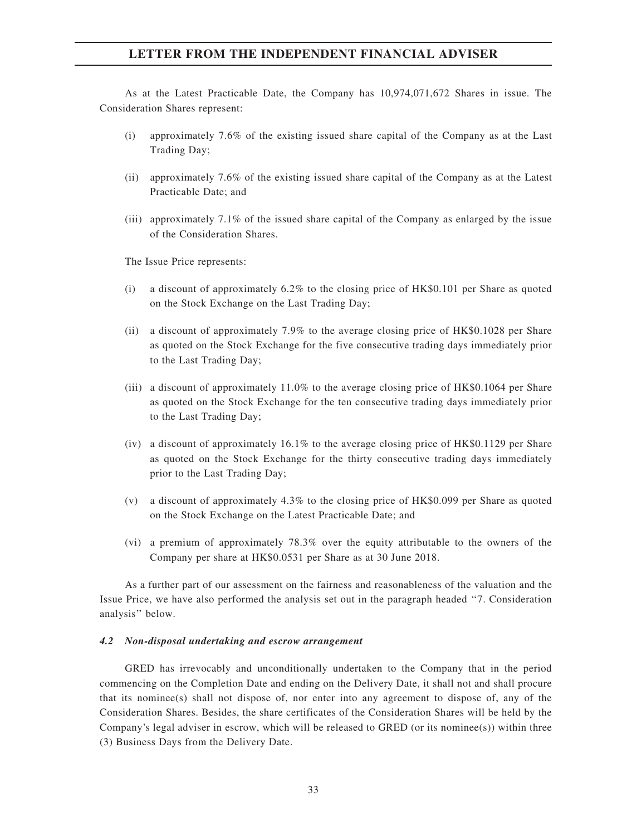As at the Latest Practicable Date, the Company has 10,974,071,672 Shares in issue. The Consideration Shares represent:

- (i) approximately 7.6% of the existing issued share capital of the Company as at the Last Trading Day;
- (ii) approximately 7.6% of the existing issued share capital of the Company as at the Latest Practicable Date; and
- (iii) approximately 7.1% of the issued share capital of the Company as enlarged by the issue of the Consideration Shares.

The Issue Price represents:

- (i) a discount of approximately  $6.2\%$  to the closing price of HK\$0.101 per Share as quoted on the Stock Exchange on the Last Trading Day;
- (ii) a discount of approximately 7.9% to the average closing price of HK\$0.1028 per Share as quoted on the Stock Exchange for the five consecutive trading days immediately prior to the Last Trading Day;
- (iii) a discount of approximately 11.0% to the average closing price of HK\$0.1064 per Share as quoted on the Stock Exchange for the ten consecutive trading days immediately prior to the Last Trading Day;
- (iv) a discount of approximately 16.1% to the average closing price of HK\$0.1129 per Share as quoted on the Stock Exchange for the thirty consecutive trading days immediately prior to the Last Trading Day;
- (v) a discount of approximately 4.3% to the closing price of HK\$0.099 per Share as quoted on the Stock Exchange on the Latest Practicable Date; and
- (vi) a premium of approximately 78.3% over the equity attributable to the owners of the Company per share at HK\$0.0531 per Share as at 30 June 2018.

As a further part of our assessment on the fairness and reasonableness of the valuation and the Issue Price, we have also performed the analysis set out in the paragraph headed ''7. Consideration analysis'' below.

#### 4.2 Non-disposal undertaking and escrow arrangement

GRED has irrevocably and unconditionally undertaken to the Company that in the period commencing on the Completion Date and ending on the Delivery Date, it shall not and shall procure that its nominee(s) shall not dispose of, nor enter into any agreement to dispose of, any of the Consideration Shares. Besides, the share certificates of the Consideration Shares will be held by the Company's legal adviser in escrow, which will be released to GRED (or its nominee(s)) within three (3) Business Days from the Delivery Date.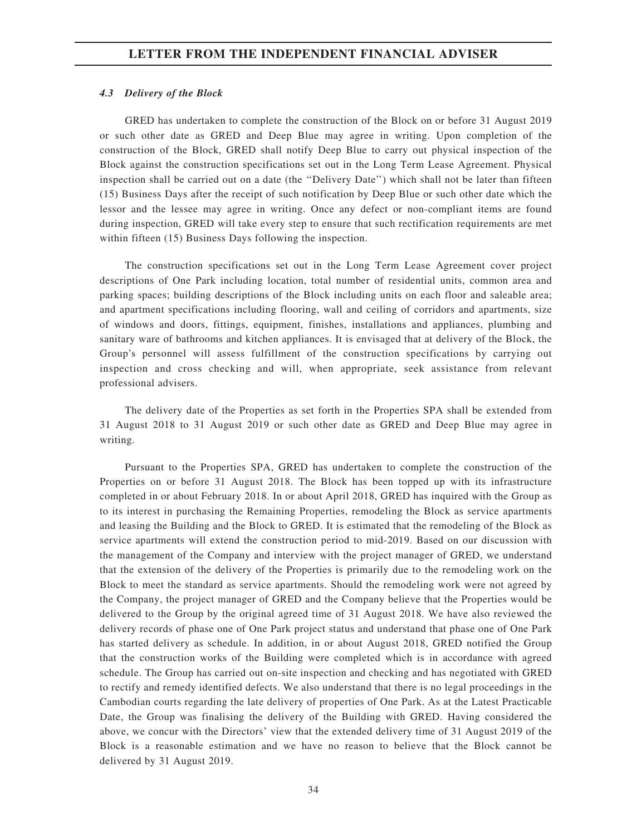#### 4.3 Delivery of the Block

GRED has undertaken to complete the construction of the Block on or before 31 August 2019 or such other date as GRED and Deep Blue may agree in writing. Upon completion of the construction of the Block, GRED shall notify Deep Blue to carry out physical inspection of the Block against the construction specifications set out in the Long Term Lease Agreement. Physical inspection shall be carried out on a date (the ''Delivery Date'') which shall not be later than fifteen (15) Business Days after the receipt of such notification by Deep Blue or such other date which the lessor and the lessee may agree in writing. Once any defect or non-compliant items are found during inspection, GRED will take every step to ensure that such rectification requirements are met within fifteen (15) Business Days following the inspection.

The construction specifications set out in the Long Term Lease Agreement cover project descriptions of One Park including location, total number of residential units, common area and parking spaces; building descriptions of the Block including units on each floor and saleable area; and apartment specifications including flooring, wall and ceiling of corridors and apartments, size of windows and doors, fittings, equipment, finishes, installations and appliances, plumbing and sanitary ware of bathrooms and kitchen appliances. It is envisaged that at delivery of the Block, the Group's personnel will assess fulfillment of the construction specifications by carrying out inspection and cross checking and will, when appropriate, seek assistance from relevant professional advisers.

The delivery date of the Properties as set forth in the Properties SPA shall be extended from 31 August 2018 to 31 August 2019 or such other date as GRED and Deep Blue may agree in writing.

Pursuant to the Properties SPA, GRED has undertaken to complete the construction of the Properties on or before 31 August 2018. The Block has been topped up with its infrastructure completed in or about February 2018. In or about April 2018, GRED has inquired with the Group as to its interest in purchasing the Remaining Properties, remodeling the Block as service apartments and leasing the Building and the Block to GRED. It is estimated that the remodeling of the Block as service apartments will extend the construction period to mid-2019. Based on our discussion with the management of the Company and interview with the project manager of GRED, we understand that the extension of the delivery of the Properties is primarily due to the remodeling work on the Block to meet the standard as service apartments. Should the remodeling work were not agreed by the Company, the project manager of GRED and the Company believe that the Properties would be delivered to the Group by the original agreed time of 31 August 2018. We have also reviewed the delivery records of phase one of One Park project status and understand that phase one of One Park has started delivery as schedule. In addition, in or about August 2018, GRED notified the Group that the construction works of the Building were completed which is in accordance with agreed schedule. The Group has carried out on-site inspection and checking and has negotiated with GRED to rectify and remedy identified defects. We also understand that there is no legal proceedings in the Cambodian courts regarding the late delivery of properties of One Park. As at the Latest Practicable Date, the Group was finalising the delivery of the Building with GRED. Having considered the above, we concur with the Directors' view that the extended delivery time of 31 August 2019 of the Block is a reasonable estimation and we have no reason to believe that the Block cannot be delivered by 31 August 2019.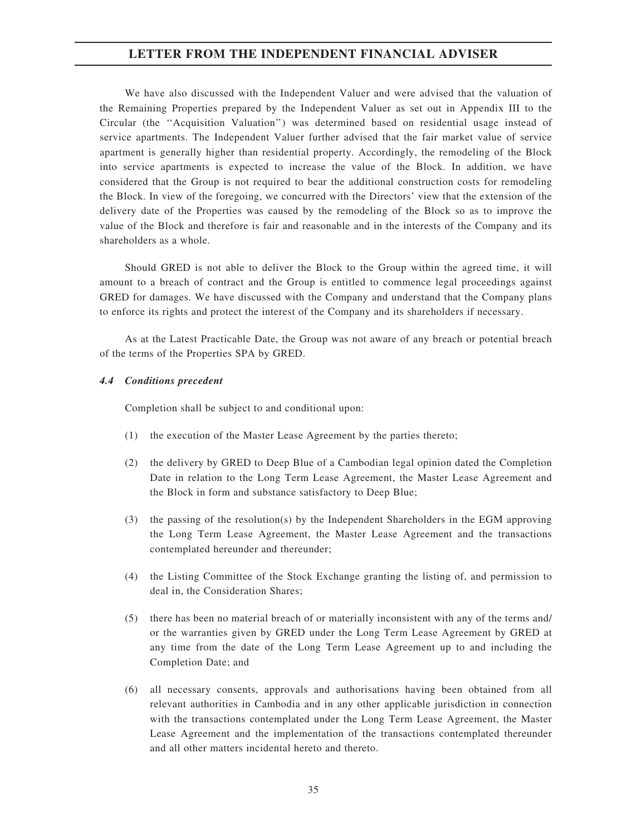We have also discussed with the Independent Valuer and were advised that the valuation of the Remaining Properties prepared by the Independent Valuer as set out in Appendix III to the Circular (the ''Acquisition Valuation'') was determined based on residential usage instead of service apartments. The Independent Valuer further advised that the fair market value of service apartment is generally higher than residential property. Accordingly, the remodeling of the Block into service apartments is expected to increase the value of the Block. In addition, we have considered that the Group is not required to bear the additional construction costs for remodeling the Block. In view of the foregoing, we concurred with the Directors' view that the extension of the delivery date of the Properties was caused by the remodeling of the Block so as to improve the value of the Block and therefore is fair and reasonable and in the interests of the Company and its shareholders as a whole.

Should GRED is not able to deliver the Block to the Group within the agreed time, it will amount to a breach of contract and the Group is entitled to commence legal proceedings against GRED for damages. We have discussed with the Company and understand that the Company plans to enforce its rights and protect the interest of the Company and its shareholders if necessary.

As at the Latest Practicable Date, the Group was not aware of any breach or potential breach of the terms of the Properties SPA by GRED.

### 4.4 Conditions precedent

Completion shall be subject to and conditional upon:

- (1) the execution of the Master Lease Agreement by the parties thereto;
- (2) the delivery by GRED to Deep Blue of a Cambodian legal opinion dated the Completion Date in relation to the Long Term Lease Agreement, the Master Lease Agreement and the Block in form and substance satisfactory to Deep Blue;
- (3) the passing of the resolution(s) by the Independent Shareholders in the EGM approving the Long Term Lease Agreement, the Master Lease Agreement and the transactions contemplated hereunder and thereunder;
- (4) the Listing Committee of the Stock Exchange granting the listing of, and permission to deal in, the Consideration Shares;
- (5) there has been no material breach of or materially inconsistent with any of the terms and/ or the warranties given by GRED under the Long Term Lease Agreement by GRED at any time from the date of the Long Term Lease Agreement up to and including the Completion Date; and
- (6) all necessary consents, approvals and authorisations having been obtained from all relevant authorities in Cambodia and in any other applicable jurisdiction in connection with the transactions contemplated under the Long Term Lease Agreement, the Master Lease Agreement and the implementation of the transactions contemplated thereunder and all other matters incidental hereto and thereto.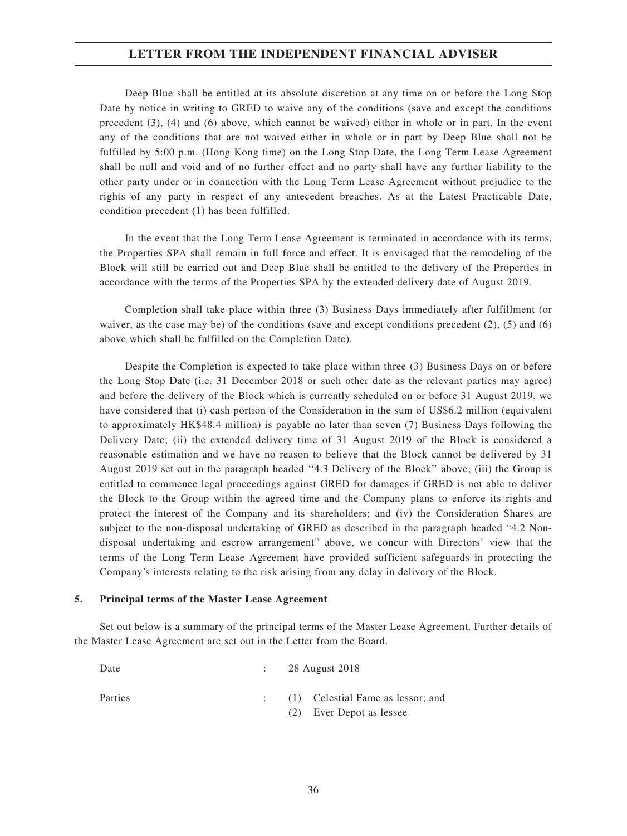Deep Blue shall be entitled at its absolute discretion at any time on or before the Long Stop Date by notice in writing to GRED to waive any of the conditions (save and except the conditions precedent (3), (4) and (6) above, which cannot be waived) either in whole or in part. In the event any of the conditions that are not waived either in whole or in part by Deep Blue shall not be fulfilled by 5:00 p.m. (Hong Kong time) on the Long Stop Date, the Long Term Lease Agreement shall be null and void and of no further effect and no party shall have any further liability to the other party under or in connection with the Long Term Lease Agreement without prejudice to the rights of any party in respect of any antecedent breaches. As at the Latest Practicable Date, condition precedent (1) has been fulfilled.

In the event that the Long Term Lease Agreement is terminated in accordance with its terms, the Properties SPA shall remain in full force and effect. It is envisaged that the remodeling of the Block will still be carried out and Deep Blue shall be entitled to the delivery of the Properties in accordance with the terms of the Properties SPA by the extended delivery date of August 2019.

Completion shall take place within three (3) Business Days immediately after fulfillment (or waiver, as the case may be) of the conditions (save and except conditions precedent  $(2)$ ,  $(5)$  and  $(6)$ above which shall be fulfilled on the Completion Date).

Despite the Completion is expected to take place within three (3) Business Days on or before the Long Stop Date (i.e. 31 December 2018 or such other date as the relevant parties may agree) and before the delivery of the Block which is currently scheduled on or before 31 August 2019, we have considered that (i) cash portion of the Consideration in the sum of US\$6.2 million (equivalent to approximately HK\$48.4 million) is payable no later than seven (7) Business Days following the Delivery Date; (ii) the extended delivery time of 31 August 2019 of the Block is considered a reasonable estimation and we have no reason to believe that the Block cannot be delivered by 31 August 2019 set out in the paragraph headed ''4.3 Delivery of the Block'' above; (iii) the Group is entitled to commence legal proceedings against GRED for damages if GRED is not able to deliver the Block to the Group within the agreed time and the Company plans to enforce its rights and protect the interest of the Company and its shareholders; and (iv) the Consideration Shares are subject to the non-disposal undertaking of GRED as described in the paragraph headed "4.2 Nondisposal undertaking and escrow arrangement" above, we concur with Directors' view that the terms of the Long Term Lease Agreement have provided sufficient safeguards in protecting the Company's interests relating to the risk arising from any delay in delivery of the Block.

#### 5. Principal terms of the Master Lease Agreement

Set out below is a summary of the principal terms of the Master Lease Agreement. Further details of the Master Lease Agreement are set out in the Letter from the Board.

| Date    | 28 August 2018                      |
|---------|-------------------------------------|
| Parties | $(1)$ Celestial Fame as lessor; and |
|         | (2) Ever Depot as lessee            |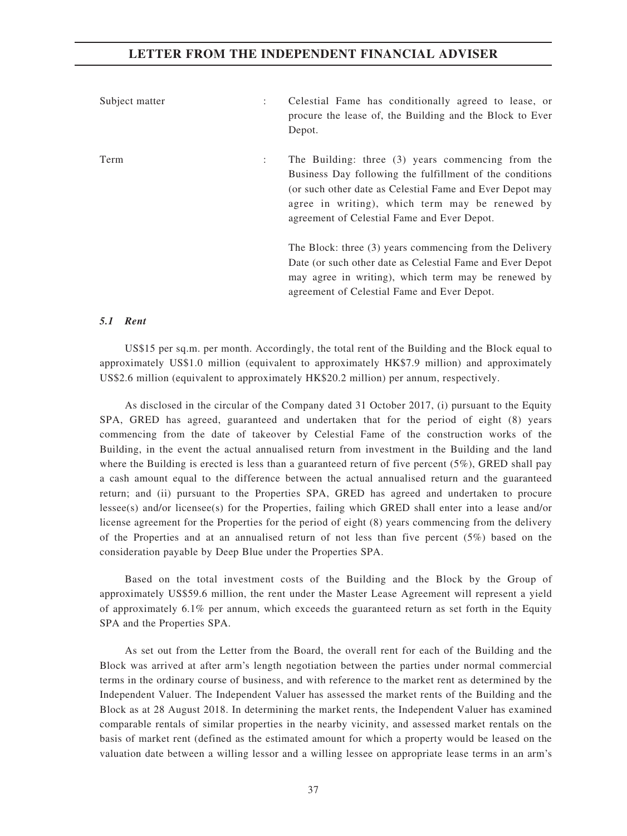| Subject matter<br>÷    | Celestial Fame has conditionally agreed to lease, or<br>procure the lease of, the Building and the Block to Ever<br>Depot.                                                                                                                                                  |
|------------------------|-----------------------------------------------------------------------------------------------------------------------------------------------------------------------------------------------------------------------------------------------------------------------------|
| Term<br>$\ddot{\cdot}$ | The Building: three (3) years commencing from the<br>Business Day following the fulfillment of the conditions<br>(or such other date as Celestial Fame and Ever Depot may<br>agree in writing), which term may be renewed by<br>agreement of Celestial Fame and Ever Depot. |
|                        | The Block: three (3) years commencing from the Delivery<br>Date (or such other date as Celestial Fame and Ever Depot<br>may agree in writing), which term may be renewed by<br>agreement of Celestial Fame and Ever Depot.                                                  |

## 5.1 Rent

US\$15 per sq.m. per month. Accordingly, the total rent of the Building and the Block equal to approximately US\$1.0 million (equivalent to approximately HK\$7.9 million) and approximately US\$2.6 million (equivalent to approximately HK\$20.2 million) per annum, respectively.

As disclosed in the circular of the Company dated 31 October 2017, (i) pursuant to the Equity SPA, GRED has agreed, guaranteed and undertaken that for the period of eight (8) years commencing from the date of takeover by Celestial Fame of the construction works of the Building, in the event the actual annualised return from investment in the Building and the land where the Building is erected is less than a guaranteed return of five percent (5%), GRED shall pay a cash amount equal to the difference between the actual annualised return and the guaranteed return; and (ii) pursuant to the Properties SPA, GRED has agreed and undertaken to procure lessee(s) and/or licensee(s) for the Properties, failing which GRED shall enter into a lease and/or license agreement for the Properties for the period of eight (8) years commencing from the delivery of the Properties and at an annualised return of not less than five percent  $(5\%)$  based on the consideration payable by Deep Blue under the Properties SPA.

Based on the total investment costs of the Building and the Block by the Group of approximately US\$59.6 million, the rent under the Master Lease Agreement will represent a yield of approximately 6.1% per annum, which exceeds the guaranteed return as set forth in the Equity SPA and the Properties SPA.

As set out from the Letter from the Board, the overall rent for each of the Building and the Block was arrived at after arm's length negotiation between the parties under normal commercial terms in the ordinary course of business, and with reference to the market rent as determined by the Independent Valuer. The Independent Valuer has assessed the market rents of the Building and the Block as at 28 August 2018. In determining the market rents, the Independent Valuer has examined comparable rentals of similar properties in the nearby vicinity, and assessed market rentals on the basis of market rent (defined as the estimated amount for which a property would be leased on the valuation date between a willing lessor and a willing lessee on appropriate lease terms in an arm's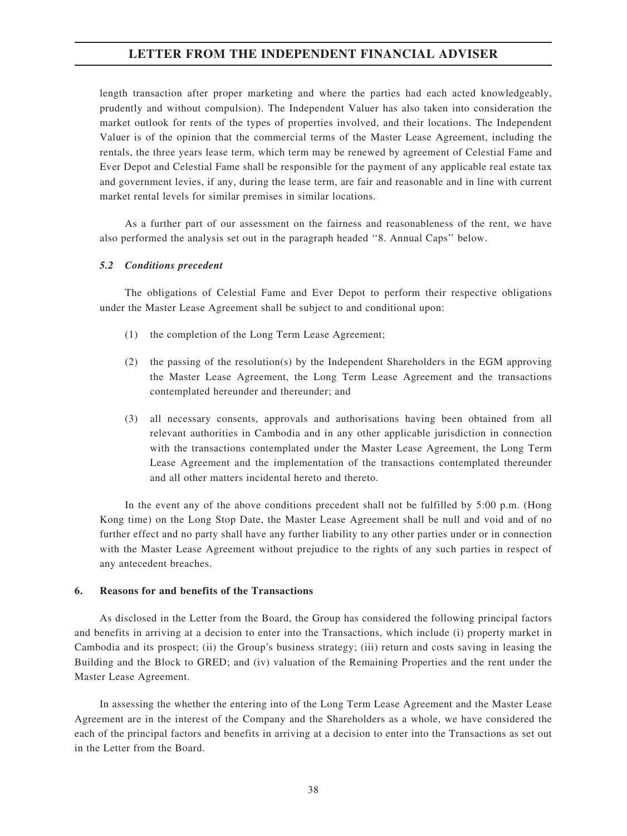length transaction after proper marketing and where the parties had each acted knowledgeably, prudently and without compulsion). The Independent Valuer has also taken into consideration the market outlook for rents of the types of properties involved, and their locations. The Independent Valuer is of the opinion that the commercial terms of the Master Lease Agreement, including the rentals, the three years lease term, which term may be renewed by agreement of Celestial Fame and Ever Depot and Celestial Fame shall be responsible for the payment of any applicable real estate tax and government levies, if any, during the lease term, are fair and reasonable and in line with current market rental levels for similar premises in similar locations.

As a further part of our assessment on the fairness and reasonableness of the rent, we have also performed the analysis set out in the paragraph headed ''8. Annual Caps'' below.

### 5.2 Conditions precedent

The obligations of Celestial Fame and Ever Depot to perform their respective obligations under the Master Lease Agreement shall be subject to and conditional upon:

- (1) the completion of the Long Term Lease Agreement;
- (2) the passing of the resolution(s) by the Independent Shareholders in the EGM approving the Master Lease Agreement, the Long Term Lease Agreement and the transactions contemplated hereunder and thereunder; and
- (3) all necessary consents, approvals and authorisations having been obtained from all relevant authorities in Cambodia and in any other applicable jurisdiction in connection with the transactions contemplated under the Master Lease Agreement, the Long Term Lease Agreement and the implementation of the transactions contemplated thereunder and all other matters incidental hereto and thereto.

In the event any of the above conditions precedent shall not be fulfilled by 5:00 p.m. (Hong Kong time) on the Long Stop Date, the Master Lease Agreement shall be null and void and of no further effect and no party shall have any further liability to any other parties under or in connection with the Master Lease Agreement without prejudice to the rights of any such parties in respect of any antecedent breaches.

### 6. Reasons for and benefits of the Transactions

As disclosed in the Letter from the Board, the Group has considered the following principal factors and benefits in arriving at a decision to enter into the Transactions, which include (i) property market in Cambodia and its prospect; (ii) the Group's business strategy; (iii) return and costs saving in leasing the Building and the Block to GRED; and (iv) valuation of the Remaining Properties and the rent under the Master Lease Agreement.

In assessing the whether the entering into of the Long Term Lease Agreement and the Master Lease Agreement are in the interest of the Company and the Shareholders as a whole, we have considered the each of the principal factors and benefits in arriving at a decision to enter into the Transactions as set out in the Letter from the Board.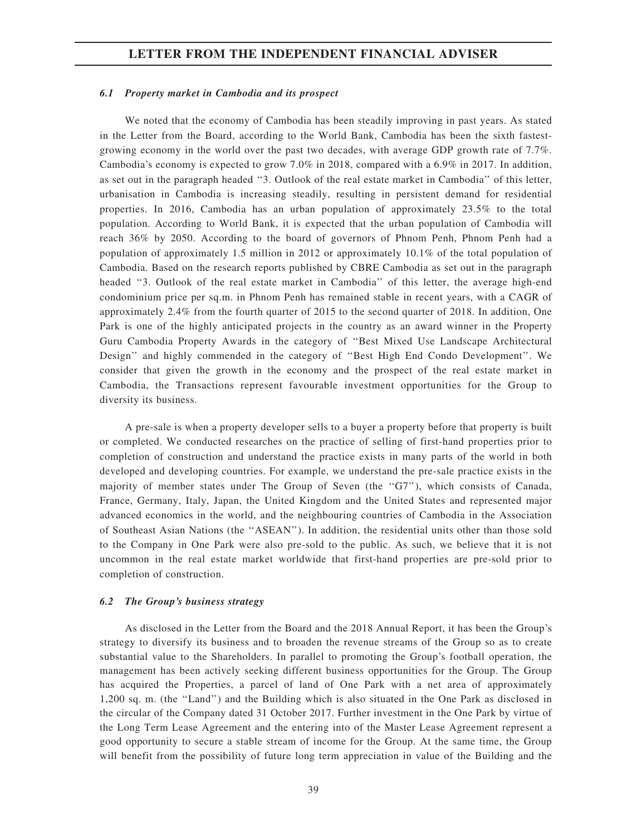### 6.1 Property market in Cambodia and its prospect

We noted that the economy of Cambodia has been steadily improving in past years. As stated in the Letter from the Board, according to the World Bank, Cambodia has been the sixth fastestgrowing economy in the world over the past two decades, with average GDP growth rate of 7.7%. Cambodia's economy is expected to grow 7.0% in 2018, compared with a 6.9% in 2017. In addition, as set out in the paragraph headed ''3. Outlook of the real estate market in Cambodia'' of this letter, urbanisation in Cambodia is increasing steadily, resulting in persistent demand for residential properties. In 2016, Cambodia has an urban population of approximately 23.5% to the total population. According to World Bank, it is expected that the urban population of Cambodia will reach 36% by 2050. According to the board of governors of Phnom Penh, Phnom Penh had a population of approximately 1.5 million in 2012 or approximately 10.1% of the total population of Cambodia. Based on the research reports published by CBRE Cambodia as set out in the paragraph headed ''3. Outlook of the real estate market in Cambodia'' of this letter, the average high-end condominium price per sq.m. in Phnom Penh has remained stable in recent years, with a CAGR of approximately 2.4% from the fourth quarter of 2015 to the second quarter of 2018. In addition, One Park is one of the highly anticipated projects in the country as an award winner in the Property Guru Cambodia Property Awards in the category of ''Best Mixed Use Landscape Architectural Design'' and highly commended in the category of ''Best High End Condo Development''. We consider that given the growth in the economy and the prospect of the real estate market in Cambodia, the Transactions represent favourable investment opportunities for the Group to diversity its business.

A pre-sale is when a property developer sells to a buyer a property before that property is built or completed. We conducted researches on the practice of selling of first-hand properties prior to completion of construction and understand the practice exists in many parts of the world in both developed and developing countries. For example, we understand the pre-sale practice exists in the majority of member states under The Group of Seven (the ''G7''), which consists of Canada, France, Germany, Italy, Japan, the United Kingdom and the United States and represented major advanced economics in the world, and the neighbouring countries of Cambodia in the Association of Southeast Asian Nations (the ''ASEAN''). In addition, the residential units other than those sold to the Company in One Park were also pre-sold to the public. As such, we believe that it is not uncommon in the real estate market worldwide that first-hand properties are pre-sold prior to completion of construction.

#### 6.2 The Group's business strategy

As disclosed in the Letter from the Board and the 2018 Annual Report, it has been the Group's strategy to diversify its business and to broaden the revenue streams of the Group so as to create substantial value to the Shareholders. In parallel to promoting the Group's football operation, the management has been actively seeking different business opportunities for the Group. The Group has acquired the Properties, a parcel of land of One Park with a net area of approximately 1,200 sq. m. (the ''Land'') and the Building which is also situated in the One Park as disclosed in the circular of the Company dated 31 October 2017. Further investment in the One Park by virtue of the Long Term Lease Agreement and the entering into of the Master Lease Agreement represent a good opportunity to secure a stable stream of income for the Group. At the same time, the Group will benefit from the possibility of future long term appreciation in value of the Building and the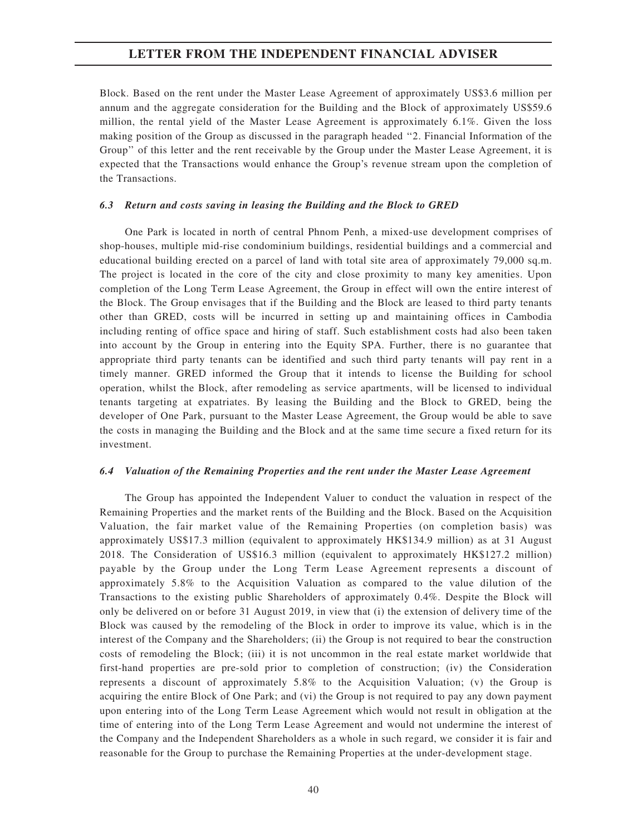Block. Based on the rent under the Master Lease Agreement of approximately US\$3.6 million per annum and the aggregate consideration for the Building and the Block of approximately US\$59.6 million, the rental yield of the Master Lease Agreement is approximately 6.1%. Given the loss making position of the Group as discussed in the paragraph headed ''2. Financial Information of the Group'' of this letter and the rent receivable by the Group under the Master Lease Agreement, it is expected that the Transactions would enhance the Group's revenue stream upon the completion of the Transactions.

#### 6.3 Return and costs saving in leasing the Building and the Block to GRED

One Park is located in north of central Phnom Penh, a mixed-use development comprises of shop-houses, multiple mid-rise condominium buildings, residential buildings and a commercial and educational building erected on a parcel of land with total site area of approximately 79,000 sq.m. The project is located in the core of the city and close proximity to many key amenities. Upon completion of the Long Term Lease Agreement, the Group in effect will own the entire interest of the Block. The Group envisages that if the Building and the Block are leased to third party tenants other than GRED, costs will be incurred in setting up and maintaining offices in Cambodia including renting of office space and hiring of staff. Such establishment costs had also been taken into account by the Group in entering into the Equity SPA. Further, there is no guarantee that appropriate third party tenants can be identified and such third party tenants will pay rent in a timely manner. GRED informed the Group that it intends to license the Building for school operation, whilst the Block, after remodeling as service apartments, will be licensed to individual tenants targeting at expatriates. By leasing the Building and the Block to GRED, being the developer of One Park, pursuant to the Master Lease Agreement, the Group would be able to save the costs in managing the Building and the Block and at the same time secure a fixed return for its investment.

### 6.4 Valuation of the Remaining Properties and the rent under the Master Lease Agreement

The Group has appointed the Independent Valuer to conduct the valuation in respect of the Remaining Properties and the market rents of the Building and the Block. Based on the Acquisition Valuation, the fair market value of the Remaining Properties (on completion basis) was approximately US\$17.3 million (equivalent to approximately HK\$134.9 million) as at 31 August 2018. The Consideration of US\$16.3 million (equivalent to approximately HK\$127.2 million) payable by the Group under the Long Term Lease Agreement represents a discount of approximately 5.8% to the Acquisition Valuation as compared to the value dilution of the Transactions to the existing public Shareholders of approximately 0.4%. Despite the Block will only be delivered on or before 31 August 2019, in view that (i) the extension of delivery time of the Block was caused by the remodeling of the Block in order to improve its value, which is in the interest of the Company and the Shareholders; (ii) the Group is not required to bear the construction costs of remodeling the Block; (iii) it is not uncommon in the real estate market worldwide that first-hand properties are pre-sold prior to completion of construction; (iv) the Consideration represents a discount of approximately 5.8% to the Acquisition Valuation; (v) the Group is acquiring the entire Block of One Park; and (vi) the Group is not required to pay any down payment upon entering into of the Long Term Lease Agreement which would not result in obligation at the time of entering into of the Long Term Lease Agreement and would not undermine the interest of the Company and the Independent Shareholders as a whole in such regard, we consider it is fair and reasonable for the Group to purchase the Remaining Properties at the under-development stage.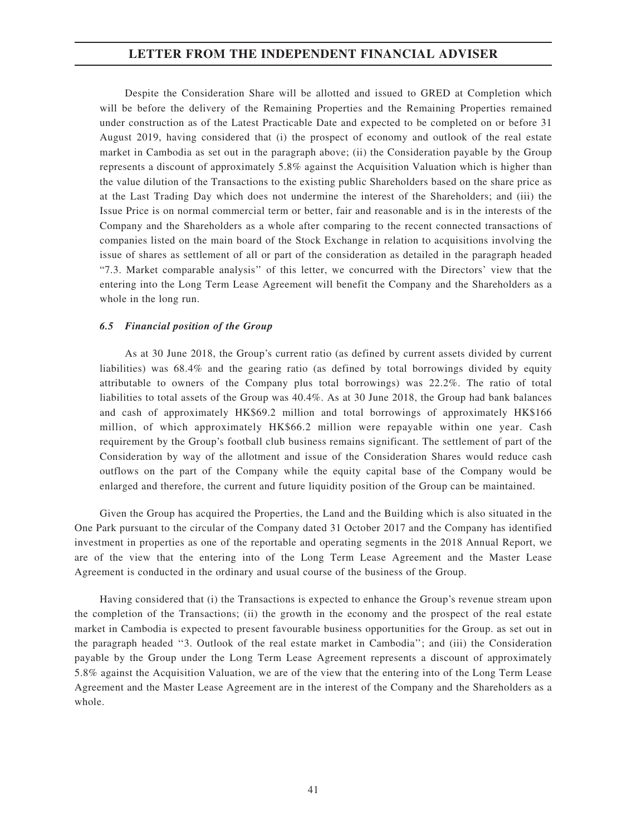Despite the Consideration Share will be allotted and issued to GRED at Completion which will be before the delivery of the Remaining Properties and the Remaining Properties remained under construction as of the Latest Practicable Date and expected to be completed on or before 31 August 2019, having considered that (i) the prospect of economy and outlook of the real estate market in Cambodia as set out in the paragraph above; (ii) the Consideration payable by the Group represents a discount of approximately 5.8% against the Acquisition Valuation which is higher than the value dilution of the Transactions to the existing public Shareholders based on the share price as at the Last Trading Day which does not undermine the interest of the Shareholders; and (iii) the Issue Price is on normal commercial term or better, fair and reasonable and is in the interests of the Company and the Shareholders as a whole after comparing to the recent connected transactions of companies listed on the main board of the Stock Exchange in relation to acquisitions involving the issue of shares as settlement of all or part of the consideration as detailed in the paragraph headed "7.3. Market comparable analysis'' of this letter, we concurred with the Directors' view that the entering into the Long Term Lease Agreement will benefit the Company and the Shareholders as a whole in the long run.

## 6.5 Financial position of the Group

As at 30 June 2018, the Group's current ratio (as defined by current assets divided by current liabilities) was 68.4% and the gearing ratio (as defined by total borrowings divided by equity attributable to owners of the Company plus total borrowings) was 22.2%. The ratio of total liabilities to total assets of the Group was 40.4%. As at 30 June 2018, the Group had bank balances and cash of approximately HK\$69.2 million and total borrowings of approximately HK\$166 million, of which approximately HK\$66.2 million were repayable within one year. Cash requirement by the Group's football club business remains significant. The settlement of part of the Consideration by way of the allotment and issue of the Consideration Shares would reduce cash outflows on the part of the Company while the equity capital base of the Company would be enlarged and therefore, the current and future liquidity position of the Group can be maintained.

Given the Group has acquired the Properties, the Land and the Building which is also situated in the One Park pursuant to the circular of the Company dated 31 October 2017 and the Company has identified investment in properties as one of the reportable and operating segments in the 2018 Annual Report, we are of the view that the entering into of the Long Term Lease Agreement and the Master Lease Agreement is conducted in the ordinary and usual course of the business of the Group.

Having considered that (i) the Transactions is expected to enhance the Group's revenue stream upon the completion of the Transactions; (ii) the growth in the economy and the prospect of the real estate market in Cambodia is expected to present favourable business opportunities for the Group. as set out in the paragraph headed ''3. Outlook of the real estate market in Cambodia''; and (iii) the Consideration payable by the Group under the Long Term Lease Agreement represents a discount of approximately 5.8% against the Acquisition Valuation, we are of the view that the entering into of the Long Term Lease Agreement and the Master Lease Agreement are in the interest of the Company and the Shareholders as a whole.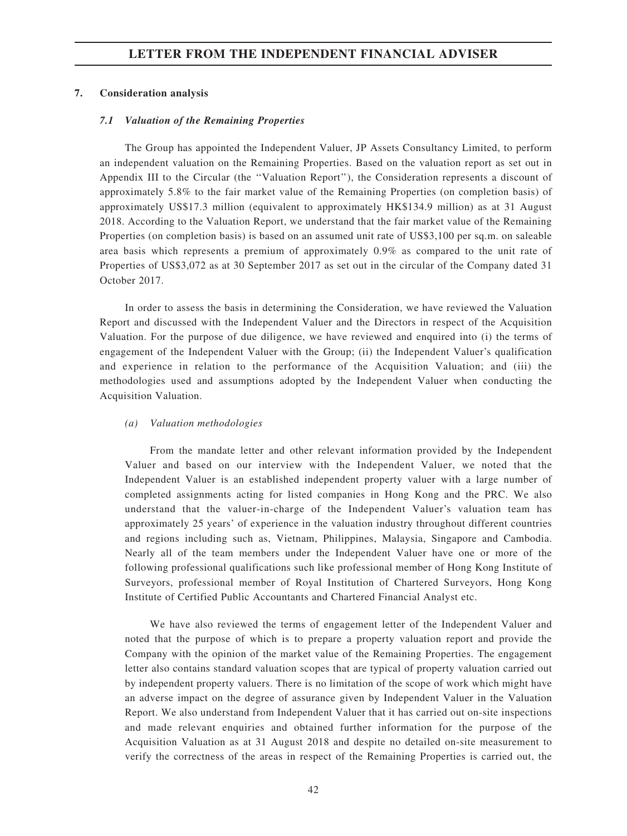### 7. Consideration analysis

### 7.1 Valuation of the Remaining Properties

The Group has appointed the Independent Valuer, JP Assets Consultancy Limited, to perform an independent valuation on the Remaining Properties. Based on the valuation report as set out in Appendix III to the Circular (the ''Valuation Report''), the Consideration represents a discount of approximately 5.8% to the fair market value of the Remaining Properties (on completion basis) of approximately US\$17.3 million (equivalent to approximately HK\$134.9 million) as at 31 August 2018. According to the Valuation Report, we understand that the fair market value of the Remaining Properties (on completion basis) is based on an assumed unit rate of US\$3,100 per sq.m. on saleable area basis which represents a premium of approximately 0.9% as compared to the unit rate of Properties of US\$3,072 as at 30 September 2017 as set out in the circular of the Company dated 31 October 2017.

In order to assess the basis in determining the Consideration, we have reviewed the Valuation Report and discussed with the Independent Valuer and the Directors in respect of the Acquisition Valuation. For the purpose of due diligence, we have reviewed and enquired into (i) the terms of engagement of the Independent Valuer with the Group; (ii) the Independent Valuer's qualification and experience in relation to the performance of the Acquisition Valuation; and (iii) the methodologies used and assumptions adopted by the Independent Valuer when conducting the Acquisition Valuation.

### (a) Valuation methodologies

From the mandate letter and other relevant information provided by the Independent Valuer and based on our interview with the Independent Valuer, we noted that the Independent Valuer is an established independent property valuer with a large number of completed assignments acting for listed companies in Hong Kong and the PRC. We also understand that the valuer-in-charge of the Independent Valuer's valuation team has approximately 25 years' of experience in the valuation industry throughout different countries and regions including such as, Vietnam, Philippines, Malaysia, Singapore and Cambodia. Nearly all of the team members under the Independent Valuer have one or more of the following professional qualifications such like professional member of Hong Kong Institute of Surveyors, professional member of Royal Institution of Chartered Surveyors, Hong Kong Institute of Certified Public Accountants and Chartered Financial Analyst etc.

We have also reviewed the terms of engagement letter of the Independent Valuer and noted that the purpose of which is to prepare a property valuation report and provide the Company with the opinion of the market value of the Remaining Properties. The engagement letter also contains standard valuation scopes that are typical of property valuation carried out by independent property valuers. There is no limitation of the scope of work which might have an adverse impact on the degree of assurance given by Independent Valuer in the Valuation Report. We also understand from Independent Valuer that it has carried out on-site inspections and made relevant enquiries and obtained further information for the purpose of the Acquisition Valuation as at 31 August 2018 and despite no detailed on-site measurement to verify the correctness of the areas in respect of the Remaining Properties is carried out, the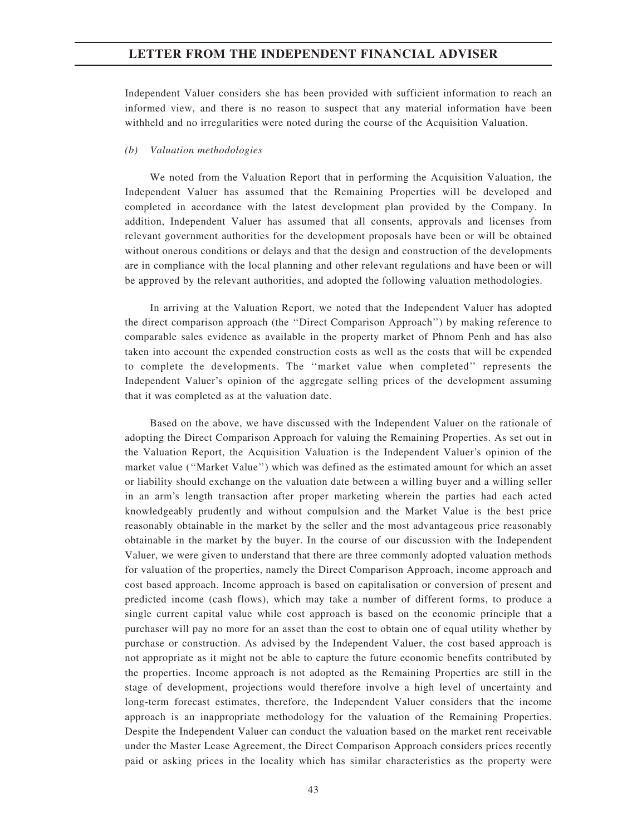Independent Valuer considers she has been provided with sufficient information to reach an informed view, and there is no reason to suspect that any material information have been withheld and no irregularities were noted during the course of the Acquisition Valuation.

## (b) Valuation methodologies

We noted from the Valuation Report that in performing the Acquisition Valuation, the Independent Valuer has assumed that the Remaining Properties will be developed and completed in accordance with the latest development plan provided by the Company. In addition, Independent Valuer has assumed that all consents, approvals and licenses from relevant government authorities for the development proposals have been or will be obtained without onerous conditions or delays and that the design and construction of the developments are in compliance with the local planning and other relevant regulations and have been or will be approved by the relevant authorities, and adopted the following valuation methodologies.

In arriving at the Valuation Report, we noted that the Independent Valuer has adopted the direct comparison approach (the ''Direct Comparison Approach'') by making reference to comparable sales evidence as available in the property market of Phnom Penh and has also taken into account the expended construction costs as well as the costs that will be expended to complete the developments. The ''market value when completed'' represents the Independent Valuer's opinion of the aggregate selling prices of the development assuming that it was completed as at the valuation date.

Based on the above, we have discussed with the Independent Valuer on the rationale of adopting the Direct Comparison Approach for valuing the Remaining Properties. As set out in the Valuation Report, the Acquisition Valuation is the Independent Valuer's opinion of the market value (''Market Value'') which was defined as the estimated amount for which an asset or liability should exchange on the valuation date between a willing buyer and a willing seller in an arm's length transaction after proper marketing wherein the parties had each acted knowledgeably prudently and without compulsion and the Market Value is the best price reasonably obtainable in the market by the seller and the most advantageous price reasonably obtainable in the market by the buyer. In the course of our discussion with the Independent Valuer, we were given to understand that there are three commonly adopted valuation methods for valuation of the properties, namely the Direct Comparison Approach, income approach and cost based approach. Income approach is based on capitalisation or conversion of present and predicted income (cash flows), which may take a number of different forms, to produce a single current capital value while cost approach is based on the economic principle that a purchaser will pay no more for an asset than the cost to obtain one of equal utility whether by purchase or construction. As advised by the Independent Valuer, the cost based approach is not appropriate as it might not be able to capture the future economic benefits contributed by the properties. Income approach is not adopted as the Remaining Properties are still in the stage of development, projections would therefore involve a high level of uncertainty and long-term forecast estimates, therefore, the Independent Valuer considers that the income approach is an inappropriate methodology for the valuation of the Remaining Properties. Despite the Independent Valuer can conduct the valuation based on the market rent receivable under the Master Lease Agreement, the Direct Comparison Approach considers prices recently paid or asking prices in the locality which has similar characteristics as the property were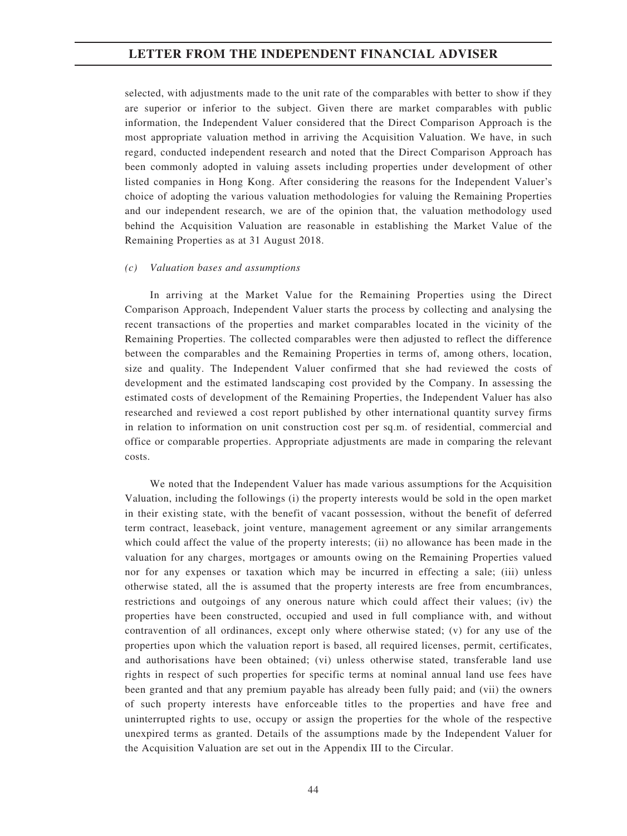selected, with adjustments made to the unit rate of the comparables with better to show if they are superior or inferior to the subject. Given there are market comparables with public information, the Independent Valuer considered that the Direct Comparison Approach is the most appropriate valuation method in arriving the Acquisition Valuation. We have, in such regard, conducted independent research and noted that the Direct Comparison Approach has been commonly adopted in valuing assets including properties under development of other listed companies in Hong Kong. After considering the reasons for the Independent Valuer's choice of adopting the various valuation methodologies for valuing the Remaining Properties and our independent research, we are of the opinion that, the valuation methodology used behind the Acquisition Valuation are reasonable in establishing the Market Value of the Remaining Properties as at 31 August 2018.

### (c) Valuation bases and assumptions

In arriving at the Market Value for the Remaining Properties using the Direct Comparison Approach, Independent Valuer starts the process by collecting and analysing the recent transactions of the properties and market comparables located in the vicinity of the Remaining Properties. The collected comparables were then adjusted to reflect the difference between the comparables and the Remaining Properties in terms of, among others, location, size and quality. The Independent Valuer confirmed that she had reviewed the costs of development and the estimated landscaping cost provided by the Company. In assessing the estimated costs of development of the Remaining Properties, the Independent Valuer has also researched and reviewed a cost report published by other international quantity survey firms in relation to information on unit construction cost per sq.m. of residential, commercial and office or comparable properties. Appropriate adjustments are made in comparing the relevant costs.

We noted that the Independent Valuer has made various assumptions for the Acquisition Valuation, including the followings (i) the property interests would be sold in the open market in their existing state, with the benefit of vacant possession, without the benefit of deferred term contract, leaseback, joint venture, management agreement or any similar arrangements which could affect the value of the property interests; (ii) no allowance has been made in the valuation for any charges, mortgages or amounts owing on the Remaining Properties valued nor for any expenses or taxation which may be incurred in effecting a sale; (iii) unless otherwise stated, all the is assumed that the property interests are free from encumbrances, restrictions and outgoings of any onerous nature which could affect their values; (iv) the properties have been constructed, occupied and used in full compliance with, and without contravention of all ordinances, except only where otherwise stated; (v) for any use of the properties upon which the valuation report is based, all required licenses, permit, certificates, and authorisations have been obtained; (vi) unless otherwise stated, transferable land use rights in respect of such properties for specific terms at nominal annual land use fees have been granted and that any premium payable has already been fully paid; and (vii) the owners of such property interests have enforceable titles to the properties and have free and uninterrupted rights to use, occupy or assign the properties for the whole of the respective unexpired terms as granted. Details of the assumptions made by the Independent Valuer for the Acquisition Valuation are set out in the Appendix III to the Circular.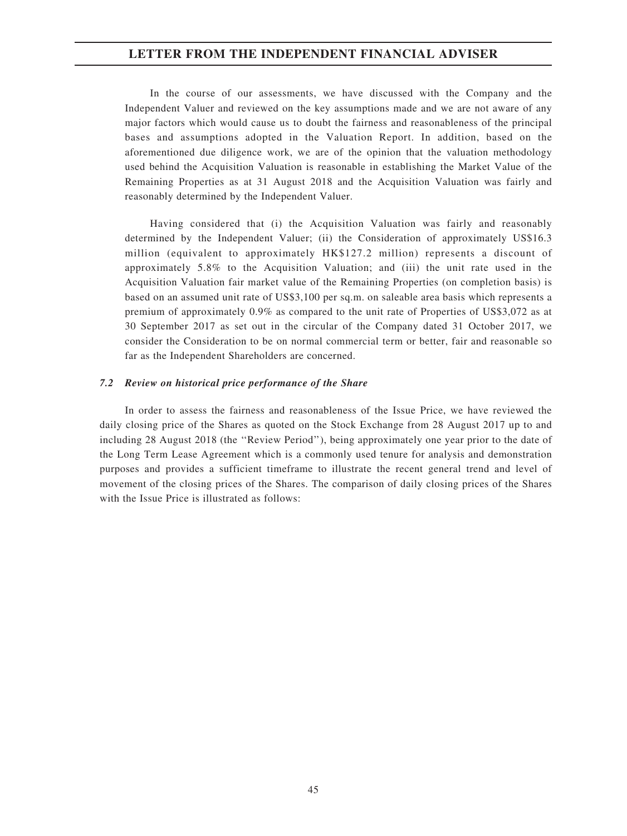In the course of our assessments, we have discussed with the Company and the Independent Valuer and reviewed on the key assumptions made and we are not aware of any major factors which would cause us to doubt the fairness and reasonableness of the principal bases and assumptions adopted in the Valuation Report. In addition, based on the aforementioned due diligence work, we are of the opinion that the valuation methodology used behind the Acquisition Valuation is reasonable in establishing the Market Value of the Remaining Properties as at 31 August 2018 and the Acquisition Valuation was fairly and reasonably determined by the Independent Valuer.

Having considered that (i) the Acquisition Valuation was fairly and reasonably determined by the Independent Valuer; (ii) the Consideration of approximately US\$16.3 million (equivalent to approximately HK\$127.2 million) represents a discount of approximately 5.8% to the Acquisition Valuation; and (iii) the unit rate used in the Acquisition Valuation fair market value of the Remaining Properties (on completion basis) is based on an assumed unit rate of US\$3,100 per sq.m. on saleable area basis which represents a premium of approximately 0.9% as compared to the unit rate of Properties of US\$3,072 as at 30 September 2017 as set out in the circular of the Company dated 31 October 2017, we consider the Consideration to be on normal commercial term or better, fair and reasonable so far as the Independent Shareholders are concerned.

## 7.2 Review on historical price performance of the Share

In order to assess the fairness and reasonableness of the Issue Price, we have reviewed the daily closing price of the Shares as quoted on the Stock Exchange from 28 August 2017 up to and including 28 August 2018 (the ''Review Period''), being approximately one year prior to the date of the Long Term Lease Agreement which is a commonly used tenure for analysis and demonstration purposes and provides a sufficient timeframe to illustrate the recent general trend and level of movement of the closing prices of the Shares. The comparison of daily closing prices of the Shares with the Issue Price is illustrated as follows: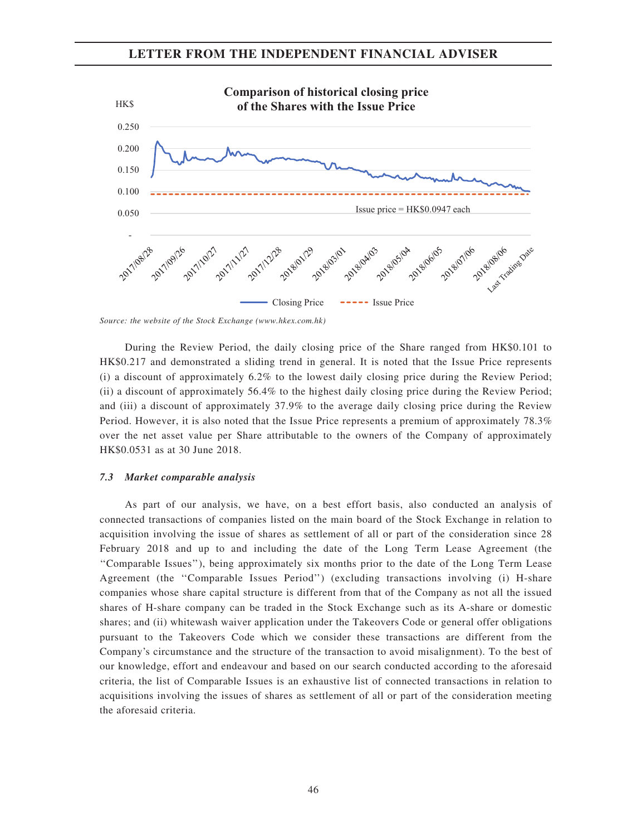

Source: the website of the Stock Exchange (www.hkex.com.hk)

During the Review Period, the daily closing price of the Share ranged from HK\$0.101 to HK\$0.217 and demonstrated a sliding trend in general. It is noted that the Issue Price represents (i) a discount of approximately 6.2% to the lowest daily closing price during the Review Period; (ii) a discount of approximately 56.4% to the highest daily closing price during the Review Period; and (iii) a discount of approximately 37.9% to the average daily closing price during the Review Period. However, it is also noted that the Issue Price represents a premium of approximately 78.3% over the net asset value per Share attributable to the owners of the Company of approximately HK\$0.0531 as at 30 June 2018.

## 7.3 Market comparable analysis

As part of our analysis, we have, on a best effort basis, also conducted an analysis of connected transactions of companies listed on the main board of the Stock Exchange in relation to acquisition involving the issue of shares as settlement of all or part of the consideration since 28 February 2018 and up to and including the date of the Long Term Lease Agreement (the ''Comparable Issues''), being approximately six months prior to the date of the Long Term Lease Agreement (the ''Comparable Issues Period'') (excluding transactions involving (i) H-share companies whose share capital structure is different from that of the Company as not all the issued shares of H-share company can be traded in the Stock Exchange such as its A-share or domestic shares; and (ii) whitewash waiver application under the Takeovers Code or general offer obligations pursuant to the Takeovers Code which we consider these transactions are different from the Company's circumstance and the structure of the transaction to avoid misalignment). To the best of our knowledge, effort and endeavour and based on our search conducted according to the aforesaid criteria, the list of Comparable Issues is an exhaustive list of connected transactions in relation to acquisitions involving the issues of shares as settlement of all or part of the consideration meeting the aforesaid criteria.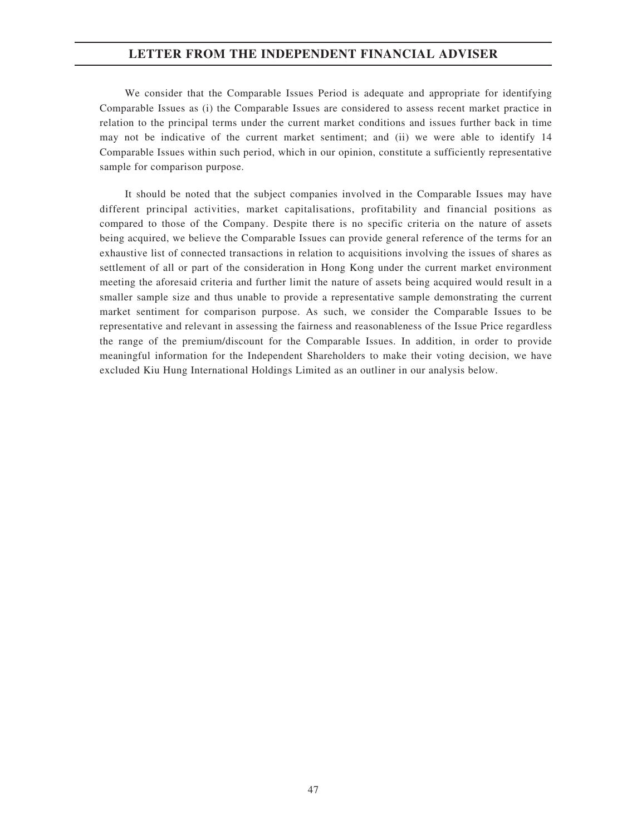We consider that the Comparable Issues Period is adequate and appropriate for identifying Comparable Issues as (i) the Comparable Issues are considered to assess recent market practice in relation to the principal terms under the current market conditions and issues further back in time may not be indicative of the current market sentiment; and (ii) we were able to identify 14 Comparable Issues within such period, which in our opinion, constitute a sufficiently representative sample for comparison purpose.

It should be noted that the subject companies involved in the Comparable Issues may have different principal activities, market capitalisations, profitability and financial positions as compared to those of the Company. Despite there is no specific criteria on the nature of assets being acquired, we believe the Comparable Issues can provide general reference of the terms for an exhaustive list of connected transactions in relation to acquisitions involving the issues of shares as settlement of all or part of the consideration in Hong Kong under the current market environment meeting the aforesaid criteria and further limit the nature of assets being acquired would result in a smaller sample size and thus unable to provide a representative sample demonstrating the current market sentiment for comparison purpose. As such, we consider the Comparable Issues to be representative and relevant in assessing the fairness and reasonableness of the Issue Price regardless the range of the premium/discount for the Comparable Issues. In addition, in order to provide meaningful information for the Independent Shareholders to make their voting decision, we have excluded Kiu Hung International Holdings Limited as an outliner in our analysis below.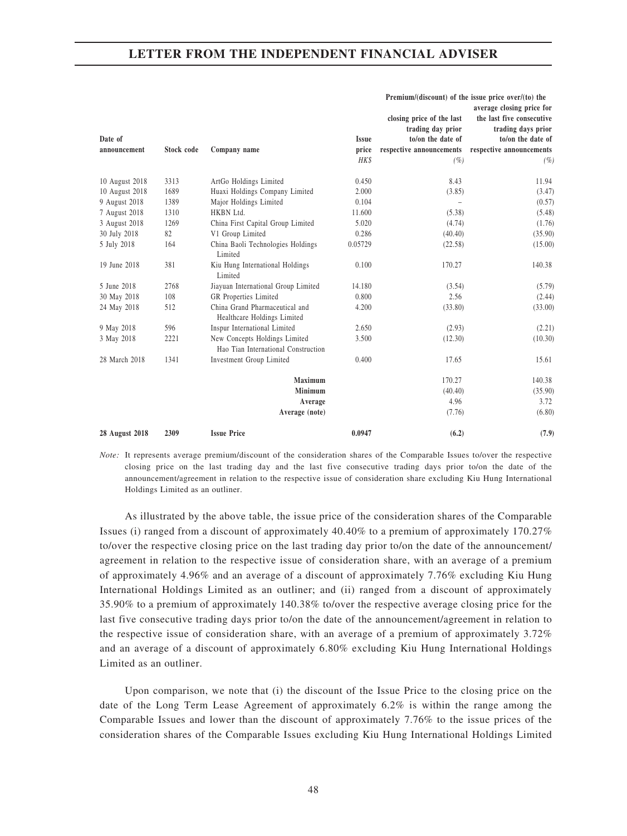|                |            |                                                                      |              | closing price of the last<br>trading day prior | average closing price for<br>the last five consecutive<br>trading days prior |
|----------------|------------|----------------------------------------------------------------------|--------------|------------------------------------------------|------------------------------------------------------------------------------|
| Date of        |            |                                                                      | <b>Issue</b> | to/on the date of                              | to/on the date of                                                            |
| announcement   | Stock code | Company name                                                         | price        | respective announcements                       | respective announcements                                                     |
|                |            |                                                                      | <b>HKS</b>   | (%)                                            | (%)                                                                          |
| 10 August 2018 | 3313       | ArtGo Holdings Limited                                               | 0.450        | 8.43                                           | 11.94                                                                        |
| 10 August 2018 | 1689       | Huaxi Holdings Company Limited                                       | 2.000        | (3.85)                                         | (3.47)                                                                       |
| 9 August 2018  | 1389       | Major Holdings Limited                                               | 0.104        |                                                | (0.57)                                                                       |
| 7 August 2018  | 1310       | HKBN Ltd.                                                            | 11.600       | (5.38)                                         | (5.48)                                                                       |
| 3 August 2018  | 1269       | China First Capital Group Limited                                    | 5.020        | (4.74)                                         | (1.76)                                                                       |
| 30 July 2018   | 82         | V1 Group Limited                                                     | 0.286        | (40.40)                                        | (35.90)                                                                      |
| 5 July 2018    | 164        | China Baoli Technologies Holdings<br>Limited                         | 0.05729      | (22.58)                                        | (15.00)                                                                      |
| 19 June 2018   | 381        | Kiu Hung International Holdings<br>Limited                           | 0.100        | 170.27                                         | 140.38                                                                       |
| 5 June 2018    | 2768       | Jiayuan International Group Limited                                  | 14.180       | (3.54)                                         | (5.79)                                                                       |
| 30 May 2018    | 108        | GR Properties Limited                                                | 0.800        | 2.56                                           | (2.44)                                                                       |
| 24 May 2018    | 512        | China Grand Pharmaceutical and<br>Healthcare Holdings Limited        | 4.200        | (33.80)                                        | (33.00)                                                                      |
| 9 May 2018     | 596        | Inspur International Limited                                         | 2.650        | (2.93)                                         | (2.21)                                                                       |
| 3 May 2018     | 2221       | New Concepts Holdings Limited<br>Hao Tian International Construction | 3.500        | (12.30)                                        | (10.30)                                                                      |
| 28 March 2018  | 1341       | Investment Group Limited                                             | 0.400        | 17.65                                          | 15.61                                                                        |
|                |            | Maximum                                                              |              | 170.27                                         | 140.38                                                                       |
|                |            | Minimum                                                              |              | (40.40)                                        | (35.90)                                                                      |
|                |            | Average                                                              |              | 4.96                                           | 3.72                                                                         |
|                |            | Average (note)                                                       |              | (7.76)                                         | (6.80)                                                                       |
| 28 August 2018 | 2309       | <b>Issue Price</b>                                                   | 0.0947       | (6.2)                                          | (7.9)                                                                        |

Premium/(discount) of the issue price over/(to) the

Note: It represents average premium/discount of the consideration shares of the Comparable Issues to/over the respective closing price on the last trading day and the last five consecutive trading days prior to/on the date of the announcement/agreement in relation to the respective issue of consideration share excluding Kiu Hung International Holdings Limited as an outliner.

As illustrated by the above table, the issue price of the consideration shares of the Comparable Issues (i) ranged from a discount of approximately  $40.40\%$  to a premium of approximately  $170.27\%$ to/over the respective closing price on the last trading day prior to/on the date of the announcement/ agreement in relation to the respective issue of consideration share, with an average of a premium of approximately 4.96% and an average of a discount of approximately 7.76% excluding Kiu Hung International Holdings Limited as an outliner; and (ii) ranged from a discount of approximately 35.90% to a premium of approximately 140.38% to/over the respective average closing price for the last five consecutive trading days prior to/on the date of the announcement/agreement in relation to the respective issue of consideration share, with an average of a premium of approximately 3.72% and an average of a discount of approximately 6.80% excluding Kiu Hung International Holdings Limited as an outliner.

Upon comparison, we note that (i) the discount of the Issue Price to the closing price on the date of the Long Term Lease Agreement of approximately 6.2% is within the range among the Comparable Issues and lower than the discount of approximately 7.76% to the issue prices of the consideration shares of the Comparable Issues excluding Kiu Hung International Holdings Limited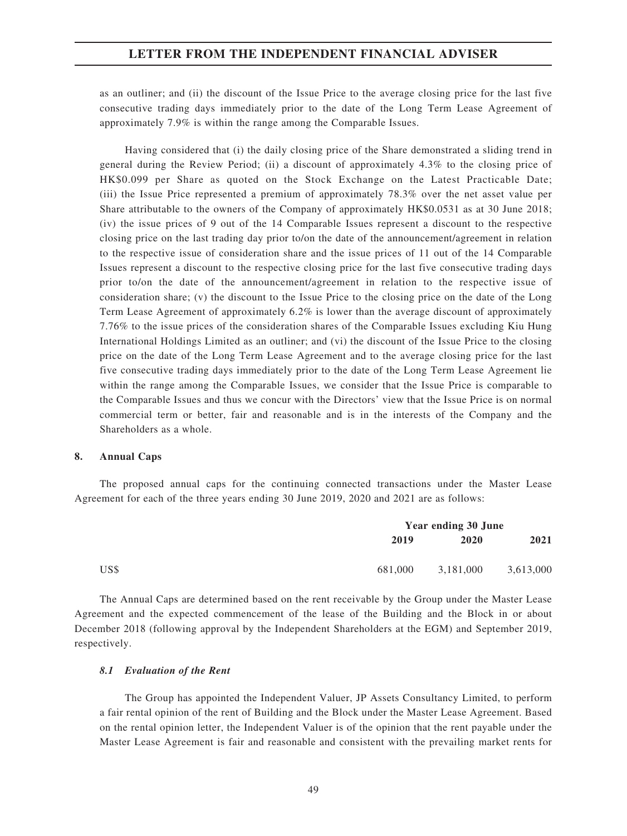as an outliner; and (ii) the discount of the Issue Price to the average closing price for the last five consecutive trading days immediately prior to the date of the Long Term Lease Agreement of approximately 7.9% is within the range among the Comparable Issues.

Having considered that (i) the daily closing price of the Share demonstrated a sliding trend in general during the Review Period; (ii) a discount of approximately 4.3% to the closing price of HK\$0.099 per Share as quoted on the Stock Exchange on the Latest Practicable Date; (iii) the Issue Price represented a premium of approximately 78.3% over the net asset value per Share attributable to the owners of the Company of approximately HK\$0.0531 as at 30 June 2018; (iv) the issue prices of 9 out of the 14 Comparable Issues represent a discount to the respective closing price on the last trading day prior to/on the date of the announcement/agreement in relation to the respective issue of consideration share and the issue prices of 11 out of the 14 Comparable Issues represent a discount to the respective closing price for the last five consecutive trading days prior to/on the date of the announcement/agreement in relation to the respective issue of consideration share; (v) the discount to the Issue Price to the closing price on the date of the Long Term Lease Agreement of approximately 6.2% is lower than the average discount of approximately 7.76% to the issue prices of the consideration shares of the Comparable Issues excluding Kiu Hung International Holdings Limited as an outliner; and (vi) the discount of the Issue Price to the closing price on the date of the Long Term Lease Agreement and to the average closing price for the last five consecutive trading days immediately prior to the date of the Long Term Lease Agreement lie within the range among the Comparable Issues, we consider that the Issue Price is comparable to the Comparable Issues and thus we concur with the Directors' view that the Issue Price is on normal commercial term or better, fair and reasonable and is in the interests of the Company and the Shareholders as a whole.

## 8. Annual Caps

The proposed annual caps for the continuing connected transactions under the Master Lease Agreement for each of the three years ending 30 June 2019, 2020 and 2021 are as follows:

|      |         | Year ending 30 June |           |  |
|------|---------|---------------------|-----------|--|
|      | 2019    | 2020                | 2021      |  |
| US\$ | 681,000 | 3,181,000           | 3,613,000 |  |

The Annual Caps are determined based on the rent receivable by the Group under the Master Lease Agreement and the expected commencement of the lease of the Building and the Block in or about December 2018 (following approval by the Independent Shareholders at the EGM) and September 2019, respectively.

## 8.1 Evaluation of the Rent

The Group has appointed the Independent Valuer, JP Assets Consultancy Limited, to perform a fair rental opinion of the rent of Building and the Block under the Master Lease Agreement. Based on the rental opinion letter, the Independent Valuer is of the opinion that the rent payable under the Master Lease Agreement is fair and reasonable and consistent with the prevailing market rents for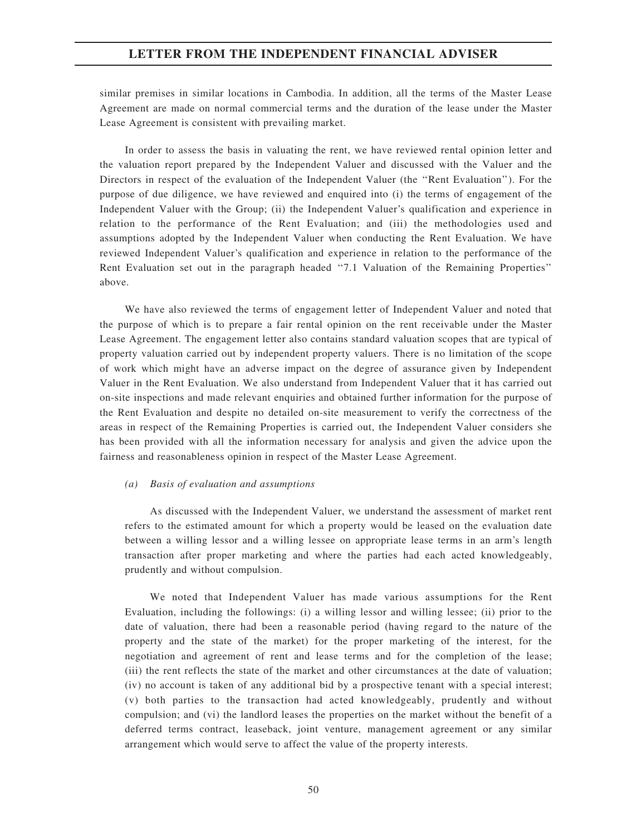similar premises in similar locations in Cambodia. In addition, all the terms of the Master Lease Agreement are made on normal commercial terms and the duration of the lease under the Master Lease Agreement is consistent with prevailing market.

In order to assess the basis in valuating the rent, we have reviewed rental opinion letter and the valuation report prepared by the Independent Valuer and discussed with the Valuer and the Directors in respect of the evaluation of the Independent Valuer (the ''Rent Evaluation''). For the purpose of due diligence, we have reviewed and enquired into (i) the terms of engagement of the Independent Valuer with the Group; (ii) the Independent Valuer's qualification and experience in relation to the performance of the Rent Evaluation; and (iii) the methodologies used and assumptions adopted by the Independent Valuer when conducting the Rent Evaluation. We have reviewed Independent Valuer's qualification and experience in relation to the performance of the Rent Evaluation set out in the paragraph headed ''7.1 Valuation of the Remaining Properties'' above.

We have also reviewed the terms of engagement letter of Independent Valuer and noted that the purpose of which is to prepare a fair rental opinion on the rent receivable under the Master Lease Agreement. The engagement letter also contains standard valuation scopes that are typical of property valuation carried out by independent property valuers. There is no limitation of the scope of work which might have an adverse impact on the degree of assurance given by Independent Valuer in the Rent Evaluation. We also understand from Independent Valuer that it has carried out on-site inspections and made relevant enquiries and obtained further information for the purpose of the Rent Evaluation and despite no detailed on-site measurement to verify the correctness of the areas in respect of the Remaining Properties is carried out, the Independent Valuer considers she has been provided with all the information necessary for analysis and given the advice upon the fairness and reasonableness opinion in respect of the Master Lease Agreement.

#### (a) Basis of evaluation and assumptions

As discussed with the Independent Valuer, we understand the assessment of market rent refers to the estimated amount for which a property would be leased on the evaluation date between a willing lessor and a willing lessee on appropriate lease terms in an arm's length transaction after proper marketing and where the parties had each acted knowledgeably, prudently and without compulsion.

We noted that Independent Valuer has made various assumptions for the Rent Evaluation, including the followings: (i) a willing lessor and willing lessee; (ii) prior to the date of valuation, there had been a reasonable period (having regard to the nature of the property and the state of the market) for the proper marketing of the interest, for the negotiation and agreement of rent and lease terms and for the completion of the lease; (iii) the rent reflects the state of the market and other circumstances at the date of valuation; (iv) no account is taken of any additional bid by a prospective tenant with a special interest; (v) both parties to the transaction had acted knowledgeably, prudently and without compulsion; and (vi) the landlord leases the properties on the market without the benefit of a deferred terms contract, leaseback, joint venture, management agreement or any similar arrangement which would serve to affect the value of the property interests.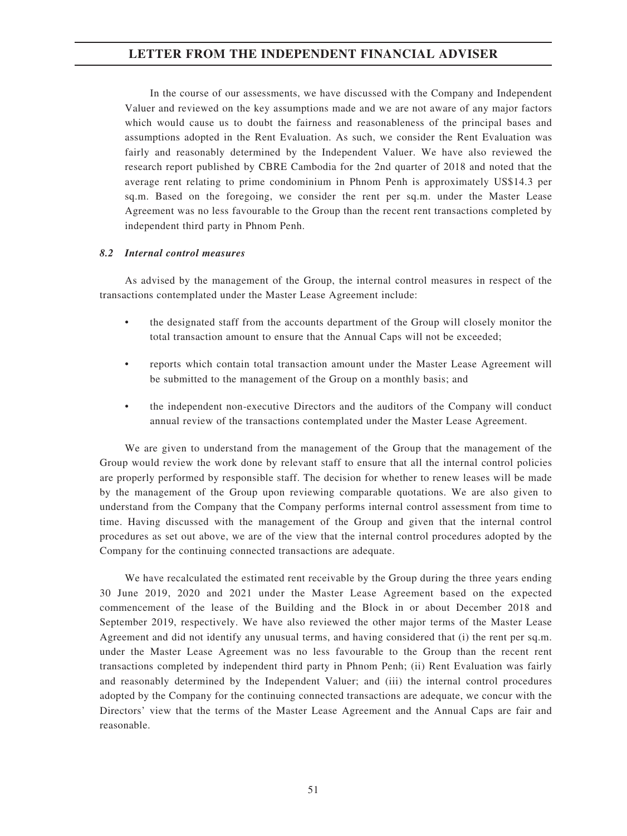In the course of our assessments, we have discussed with the Company and Independent Valuer and reviewed on the key assumptions made and we are not aware of any major factors which would cause us to doubt the fairness and reasonableness of the principal bases and assumptions adopted in the Rent Evaluation. As such, we consider the Rent Evaluation was fairly and reasonably determined by the Independent Valuer. We have also reviewed the research report published by CBRE Cambodia for the 2nd quarter of 2018 and noted that the average rent relating to prime condominium in Phnom Penh is approximately US\$14.3 per sq.m. Based on the foregoing, we consider the rent per sq.m. under the Master Lease Agreement was no less favourable to the Group than the recent rent transactions completed by independent third party in Phnom Penh.

## 8.2 Internal control measures

As advised by the management of the Group, the internal control measures in respect of the transactions contemplated under the Master Lease Agreement include:

- the designated staff from the accounts department of the Group will closely monitor the total transaction amount to ensure that the Annual Caps will not be exceeded;
- reports which contain total transaction amount under the Master Lease Agreement will be submitted to the management of the Group on a monthly basis; and
- the independent non-executive Directors and the auditors of the Company will conduct annual review of the transactions contemplated under the Master Lease Agreement.

We are given to understand from the management of the Group that the management of the Group would review the work done by relevant staff to ensure that all the internal control policies are properly performed by responsible staff. The decision for whether to renew leases will be made by the management of the Group upon reviewing comparable quotations. We are also given to understand from the Company that the Company performs internal control assessment from time to time. Having discussed with the management of the Group and given that the internal control procedures as set out above, we are of the view that the internal control procedures adopted by the Company for the continuing connected transactions are adequate.

We have recalculated the estimated rent receivable by the Group during the three years ending 30 June 2019, 2020 and 2021 under the Master Lease Agreement based on the expected commencement of the lease of the Building and the Block in or about December 2018 and September 2019, respectively. We have also reviewed the other major terms of the Master Lease Agreement and did not identify any unusual terms, and having considered that (i) the rent per sq.m. under the Master Lease Agreement was no less favourable to the Group than the recent rent transactions completed by independent third party in Phnom Penh; (ii) Rent Evaluation was fairly and reasonably determined by the Independent Valuer; and (iii) the internal control procedures adopted by the Company for the continuing connected transactions are adequate, we concur with the Directors' view that the terms of the Master Lease Agreement and the Annual Caps are fair and reasonable.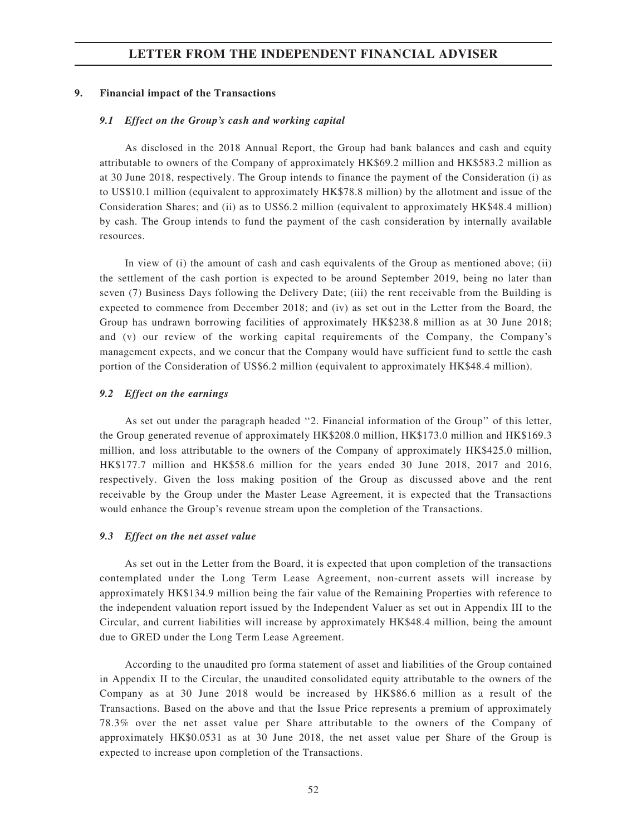## 9. Financial impact of the Transactions

### 9.1 Effect on the Group's cash and working capital

As disclosed in the 2018 Annual Report, the Group had bank balances and cash and equity attributable to owners of the Company of approximately HK\$69.2 million and HK\$583.2 million as at 30 June 2018, respectively. The Group intends to finance the payment of the Consideration (i) as to US\$10.1 million (equivalent to approximately HK\$78.8 million) by the allotment and issue of the Consideration Shares; and (ii) as to US\$6.2 million (equivalent to approximately HK\$48.4 million) by cash. The Group intends to fund the payment of the cash consideration by internally available resources.

In view of (i) the amount of cash and cash equivalents of the Group as mentioned above; (ii) the settlement of the cash portion is expected to be around September 2019, being no later than seven (7) Business Days following the Delivery Date; (iii) the rent receivable from the Building is expected to commence from December 2018; and (iv) as set out in the Letter from the Board, the Group has undrawn borrowing facilities of approximately HK\$238.8 million as at 30 June 2018; and (v) our review of the working capital requirements of the Company, the Company's management expects, and we concur that the Company would have sufficient fund to settle the cash portion of the Consideration of US\$6.2 million (equivalent to approximately HK\$48.4 million).

## 9.2 Effect on the earnings

As set out under the paragraph headed ''2. Financial information of the Group'' of this letter, the Group generated revenue of approximately HK\$208.0 million, HK\$173.0 million and HK\$169.3 million, and loss attributable to the owners of the Company of approximately HK\$425.0 million, HK\$177.7 million and HK\$58.6 million for the years ended 30 June 2018, 2017 and 2016, respectively. Given the loss making position of the Group as discussed above and the rent receivable by the Group under the Master Lease Agreement, it is expected that the Transactions would enhance the Group's revenue stream upon the completion of the Transactions.

#### 9.3 Effect on the net asset value

As set out in the Letter from the Board, it is expected that upon completion of the transactions contemplated under the Long Term Lease Agreement, non-current assets will increase by approximately HK\$134.9 million being the fair value of the Remaining Properties with reference to the independent valuation report issued by the Independent Valuer as set out in Appendix III to the Circular, and current liabilities will increase by approximately HK\$48.4 million, being the amount due to GRED under the Long Term Lease Agreement.

According to the unaudited pro forma statement of asset and liabilities of the Group contained in Appendix II to the Circular, the unaudited consolidated equity attributable to the owners of the Company as at 30 June 2018 would be increased by HK\$86.6 million as a result of the Transactions. Based on the above and that the Issue Price represents a premium of approximately 78.3% over the net asset value per Share attributable to the owners of the Company of approximately HK\$0.0531 as at 30 June 2018, the net asset value per Share of the Group is expected to increase upon completion of the Transactions.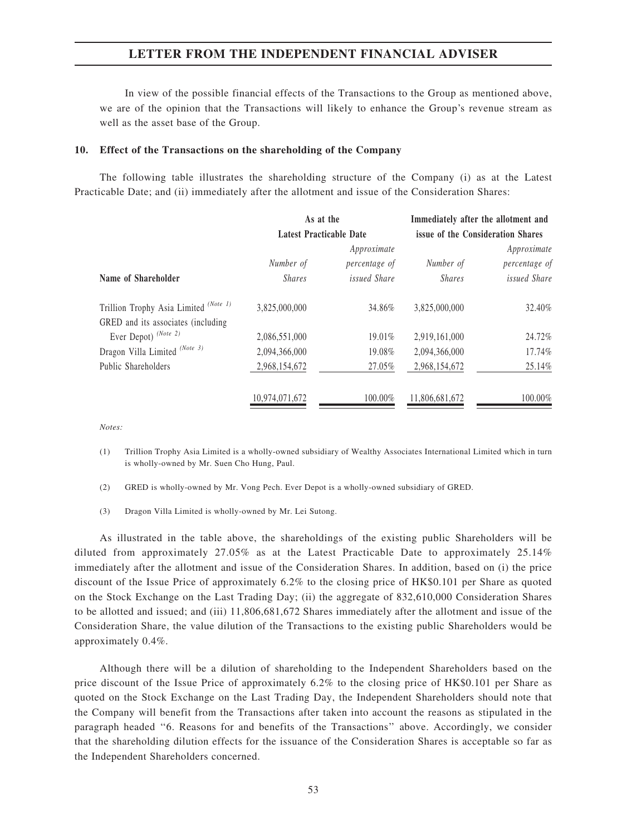In view of the possible financial effects of the Transactions to the Group as mentioned above, we are of the opinion that the Transactions will likely to enhance the Group's revenue stream as well as the asset base of the Group.

### 10. Effect of the Transactions on the shareholding of the Company

The following table illustrates the shareholding structure of the Company (i) as at the Latest Practicable Date; and (ii) immediately after the allotment and issue of the Consideration Shares:

|                                       | As at the<br>Latest Practicable Date |                     | Immediately after the allotment and<br>issue of the Consideration Shares |                     |  |
|---------------------------------------|--------------------------------------|---------------------|--------------------------------------------------------------------------|---------------------|--|
|                                       |                                      |                     |                                                                          |                     |  |
|                                       |                                      | Approximate         |                                                                          | Approximate         |  |
|                                       | Number of                            | percentage of       | Number of                                                                | percentage of       |  |
| Name of Shareholder                   | <i>Shares</i>                        | <i>issued Share</i> | <i>Shares</i>                                                            | <i>issued Share</i> |  |
| Trillion Trophy Asia Limited (Note 1) | 3.825,000,000                        | 34.86%              | 3,825,000,000                                                            | 32.40%              |  |
| GRED and its associates (including)   |                                      |                     |                                                                          |                     |  |
| Ever Depot) (Note 2)                  | 2,086,551,000                        | 19.01%              | 2,919,161,000                                                            | 24.72%              |  |
| Dragon Villa Limited (Note 3)         | 2,094,366,000                        | 19.08%              | 2,094,366,000                                                            | 17.74%              |  |
| Public Shareholders                   | 2,968,154,672                        | 27.05%              | 2,968,154,672                                                            | 25.14%              |  |
|                                       | 10,974,071,672                       | 100.00%             | 11,806,681,672                                                           | 100.00%             |  |

Notes:

- (1) Trillion Trophy Asia Limited is a wholly-owned subsidiary of Wealthy Associates International Limited which in turn is wholly-owned by Mr. Suen Cho Hung, Paul.
- (2) GRED is wholly-owned by Mr. Vong Pech. Ever Depot is a wholly-owned subsidiary of GRED.
- (3) Dragon Villa Limited is wholly-owned by Mr. Lei Sutong.

As illustrated in the table above, the shareholdings of the existing public Shareholders will be diluted from approximately 27.05% as at the Latest Practicable Date to approximately 25.14% immediately after the allotment and issue of the Consideration Shares. In addition, based on (i) the price discount of the Issue Price of approximately 6.2% to the closing price of HK\$0.101 per Share as quoted on the Stock Exchange on the Last Trading Day; (ii) the aggregate of 832,610,000 Consideration Shares to be allotted and issued; and (iii) 11,806,681,672 Shares immediately after the allotment and issue of the Consideration Share, the value dilution of the Transactions to the existing public Shareholders would be approximately 0.4%.

Although there will be a dilution of shareholding to the Independent Shareholders based on the price discount of the Issue Price of approximately 6.2% to the closing price of HK\$0.101 per Share as quoted on the Stock Exchange on the Last Trading Day, the Independent Shareholders should note that the Company will benefit from the Transactions after taken into account the reasons as stipulated in the paragraph headed ''6. Reasons for and benefits of the Transactions'' above. Accordingly, we consider that the shareholding dilution effects for the issuance of the Consideration Shares is acceptable so far as the Independent Shareholders concerned.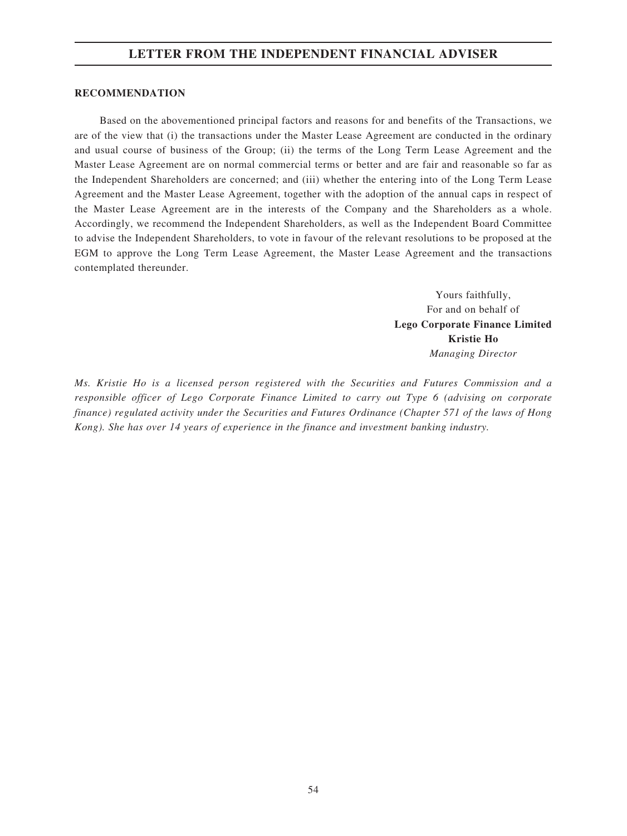## RECOMMENDATION

Based on the abovementioned principal factors and reasons for and benefits of the Transactions, we are of the view that (i) the transactions under the Master Lease Agreement are conducted in the ordinary and usual course of business of the Group; (ii) the terms of the Long Term Lease Agreement and the Master Lease Agreement are on normal commercial terms or better and are fair and reasonable so far as the Independent Shareholders are concerned; and (iii) whether the entering into of the Long Term Lease Agreement and the Master Lease Agreement, together with the adoption of the annual caps in respect of the Master Lease Agreement are in the interests of the Company and the Shareholders as a whole. Accordingly, we recommend the Independent Shareholders, as well as the Independent Board Committee to advise the Independent Shareholders, to vote in favour of the relevant resolutions to be proposed at the EGM to approve the Long Term Lease Agreement, the Master Lease Agreement and the transactions contemplated thereunder.

> Yours faithfully, For and on behalf of Lego Corporate Finance Limited Kristie Ho Managing Director

Ms. Kristie Ho is a licensed person registered with the Securities and Futures Commission and a responsible officer of Lego Corporate Finance Limited to carry out Type 6 (advising on corporate finance) regulated activity under the Securities and Futures Ordinance (Chapter 571 of the laws of Hong Kong). She has over 14 years of experience in the finance and investment banking industry.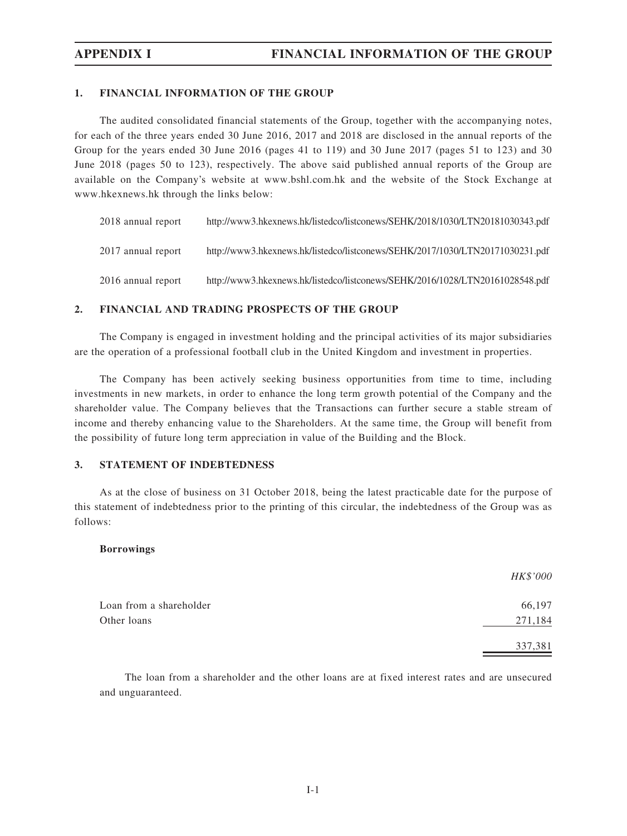## 1. FINANCIAL INFORMATION OF THE GROUP

The audited consolidated financial statements of the Group, together with the accompanying notes, for each of the three years ended 30 June 2016, 2017 and 2018 are disclosed in the annual reports of the Group for the years ended 30 June 2016 (pages 41 to 119) and 30 June 2017 (pages 51 to 123) and 30 June 2018 (pages 50 to 123), respectively. The above said published annual reports of the Group are available on the Company's website at www.bshl.com.hk and the website of the Stock Exchange at www.hkexnews.hk through the links below:

| 2018 annual report | http://www3.hkexnews.hk/listedco/listconews/SEHK/2018/1030/LTN20181030343.pdf |
|--------------------|-------------------------------------------------------------------------------|
| 2017 annual report | http://www3.hkexnews.hk/listedco/listconews/SEHK/2017/1030/LTN20171030231.pdf |
| 2016 annual report | http://www3.hkexnews.hk/listedco/listconews/SEHK/2016/1028/LTN20161028548.pdf |

## 2. FINANCIAL AND TRADING PROSPECTS OF THE GROUP

The Company is engaged in investment holding and the principal activities of its major subsidiaries are the operation of a professional football club in the United Kingdom and investment in properties.

The Company has been actively seeking business opportunities from time to time, including investments in new markets, in order to enhance the long term growth potential of the Company and the shareholder value. The Company believes that the Transactions can further secure a stable stream of income and thereby enhancing value to the Shareholders. At the same time, the Group will benefit from the possibility of future long term appreciation in value of the Building and the Block.

# 3. STATEMENT OF INDEBTEDNESS

As at the close of business on 31 October 2018, being the latest practicable date for the purpose of this statement of indebtedness prior to the printing of this circular, the indebtedness of the Group was as follows:

## Borrowings

|                         | HK\$'000 |
|-------------------------|----------|
| Loan from a shareholder | 66,197   |
| Other loans             | 271,184  |
|                         | 337,381  |

The loan from a shareholder and the other loans are at fixed interest rates and are unsecured and unguaranteed.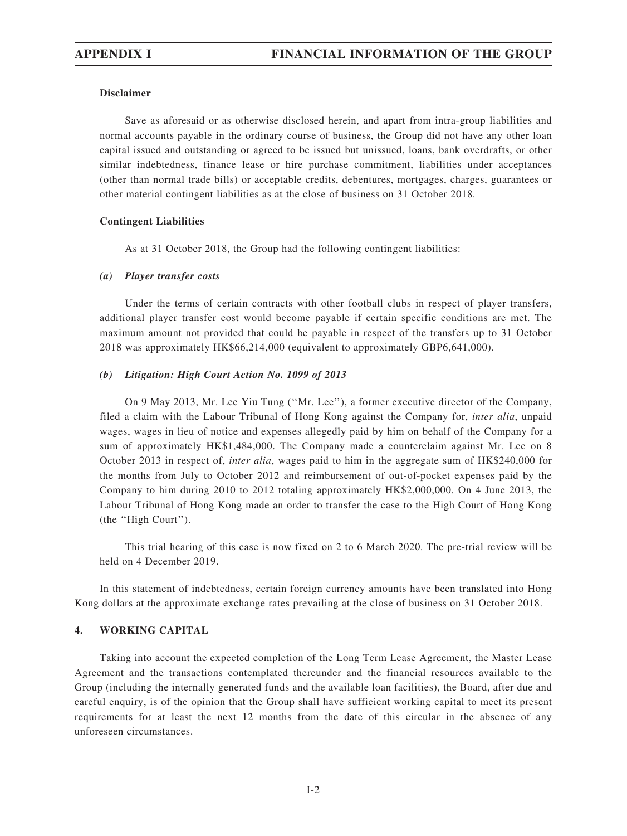## Disclaimer

Save as aforesaid or as otherwise disclosed herein, and apart from intra-group liabilities and normal accounts payable in the ordinary course of business, the Group did not have any other loan capital issued and outstanding or agreed to be issued but unissued, loans, bank overdrafts, or other similar indebtedness, finance lease or hire purchase commitment, liabilities under acceptances (other than normal trade bills) or acceptable credits, debentures, mortgages, charges, guarantees or other material contingent liabilities as at the close of business on 31 October 2018.

### Contingent Liabilities

As at 31 October 2018, the Group had the following contingent liabilities:

### (a) Player transfer costs

Under the terms of certain contracts with other football clubs in respect of player transfers, additional player transfer cost would become payable if certain specific conditions are met. The maximum amount not provided that could be payable in respect of the transfers up to 31 October 2018 was approximately HK\$66,214,000 (equivalent to approximately GBP6,641,000).

### (b) Litigation: High Court Action No. 1099 of 2013

On 9 May 2013, Mr. Lee Yiu Tung (''Mr. Lee''), a former executive director of the Company, filed a claim with the Labour Tribunal of Hong Kong against the Company for, *inter alia*, unpaid wages, wages in lieu of notice and expenses allegedly paid by him on behalf of the Company for a sum of approximately HK\$1,484,000. The Company made a counterclaim against Mr. Lee on 8 October 2013 in respect of, inter alia, wages paid to him in the aggregate sum of HK\$240,000 for the months from July to October 2012 and reimbursement of out-of-pocket expenses paid by the Company to him during 2010 to 2012 totaling approximately HK\$2,000,000. On 4 June 2013, the Labour Tribunal of Hong Kong made an order to transfer the case to the High Court of Hong Kong (the ''High Court'').

This trial hearing of this case is now fixed on 2 to 6 March 2020. The pre-trial review will be held on 4 December 2019.

In this statement of indebtedness, certain foreign currency amounts have been translated into Hong Kong dollars at the approximate exchange rates prevailing at the close of business on 31 October 2018.

## 4. WORKING CAPITAL

Taking into account the expected completion of the Long Term Lease Agreement, the Master Lease Agreement and the transactions contemplated thereunder and the financial resources available to the Group (including the internally generated funds and the available loan facilities), the Board, after due and careful enquiry, is of the opinion that the Group shall have sufficient working capital to meet its present requirements for at least the next 12 months from the date of this circular in the absence of any unforeseen circumstances.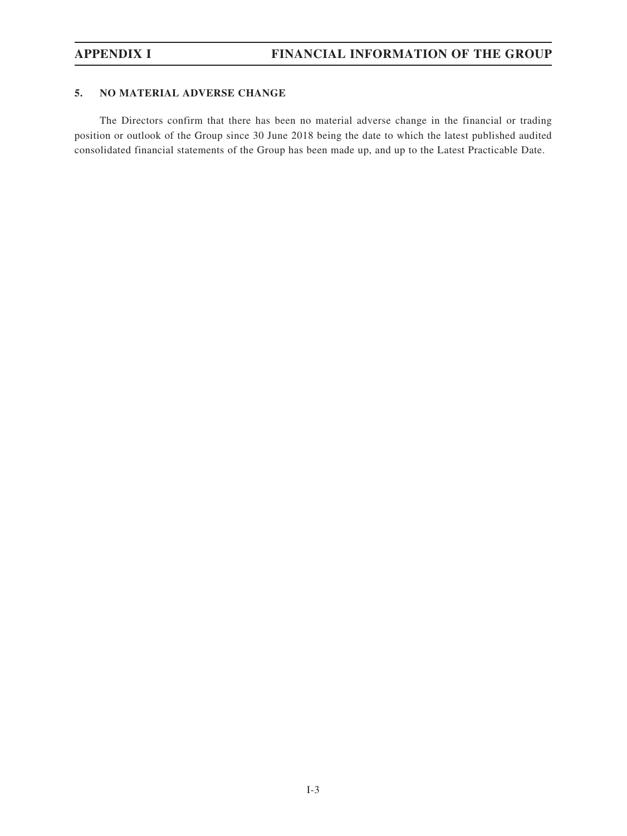## 5. NO MATERIAL ADVERSE CHANGE

The Directors confirm that there has been no material adverse change in the financial or trading position or outlook of the Group since 30 June 2018 being the date to which the latest published audited consolidated financial statements of the Group has been made up, and up to the Latest Practicable Date.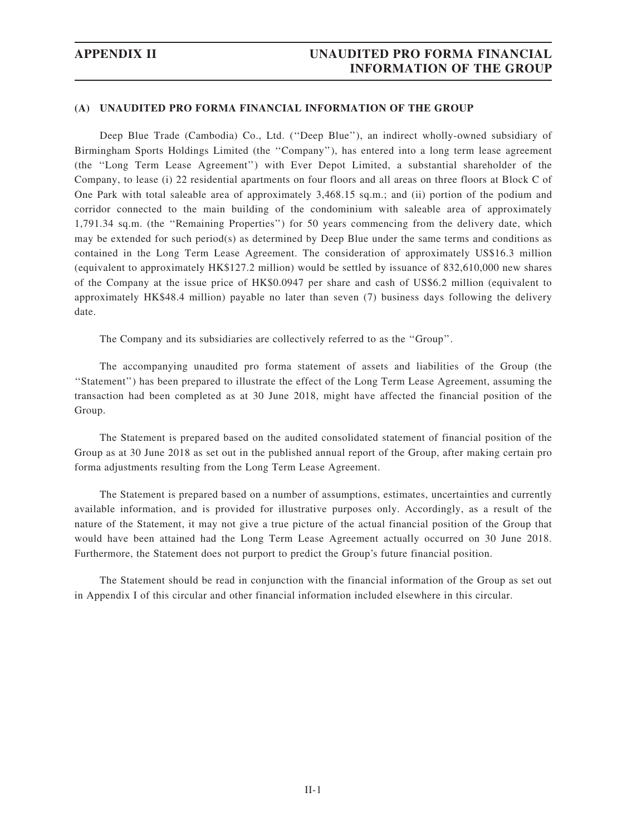## (A) UNAUDITED PRO FORMA FINANCIAL INFORMATION OF THE GROUP

Deep Blue Trade (Cambodia) Co., Ltd. (''Deep Blue''), an indirect wholly-owned subsidiary of Birmingham Sports Holdings Limited (the ''Company''), has entered into a long term lease agreement (the ''Long Term Lease Agreement'') with Ever Depot Limited, a substantial shareholder of the Company, to lease (i) 22 residential apartments on four floors and all areas on three floors at Block C of One Park with total saleable area of approximately 3,468.15 sq.m.; and (ii) portion of the podium and corridor connected to the main building of the condominium with saleable area of approximately 1,791.34 sq.m. (the ''Remaining Properties'') for 50 years commencing from the delivery date, which may be extended for such period(s) as determined by Deep Blue under the same terms and conditions as contained in the Long Term Lease Agreement. The consideration of approximately US\$16.3 million (equivalent to approximately HK\$127.2 million) would be settled by issuance of 832,610,000 new shares of the Company at the issue price of HK\$0.0947 per share and cash of US\$6.2 million (equivalent to approximately HK\$48.4 million) payable no later than seven (7) business days following the delivery date.

The Company and its subsidiaries are collectively referred to as the ''Group''.

The accompanying unaudited pro forma statement of assets and liabilities of the Group (the ''Statement'') has been prepared to illustrate the effect of the Long Term Lease Agreement, assuming the transaction had been completed as at 30 June 2018, might have affected the financial position of the Group.

The Statement is prepared based on the audited consolidated statement of financial position of the Group as at 30 June 2018 as set out in the published annual report of the Group, after making certain pro forma adjustments resulting from the Long Term Lease Agreement.

The Statement is prepared based on a number of assumptions, estimates, uncertainties and currently available information, and is provided for illustrative purposes only. Accordingly, as a result of the nature of the Statement, it may not give a true picture of the actual financial position of the Group that would have been attained had the Long Term Lease Agreement actually occurred on 30 June 2018. Furthermore, the Statement does not purport to predict the Group's future financial position.

The Statement should be read in conjunction with the financial information of the Group as set out in Appendix I of this circular and other financial information included elsewhere in this circular.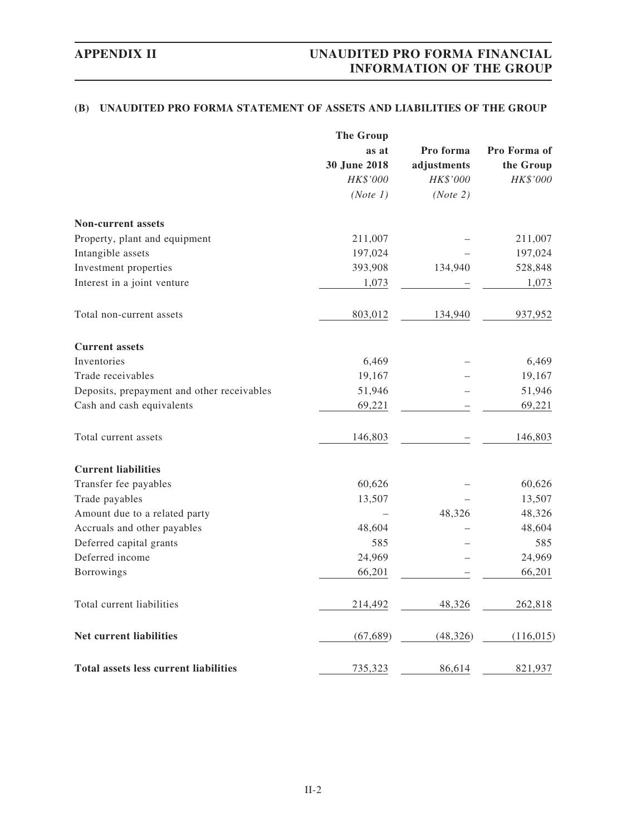# (B) UNAUDITED PRO FORMA STATEMENT OF ASSETS AND LIABILITIES OF THE GROUP

|                                              | <b>The Group</b> |             |              |
|----------------------------------------------|------------------|-------------|--------------|
|                                              | as at            | Pro forma   | Pro Forma of |
|                                              | 30 June 2018     | adjustments | the Group    |
|                                              | HK\$'000         | HK\$'000    | HK\$'000     |
|                                              | (Note 1)         | (Note 2)    |              |
| <b>Non-current assets</b>                    |                  |             |              |
| Property, plant and equipment                | 211,007          |             | 211,007      |
| Intangible assets                            | 197,024          |             | 197,024      |
| Investment properties                        | 393,908          | 134,940     | 528,848      |
| Interest in a joint venture                  | 1,073            |             | 1,073        |
| Total non-current assets                     | 803,012          | 134,940     | 937,952      |
| <b>Current assets</b>                        |                  |             |              |
| Inventories                                  | 6,469            |             | 6,469        |
| Trade receivables                            | 19,167           |             | 19,167       |
| Deposits, prepayment and other receivables   | 51,946           |             | 51,946       |
| Cash and cash equivalents                    | 69,221           |             | 69,221       |
| Total current assets                         | 146,803          |             | 146,803      |
| <b>Current liabilities</b>                   |                  |             |              |
| Transfer fee payables                        | 60,626           |             | 60,626       |
| Trade payables                               | 13,507           |             | 13,507       |
| Amount due to a related party                |                  | 48,326      | 48,326       |
| Accruals and other payables                  | 48,604           |             | 48,604       |
| Deferred capital grants                      | 585              |             | 585          |
| Deferred income                              | 24,969           |             | 24,969       |
| Borrowings                                   | 66,201           |             | 66,201       |
| Total current liabilities                    | 214,492          | 48,326      | 262,818      |
| Net current liabilities                      | (67, 689)        | (48, 326)   | (116, 015)   |
| <b>Total assets less current liabilities</b> | 735,323          | 86,614      | 821,937      |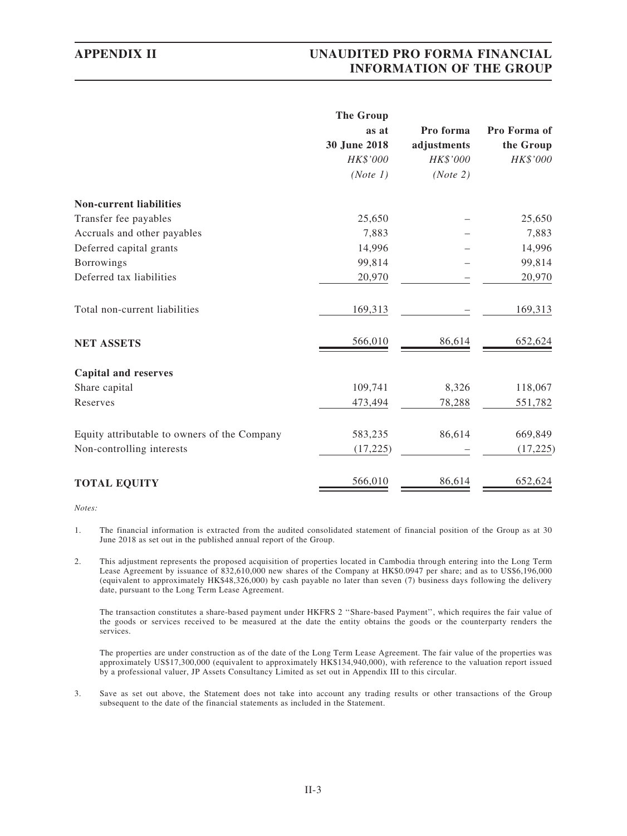|                                              | <b>The Group</b> |             |              |
|----------------------------------------------|------------------|-------------|--------------|
|                                              | as at            | Pro forma   | Pro Forma of |
|                                              | 30 June 2018     | adjustments | the Group    |
|                                              | HK\$'000         | HK\$'000    | HK\$'000     |
|                                              | (Note 1)         | (Note 2)    |              |
| <b>Non-current liabilities</b>               |                  |             |              |
| Transfer fee payables                        | 25,650           |             | 25,650       |
| Accruals and other payables                  | 7,883            |             | 7,883        |
| Deferred capital grants                      | 14,996           |             | 14,996       |
| <b>Borrowings</b>                            | 99,814           |             | 99,814       |
| Deferred tax liabilities                     | 20,970           |             | 20,970       |
| Total non-current liabilities                | 169,313          |             | 169,313      |
| <b>NET ASSETS</b>                            | 566,010          | 86,614      | 652,624      |
| <b>Capital and reserves</b>                  |                  |             |              |
| Share capital                                | 109,741          | 8,326       | 118,067      |
| Reserves                                     | 473,494          | 78,288      | 551,782      |
| Equity attributable to owners of the Company | 583,235          | 86,614      | 669,849      |
| Non-controlling interests                    | (17, 225)        |             | (17, 225)    |
| <b>TOTAL EQUITY</b>                          | 566,010          | 86,614      | 652,624      |

Notes:

- 1. The financial information is extracted from the audited consolidated statement of financial position of the Group as at 30 June 2018 as set out in the published annual report of the Group.
- 2. This adjustment represents the proposed acquisition of properties located in Cambodia through entering into the Long Term Lease Agreement by issuance of 832,610,000 new shares of the Company at HK\$0.0947 per share; and as to US\$6,196,000 (equivalent to approximately HK\$48,326,000) by cash payable no later than seven (7) business days following the delivery date, pursuant to the Long Term Lease Agreement.

The transaction constitutes a share-based payment under HKFRS 2 ''Share-based Payment'', which requires the fair value of the goods or services received to be measured at the date the entity obtains the goods or the counterparty renders the services.

The properties are under construction as of the date of the Long Term Lease Agreement. The fair value of the properties was approximately US\$17,300,000 (equivalent to approximately HK\$134,940,000), with reference to the valuation report issued by a professional valuer, JP Assets Consultancy Limited as set out in Appendix III to this circular.

3. Save as set out above, the Statement does not take into account any trading results or other transactions of the Group subsequent to the date of the financial statements as included in the Statement.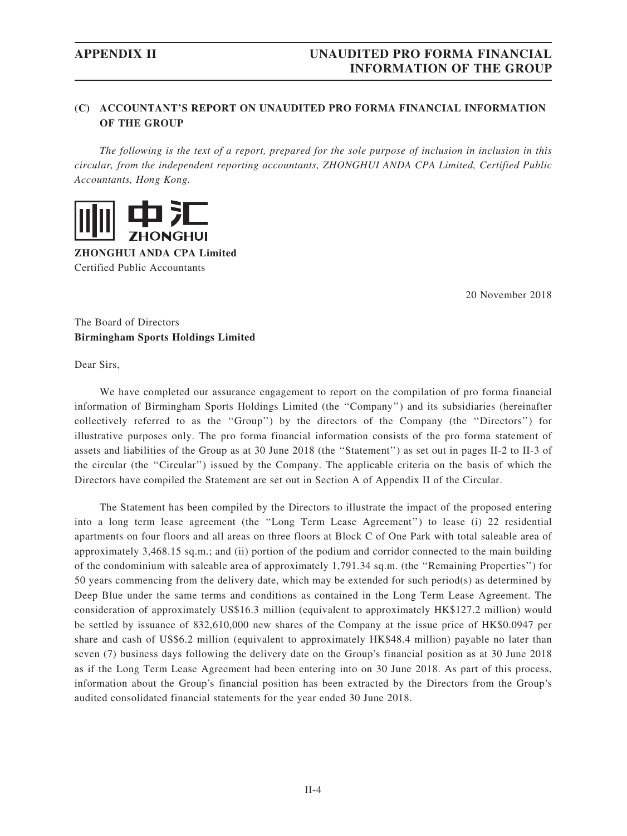## (C) ACCOUNTANT'S REPORT ON UNAUDITED PRO FORMA FINANCIAL INFORMATION OF THE GROUP

The following is the text of a report, prepared for the sole purpose of inclusion in inclusion in this circular, from the independent reporting accountants, ZHONGHUI ANDA CPA Limited, Certified Public Accountants, Hong Kong.



ZHONGHUI ANDA CPA Limited Certified Public Accountants

20 November 2018

The Board of Directors Birmingham Sports Holdings Limited

Dear Sirs,

We have completed our assurance engagement to report on the compilation of pro forma financial information of Birmingham Sports Holdings Limited (the ''Company'') and its subsidiaries (hereinafter collectively referred to as the ''Group'') by the directors of the Company (the ''Directors'') for illustrative purposes only. The pro forma financial information consists of the pro forma statement of assets and liabilities of the Group as at 30 June 2018 (the ''Statement'') as set out in pages II-2 to II-3 of the circular (the ''Circular'') issued by the Company. The applicable criteria on the basis of which the Directors have compiled the Statement are set out in Section A of Appendix II of the Circular.

The Statement has been compiled by the Directors to illustrate the impact of the proposed entering into a long term lease agreement (the ''Long Term Lease Agreement'') to lease (i) 22 residential apartments on four floors and all areas on three floors at Block C of One Park with total saleable area of approximately 3,468.15 sq.m.; and (ii) portion of the podium and corridor connected to the main building of the condominium with saleable area of approximately 1,791.34 sq.m. (the ''Remaining Properties'') for 50 years commencing from the delivery date, which may be extended for such period(s) as determined by Deep Blue under the same terms and conditions as contained in the Long Term Lease Agreement. The consideration of approximately US\$16.3 million (equivalent to approximately HK\$127.2 million) would be settled by issuance of 832,610,000 new shares of the Company at the issue price of HK\$0.0947 per share and cash of US\$6.2 million (equivalent to approximately HK\$48.4 million) payable no later than seven (7) business days following the delivery date on the Group's financial position as at 30 June 2018 as if the Long Term Lease Agreement had been entering into on 30 June 2018. As part of this process, information about the Group's financial position has been extracted by the Directors from the Group's audited consolidated financial statements for the year ended 30 June 2018.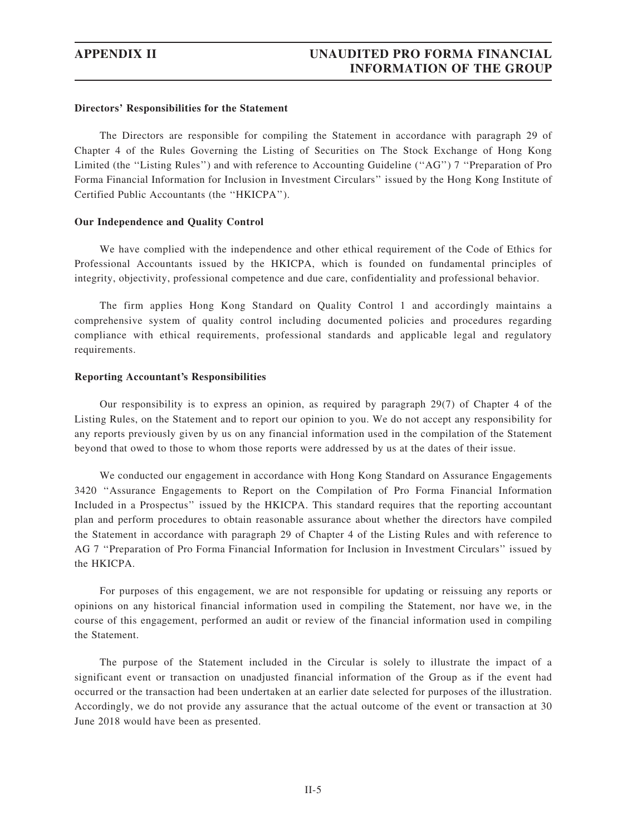### Directors' Responsibilities for the Statement

The Directors are responsible for compiling the Statement in accordance with paragraph 29 of Chapter 4 of the Rules Governing the Listing of Securities on The Stock Exchange of Hong Kong Limited (the "Listing Rules") and with reference to Accounting Guideline ("AG") 7 "Preparation of Pro Forma Financial Information for Inclusion in Investment Circulars'' issued by the Hong Kong Institute of Certified Public Accountants (the ''HKICPA'').

## Our Independence and Quality Control

We have complied with the independence and other ethical requirement of the Code of Ethics for Professional Accountants issued by the HKICPA, which is founded on fundamental principles of integrity, objectivity, professional competence and due care, confidentiality and professional behavior.

The firm applies Hong Kong Standard on Quality Control 1 and accordingly maintains a comprehensive system of quality control including documented policies and procedures regarding compliance with ethical requirements, professional standards and applicable legal and regulatory requirements.

### Reporting Accountant's Responsibilities

Our responsibility is to express an opinion, as required by paragraph 29(7) of Chapter 4 of the Listing Rules, on the Statement and to report our opinion to you. We do not accept any responsibility for any reports previously given by us on any financial information used in the compilation of the Statement beyond that owed to those to whom those reports were addressed by us at the dates of their issue.

We conducted our engagement in accordance with Hong Kong Standard on Assurance Engagements 3420 ''Assurance Engagements to Report on the Compilation of Pro Forma Financial Information Included in a Prospectus'' issued by the HKICPA. This standard requires that the reporting accountant plan and perform procedures to obtain reasonable assurance about whether the directors have compiled the Statement in accordance with paragraph 29 of Chapter 4 of the Listing Rules and with reference to AG 7 ''Preparation of Pro Forma Financial Information for Inclusion in Investment Circulars'' issued by the HKICPA.

For purposes of this engagement, we are not responsible for updating or reissuing any reports or opinions on any historical financial information used in compiling the Statement, nor have we, in the course of this engagement, performed an audit or review of the financial information used in compiling the Statement.

The purpose of the Statement included in the Circular is solely to illustrate the impact of a significant event or transaction on unadjusted financial information of the Group as if the event had occurred or the transaction had been undertaken at an earlier date selected for purposes of the illustration. Accordingly, we do not provide any assurance that the actual outcome of the event or transaction at 30 June 2018 would have been as presented.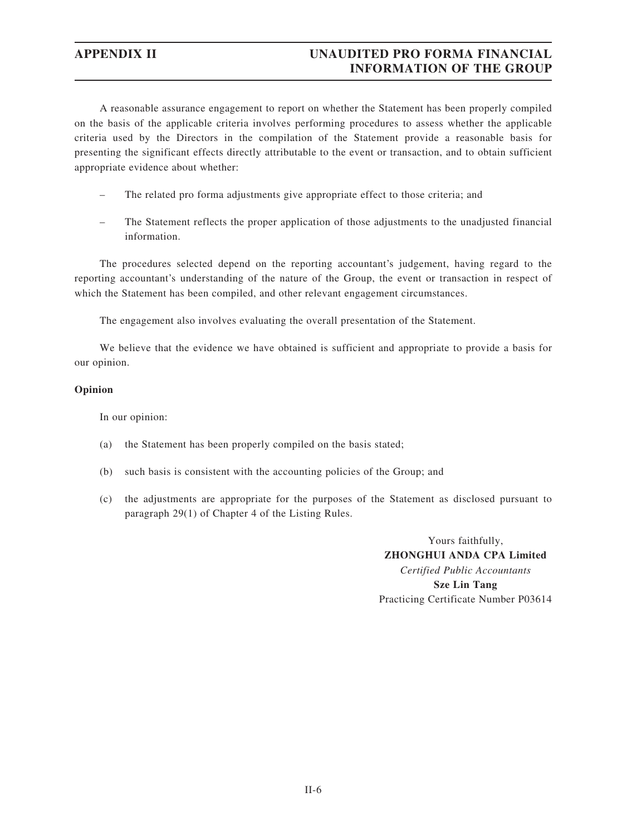A reasonable assurance engagement to report on whether the Statement has been properly compiled on the basis of the applicable criteria involves performing procedures to assess whether the applicable criteria used by the Directors in the compilation of the Statement provide a reasonable basis for presenting the significant effects directly attributable to the event or transaction, and to obtain sufficient appropriate evidence about whether:

- The related pro forma adjustments give appropriate effect to those criteria; and
- The Statement reflects the proper application of those adjustments to the unadjusted financial information.

The procedures selected depend on the reporting accountant's judgement, having regard to the reporting accountant's understanding of the nature of the Group, the event or transaction in respect of which the Statement has been compiled, and other relevant engagement circumstances.

The engagement also involves evaluating the overall presentation of the Statement.

We believe that the evidence we have obtained is sufficient and appropriate to provide a basis for our opinion.

## Opinion

In our opinion:

- (a) the Statement has been properly compiled on the basis stated;
- (b) such basis is consistent with the accounting policies of the Group; and
- (c) the adjustments are appropriate for the purposes of the Statement as disclosed pursuant to paragraph 29(1) of Chapter 4 of the Listing Rules.

Yours faithfully, ZHONGHUI ANDA CPA Limited Certified Public Accountants Sze Lin Tang Practicing Certificate Number P03614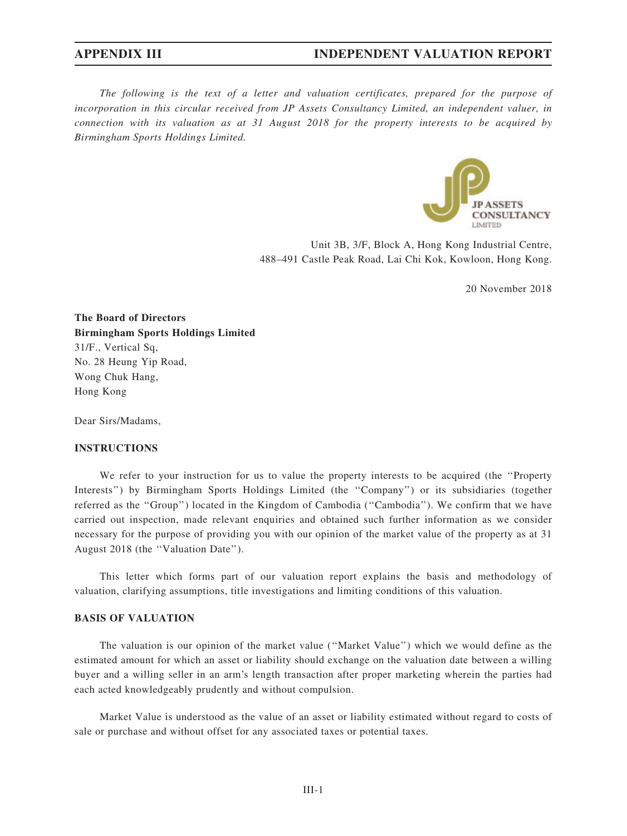The following is the text of a letter and valuation certificates, prepared for the purpose of incorporation in this circular received from JP Assets Consultancy Limited, an independent valuer, in connection with its valuation as at 31 August 2018 for the property interests to be acquired by Birmingham Sports Holdings Limited.



Unit 3B, 3/F, Block A, Hong Kong Industrial Centre, 488–491 Castle Peak Road, Lai Chi Kok, Kowloon, Hong Kong.

20 November 2018

The Board of Directors Birmingham Sports Holdings Limited 31/F., Vertical Sq, No. 28 Heung Yip Road, Wong Chuk Hang, Hong Kong

Dear Sirs/Madams,

## INSTRUCTIONS

We refer to your instruction for us to value the property interests to be acquired (the "Property Interests'') by Birmingham Sports Holdings Limited (the ''Company'') or its subsidiaries (together referred as the ''Group'') located in the Kingdom of Cambodia (''Cambodia''). We confirm that we have carried out inspection, made relevant enquiries and obtained such further information as we consider necessary for the purpose of providing you with our opinion of the market value of the property as at 31 August 2018 (the ''Valuation Date'').

This letter which forms part of our valuation report explains the basis and methodology of valuation, clarifying assumptions, title investigations and limiting conditions of this valuation.

# BASIS OF VALUATION

The valuation is our opinion of the market value (''Market Value'') which we would define as the estimated amount for which an asset or liability should exchange on the valuation date between a willing buyer and a willing seller in an arm's length transaction after proper marketing wherein the parties had each acted knowledgeably prudently and without compulsion.

Market Value is understood as the value of an asset or liability estimated without regard to costs of sale or purchase and without offset for any associated taxes or potential taxes.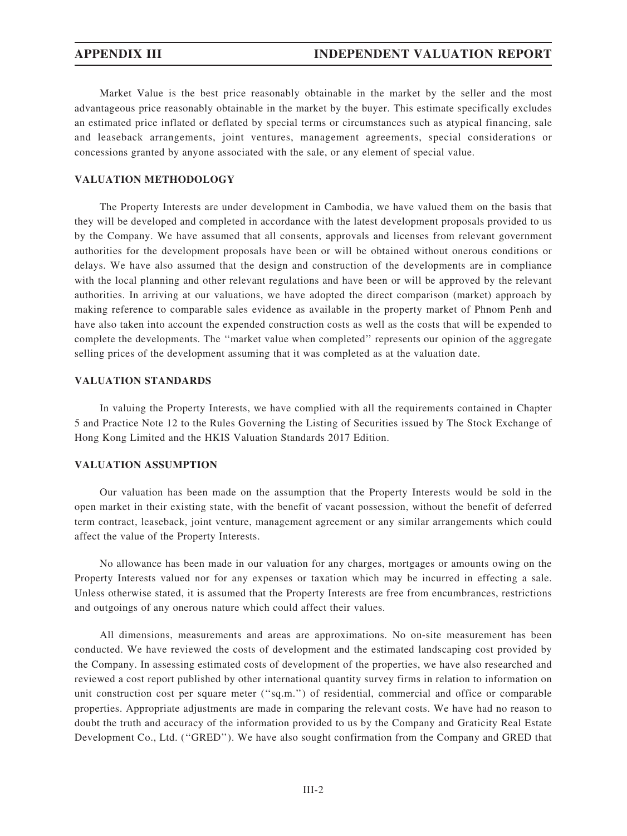Market Value is the best price reasonably obtainable in the market by the seller and the most advantageous price reasonably obtainable in the market by the buyer. This estimate specifically excludes an estimated price inflated or deflated by special terms or circumstances such as atypical financing, sale and leaseback arrangements, joint ventures, management agreements, special considerations or concessions granted by anyone associated with the sale, or any element of special value.

## VALUATION METHODOLOGY

The Property Interests are under development in Cambodia, we have valued them on the basis that they will be developed and completed in accordance with the latest development proposals provided to us by the Company. We have assumed that all consents, approvals and licenses from relevant government authorities for the development proposals have been or will be obtained without onerous conditions or delays. We have also assumed that the design and construction of the developments are in compliance with the local planning and other relevant regulations and have been or will be approved by the relevant authorities. In arriving at our valuations, we have adopted the direct comparison (market) approach by making reference to comparable sales evidence as available in the property market of Phnom Penh and have also taken into account the expended construction costs as well as the costs that will be expended to complete the developments. The ''market value when completed'' represents our opinion of the aggregate selling prices of the development assuming that it was completed as at the valuation date.

## VALUATION STANDARDS

In valuing the Property Interests, we have complied with all the requirements contained in Chapter 5 and Practice Note 12 to the Rules Governing the Listing of Securities issued by The Stock Exchange of Hong Kong Limited and the HKIS Valuation Standards 2017 Edition.

## VALUATION ASSUMPTION

Our valuation has been made on the assumption that the Property Interests would be sold in the open market in their existing state, with the benefit of vacant possession, without the benefit of deferred term contract, leaseback, joint venture, management agreement or any similar arrangements which could affect the value of the Property Interests.

No allowance has been made in our valuation for any charges, mortgages or amounts owing on the Property Interests valued nor for any expenses or taxation which may be incurred in effecting a sale. Unless otherwise stated, it is assumed that the Property Interests are free from encumbrances, restrictions and outgoings of any onerous nature which could affect their values.

All dimensions, measurements and areas are approximations. No on-site measurement has been conducted. We have reviewed the costs of development and the estimated landscaping cost provided by the Company. In assessing estimated costs of development of the properties, we have also researched and reviewed a cost report published by other international quantity survey firms in relation to information on unit construction cost per square meter (''sq.m.'') of residential, commercial and office or comparable properties. Appropriate adjustments are made in comparing the relevant costs. We have had no reason to doubt the truth and accuracy of the information provided to us by the Company and Graticity Real Estate Development Co., Ltd. (''GRED''). We have also sought confirmation from the Company and GRED that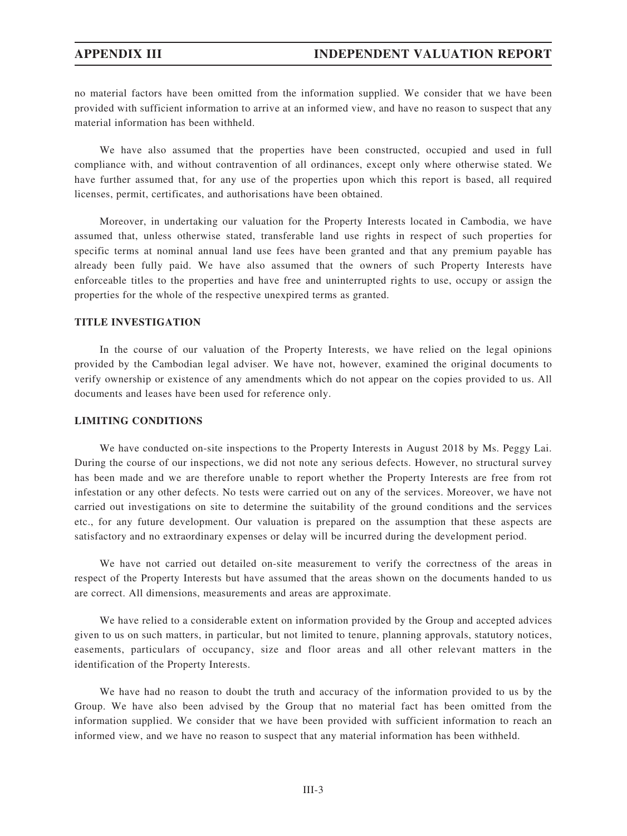no material factors have been omitted from the information supplied. We consider that we have been provided with sufficient information to arrive at an informed view, and have no reason to suspect that any material information has been withheld.

We have also assumed that the properties have been constructed, occupied and used in full compliance with, and without contravention of all ordinances, except only where otherwise stated. We have further assumed that, for any use of the properties upon which this report is based, all required licenses, permit, certificates, and authorisations have been obtained.

Moreover, in undertaking our valuation for the Property Interests located in Cambodia, we have assumed that, unless otherwise stated, transferable land use rights in respect of such properties for specific terms at nominal annual land use fees have been granted and that any premium payable has already been fully paid. We have also assumed that the owners of such Property Interests have enforceable titles to the properties and have free and uninterrupted rights to use, occupy or assign the properties for the whole of the respective unexpired terms as granted.

## TITLE INVESTIGATION

In the course of our valuation of the Property Interests, we have relied on the legal opinions provided by the Cambodian legal adviser. We have not, however, examined the original documents to verify ownership or existence of any amendments which do not appear on the copies provided to us. All documents and leases have been used for reference only.

## LIMITING CONDITIONS

We have conducted on-site inspections to the Property Interests in August 2018 by Ms. Peggy Lai. During the course of our inspections, we did not note any serious defects. However, no structural survey has been made and we are therefore unable to report whether the Property Interests are free from rot infestation or any other defects. No tests were carried out on any of the services. Moreover, we have not carried out investigations on site to determine the suitability of the ground conditions and the services etc., for any future development. Our valuation is prepared on the assumption that these aspects are satisfactory and no extraordinary expenses or delay will be incurred during the development period.

We have not carried out detailed on-site measurement to verify the correctness of the areas in respect of the Property Interests but have assumed that the areas shown on the documents handed to us are correct. All dimensions, measurements and areas are approximate.

We have relied to a considerable extent on information provided by the Group and accepted advices given to us on such matters, in particular, but not limited to tenure, planning approvals, statutory notices, easements, particulars of occupancy, size and floor areas and all other relevant matters in the identification of the Property Interests.

We have had no reason to doubt the truth and accuracy of the information provided to us by the Group. We have also been advised by the Group that no material fact has been omitted from the information supplied. We consider that we have been provided with sufficient information to reach an informed view, and we have no reason to suspect that any material information has been withheld.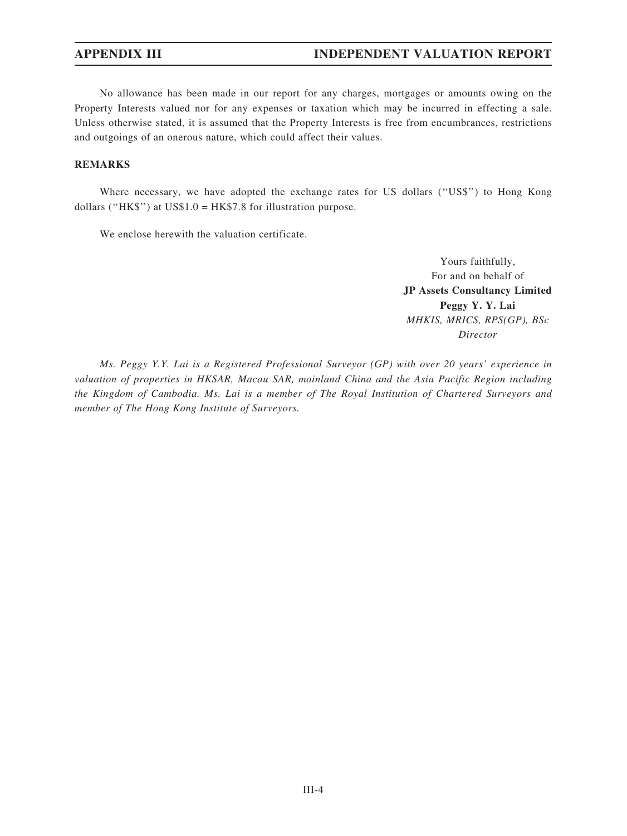No allowance has been made in our report for any charges, mortgages or amounts owing on the Property Interests valued nor for any expenses or taxation which may be incurred in effecting a sale. Unless otherwise stated, it is assumed that the Property Interests is free from encumbrances, restrictions and outgoings of an onerous nature, which could affect their values.

## REMARKS

Where necessary, we have adopted the exchange rates for US dollars ("US\$") to Hong Kong dollars ("HK\$") at US\$1.0 = HK\$7.8 for illustration purpose.

We enclose herewith the valuation certificate.

Yours faithfully, For and on behalf of JP Assets Consultancy Limited Peggy Y. Y. Lai MHKIS, MRICS, RPS(GP), BSc Director

Ms. Peggy Y.Y. Lai is a Registered Professional Surveyor (GP) with over 20 years' experience in valuation of properties in HKSAR, Macau SAR, mainland China and the Asia Pacific Region including the Kingdom of Cambodia. Ms. Lai is a member of The Royal Institution of Chartered Surveyors and member of The Hong Kong Institute of Surveyors.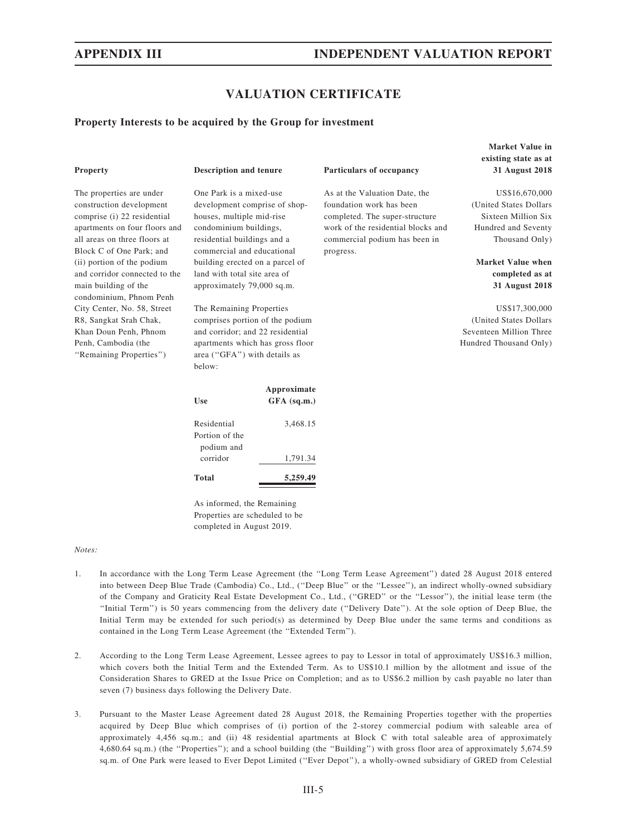# VALUATION CERTIFICATE

As at the Valuation Date, the foundation work has been completed. The super-structure work of the residential blocks and commercial podium has been in

progress.

#### Property Interests to be acquired by the Group for investment

| <b>Property</b>               | Descri   |
|-------------------------------|----------|
| The properties are under      | One $Pa$ |
| construction development      | develo   |
| comprise (i) 22 residential   | houses   |
| apartments on four floors and | condor   |
| all areas on three floors at  | residen  |
| Block C of One Park; and      | comme    |
| (ii) portion of the podium    | buildin  |
| and corridor connected to the | land w   |
| main building of the          | approx   |
| condominium, Phnom Penh       |          |
| City Center, No. 58, Street   | The Re   |
| R8, Sangkat Srah Chak,        | compri   |
| Khan Doun Penh, Phnom         | and cor  |
| Penh, Cambodia (the           | apartm   |
| "Remaining Properties")       | area ("  |
|                               | below:   |

## ption and tenure Particulars of occupancy

ork is a mixed-use pment comprise of shop-, multiple mid-rise ninium buildings, rtial buildings and a rcial and educational g erected on a parcel of ith total site area of imately 79,000 sq.m.

emaining Properties ses portion of the podium rridor; and 22 residential ents which has gross floor GFA") with details as

| Use                                         | Approximate<br>$GFA$ (sq.m.) |
|---------------------------------------------|------------------------------|
| Residential<br>Portion of the<br>podium and | 3,468.15                     |
| corridor                                    | 1,791.34                     |
| Total                                       | 5,259.49                     |

As informed, the Remaining Properties are scheduled to be completed in August 2019.

#### Notes:

- 1. In accordance with the Long Term Lease Agreement (the ''Long Term Lease Agreement'') dated 28 August 2018 entered into between Deep Blue Trade (Cambodia) Co., Ltd., (''Deep Blue'' or the ''Lessee''), an indirect wholly-owned subsidiary of the Company and Graticity Real Estate Development Co., Ltd., (''GRED'' or the ''Lessor''), the initial lease term (the ''Initial Term'') is 50 years commencing from the delivery date (''Delivery Date''). At the sole option of Deep Blue, the Initial Term may be extended for such period(s) as determined by Deep Blue under the same terms and conditions as contained in the Long Term Lease Agreement (the ''Extended Term'').
- 2. According to the Long Term Lease Agreement, Lessee agrees to pay to Lessor in total of approximately US\$16.3 million, which covers both the Initial Term and the Extended Term. As to US\$10.1 million by the allotment and issue of the Consideration Shares to GRED at the Issue Price on Completion; and as to US\$6.2 million by cash payable no later than seven (7) business days following the Delivery Date.
- 3. Pursuant to the Master Lease Agreement dated 28 August 2018, the Remaining Properties together with the properties acquired by Deep Blue which comprises of (i) portion of the 2-storey commercial podium with saleable area of approximately 4,456 sq.m.; and (ii) 48 residential apartments at Block C with total saleable area of approximately 4,680.64 sq.m.) (the ''Properties''); and a school building (the ''Building'') with gross floor area of approximately 5,674.59 sq.m. of One Park were leased to Ever Depot Limited (''Ever Depot''), a wholly-owned subsidiary of GRED from Celestial

## Market Value in existing state as at 31 August 2018

US\$16,670,000 (United States Dollars Sixteen Million Six Hundred and Seventy Thousand Only)

Market Value when completed as at 31 August 2018

US\$17,300,000 (United States Dollars Seventeen Million Three Hundred Thousand Only)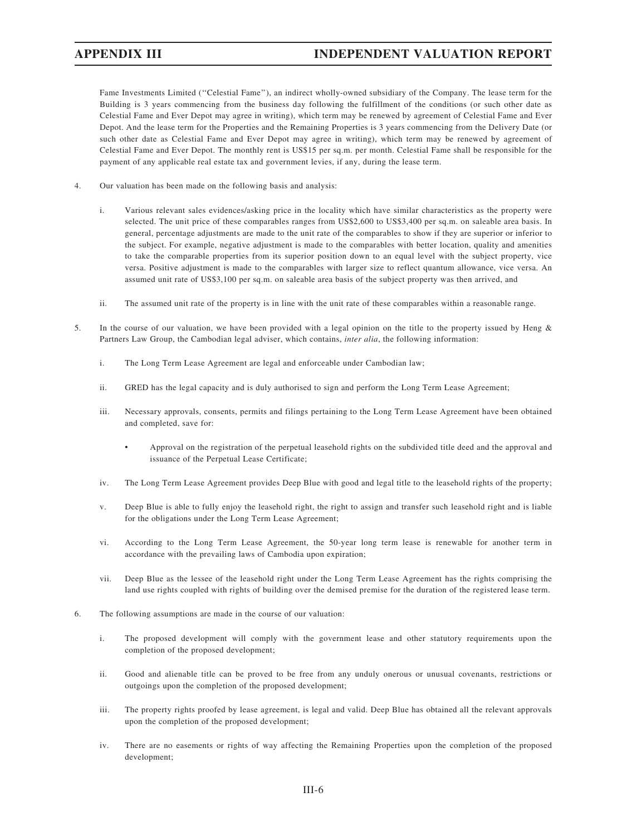Fame Investments Limited (''Celestial Fame''), an indirect wholly-owned subsidiary of the Company. The lease term for the Building is 3 years commencing from the business day following the fulfillment of the conditions (or such other date as Celestial Fame and Ever Depot may agree in writing), which term may be renewed by agreement of Celestial Fame and Ever Depot. And the lease term for the Properties and the Remaining Properties is 3 years commencing from the Delivery Date (or such other date as Celestial Fame and Ever Depot may agree in writing), which term may be renewed by agreement of Celestial Fame and Ever Depot. The monthly rent is US\$15 per sq.m. per month. Celestial Fame shall be responsible for the payment of any applicable real estate tax and government levies, if any, during the lease term.

- 4. Our valuation has been made on the following basis and analysis:
	- i. Various relevant sales evidences/asking price in the locality which have similar characteristics as the property were selected. The unit price of these comparables ranges from US\$2,600 to US\$3,400 per sq.m. on saleable area basis. In general, percentage adjustments are made to the unit rate of the comparables to show if they are superior or inferior to the subject. For example, negative adjustment is made to the comparables with better location, quality and amenities to take the comparable properties from its superior position down to an equal level with the subject property, vice versa. Positive adjustment is made to the comparables with larger size to reflect quantum allowance, vice versa. An assumed unit rate of US\$3,100 per sq.m. on saleable area basis of the subject property was then arrived, and
	- ii. The assumed unit rate of the property is in line with the unit rate of these comparables within a reasonable range.
- 5. In the course of our valuation, we have been provided with a legal opinion on the title to the property issued by Heng & Partners Law Group, the Cambodian legal adviser, which contains, *inter alia*, the following information:
	- i. The Long Term Lease Agreement are legal and enforceable under Cambodian law;
	- ii. GRED has the legal capacity and is duly authorised to sign and perform the Long Term Lease Agreement;
	- iii. Necessary approvals, consents, permits and filings pertaining to the Long Term Lease Agreement have been obtained and completed, save for:
		- Approval on the registration of the perpetual leasehold rights on the subdivided title deed and the approval and issuance of the Perpetual Lease Certificate;
	- iv. The Long Term Lease Agreement provides Deep Blue with good and legal title to the leasehold rights of the property;
	- v. Deep Blue is able to fully enjoy the leasehold right, the right to assign and transfer such leasehold right and is liable for the obligations under the Long Term Lease Agreement;
	- vi. According to the Long Term Lease Agreement, the 50-year long term lease is renewable for another term in accordance with the prevailing laws of Cambodia upon expiration;
	- vii. Deep Blue as the lessee of the leasehold right under the Long Term Lease Agreement has the rights comprising the land use rights coupled with rights of building over the demised premise for the duration of the registered lease term.
- 6. The following assumptions are made in the course of our valuation:
	- i. The proposed development will comply with the government lease and other statutory requirements upon the completion of the proposed development;
	- ii. Good and alienable title can be proved to be free from any unduly onerous or unusual covenants, restrictions or outgoings upon the completion of the proposed development;
	- iii. The property rights proofed by lease agreement, is legal and valid. Deep Blue has obtained all the relevant approvals upon the completion of the proposed development;
	- iv. There are no easements or rights of way affecting the Remaining Properties upon the completion of the proposed development;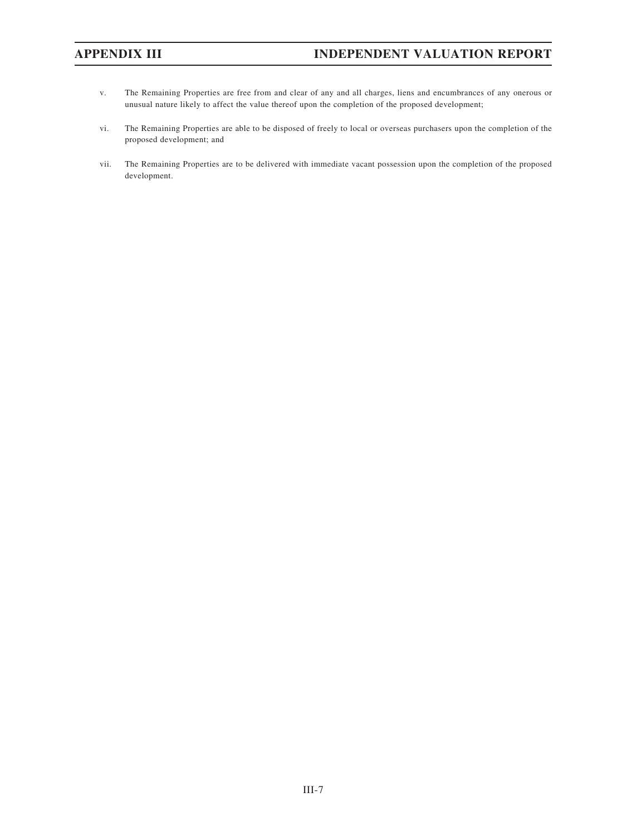- v. The Remaining Properties are free from and clear of any and all charges, liens and encumbrances of any onerous or unusual nature likely to affect the value thereof upon the completion of the proposed development;
- vi. The Remaining Properties are able to be disposed of freely to local or overseas purchasers upon the completion of the proposed development; and
- vii. The Remaining Properties are to be delivered with immediate vacant possession upon the completion of the proposed development.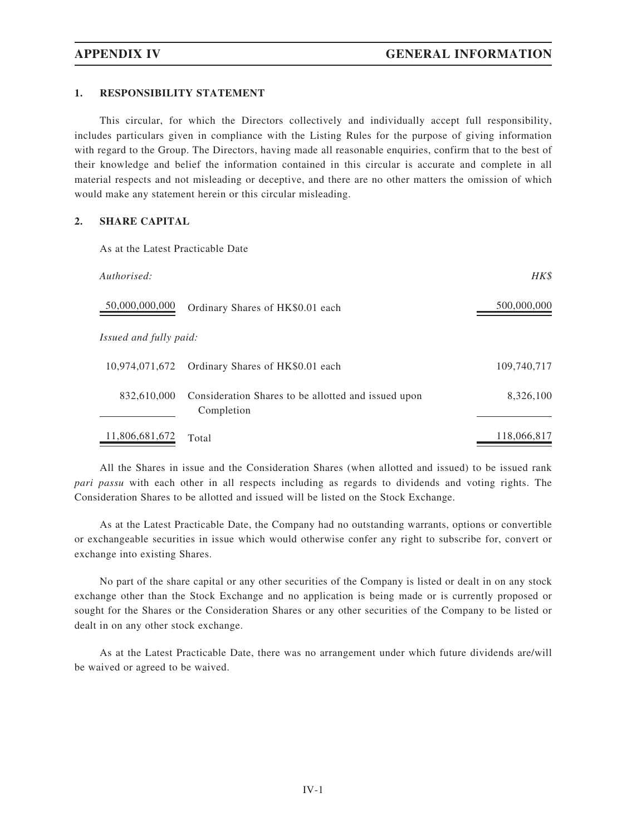### 1. RESPONSIBILITY STATEMENT

This circular, for which the Directors collectively and individually accept full responsibility, includes particulars given in compliance with the Listing Rules for the purpose of giving information with regard to the Group. The Directors, having made all reasonable enquiries, confirm that to the best of their knowledge and belief the information contained in this circular is accurate and complete in all material respects and not misleading or deceptive, and there are no other matters the omission of which would make any statement herein or this circular misleading.

# 2. SHARE CAPITAL

As at the Latest Practicable Date

| Authorised:            |                                                                   | HK\$        |
|------------------------|-------------------------------------------------------------------|-------------|
| 50,000,000,000         | Ordinary Shares of HK\$0.01 each                                  | 500,000,000 |
| Issued and fully paid: |                                                                   |             |
| 10,974,071,672         | Ordinary Shares of HK\$0.01 each                                  | 109,740,717 |
| 832,610,000            | Consideration Shares to be allotted and issued upon<br>Completion | 8,326,100   |
| 11,806,681,672         | Total                                                             | 118,066,817 |

All the Shares in issue and the Consideration Shares (when allotted and issued) to be issued rank pari passu with each other in all respects including as regards to dividends and voting rights. The Consideration Shares to be allotted and issued will be listed on the Stock Exchange.

As at the Latest Practicable Date, the Company had no outstanding warrants, options or convertible or exchangeable securities in issue which would otherwise confer any right to subscribe for, convert or exchange into existing Shares.

No part of the share capital or any other securities of the Company is listed or dealt in on any stock exchange other than the Stock Exchange and no application is being made or is currently proposed or sought for the Shares or the Consideration Shares or any other securities of the Company to be listed or dealt in on any other stock exchange.

As at the Latest Practicable Date, there was no arrangement under which future dividends are/will be waived or agreed to be waived.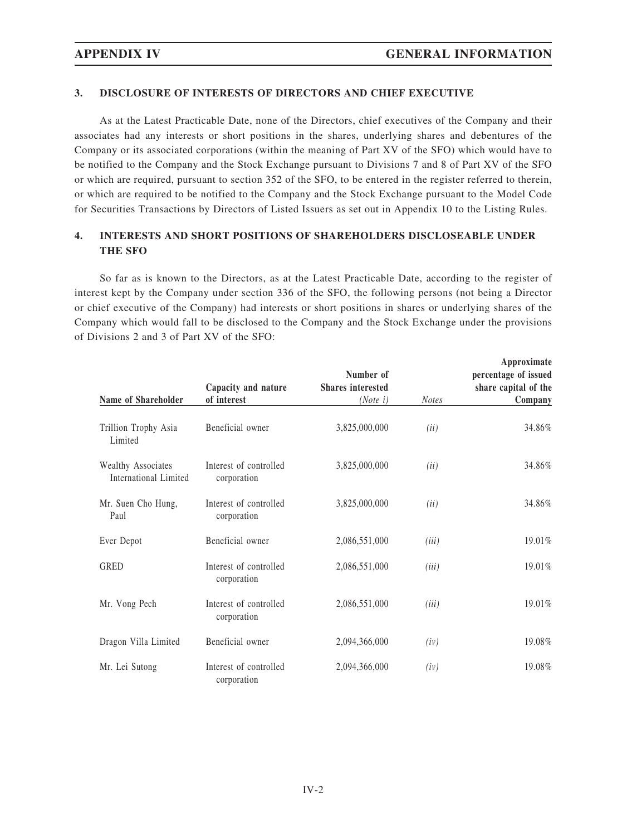### 3. DISCLOSURE OF INTERESTS OF DIRECTORS AND CHIEF EXECUTIVE

As at the Latest Practicable Date, none of the Directors, chief executives of the Company and their associates had any interests or short positions in the shares, underlying shares and debentures of the Company or its associated corporations (within the meaning of Part XV of the SFO) which would have to be notified to the Company and the Stock Exchange pursuant to Divisions 7 and 8 of Part XV of the SFO or which are required, pursuant to section 352 of the SFO, to be entered in the register referred to therein, or which are required to be notified to the Company and the Stock Exchange pursuant to the Model Code for Securities Transactions by Directors of Listed Issuers as set out in Appendix 10 to the Listing Rules.

## 4. INTERESTS AND SHORT POSITIONS OF SHAREHOLDERS DISCLOSEABLE UNDER THE SFO

So far as is known to the Directors, as at the Latest Practicable Date, according to the register of interest kept by the Company under section 336 of the SFO, the following persons (not being a Director or chief executive of the Company) had interests or short positions in shares or underlying shares of the Company which would fall to be disclosed to the Company and the Stock Exchange under the provisions of Divisions 2 and 3 of Part XV of the SFO:

| Name of Shareholder                         | Capacity and nature<br>of interest    | Number of<br><b>Shares</b> interested<br>$(Note\ i)$ | <b>Notes</b> | Approximate<br>percentage of issued<br>share capital of the<br>Company |
|---------------------------------------------|---------------------------------------|------------------------------------------------------|--------------|------------------------------------------------------------------------|
|                                             |                                       |                                                      |              |                                                                        |
| Trillion Trophy Asia<br>Limited             | Beneficial owner                      | 3,825,000,000                                        | (ii)         | 34.86%                                                                 |
| Wealthy Associates<br>International Limited | Interest of controlled<br>corporation | 3,825,000,000                                        | (ii)         | 34.86%                                                                 |
| Mr. Suen Cho Hung,<br>Paul                  | Interest of controlled<br>corporation | 3,825,000,000                                        | (ii)         | 34.86%                                                                 |
| Ever Depot                                  | Beneficial owner                      | 2,086,551,000                                        | (iii)        | 19.01%                                                                 |
| <b>GRED</b>                                 | Interest of controlled<br>corporation | 2,086,551,000                                        | (iii)        | 19.01%                                                                 |
| Mr. Vong Pech                               | Interest of controlled<br>corporation | 2,086,551,000                                        | (iii)        | 19.01%                                                                 |
| Dragon Villa Limited                        | Beneficial owner                      | 2,094,366,000                                        | (iv)         | 19.08%                                                                 |
| Mr. Lei Sutong                              | Interest of controlled<br>corporation | 2,094,366,000                                        | (iv)         | 19.08%                                                                 |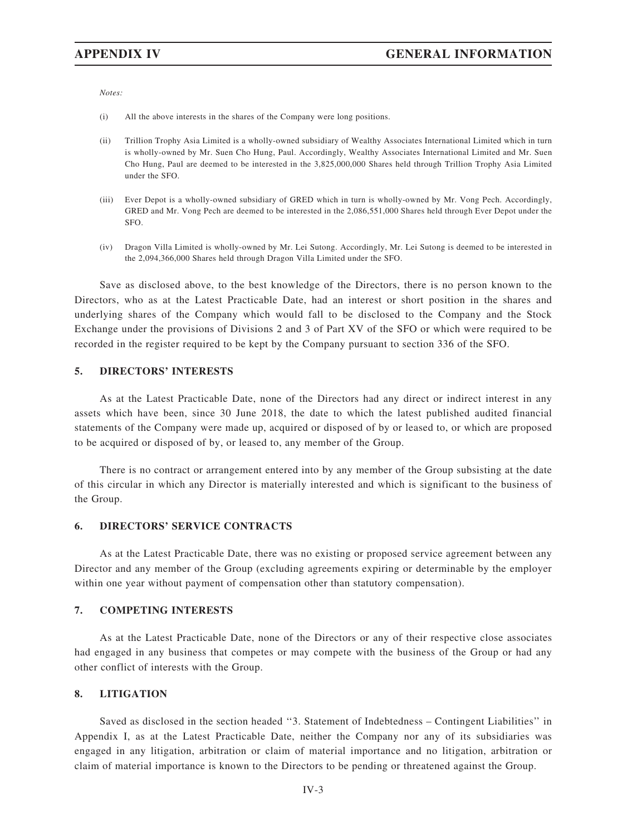Notes:

- (i) All the above interests in the shares of the Company were long positions.
- (ii) Trillion Trophy Asia Limited is a wholly-owned subsidiary of Wealthy Associates International Limited which in turn is wholly-owned by Mr. Suen Cho Hung, Paul. Accordingly, Wealthy Associates International Limited and Mr. Suen Cho Hung, Paul are deemed to be interested in the 3,825,000,000 Shares held through Trillion Trophy Asia Limited under the SFO.
- (iii) Ever Depot is a wholly-owned subsidiary of GRED which in turn is wholly-owned by Mr. Vong Pech. Accordingly, GRED and Mr. Vong Pech are deemed to be interested in the 2,086,551,000 Shares held through Ever Depot under the SFO.
- (iv) Dragon Villa Limited is wholly-owned by Mr. Lei Sutong. Accordingly, Mr. Lei Sutong is deemed to be interested in the 2,094,366,000 Shares held through Dragon Villa Limited under the SFO.

Save as disclosed above, to the best knowledge of the Directors, there is no person known to the Directors, who as at the Latest Practicable Date, had an interest or short position in the shares and underlying shares of the Company which would fall to be disclosed to the Company and the Stock Exchange under the provisions of Divisions 2 and 3 of Part XV of the SFO or which were required to be recorded in the register required to be kept by the Company pursuant to section 336 of the SFO.

### 5. DIRECTORS' INTERESTS

As at the Latest Practicable Date, none of the Directors had any direct or indirect interest in any assets which have been, since 30 June 2018, the date to which the latest published audited financial statements of the Company were made up, acquired or disposed of by or leased to, or which are proposed to be acquired or disposed of by, or leased to, any member of the Group.

There is no contract or arrangement entered into by any member of the Group subsisting at the date of this circular in which any Director is materially interested and which is significant to the business of the Group.

#### 6. DIRECTORS' SERVICE CONTRACTS

As at the Latest Practicable Date, there was no existing or proposed service agreement between any Director and any member of the Group (excluding agreements expiring or determinable by the employer within one year without payment of compensation other than statutory compensation).

#### 7. COMPETING INTERESTS

As at the Latest Practicable Date, none of the Directors or any of their respective close associates had engaged in any business that competes or may compete with the business of the Group or had any other conflict of interests with the Group.

#### 8. LITIGATION

Saved as disclosed in the section headed ''3. Statement of Indebtedness – Contingent Liabilities'' in Appendix I, as at the Latest Practicable Date, neither the Company nor any of its subsidiaries was engaged in any litigation, arbitration or claim of material importance and no litigation, arbitration or claim of material importance is known to the Directors to be pending or threatened against the Group.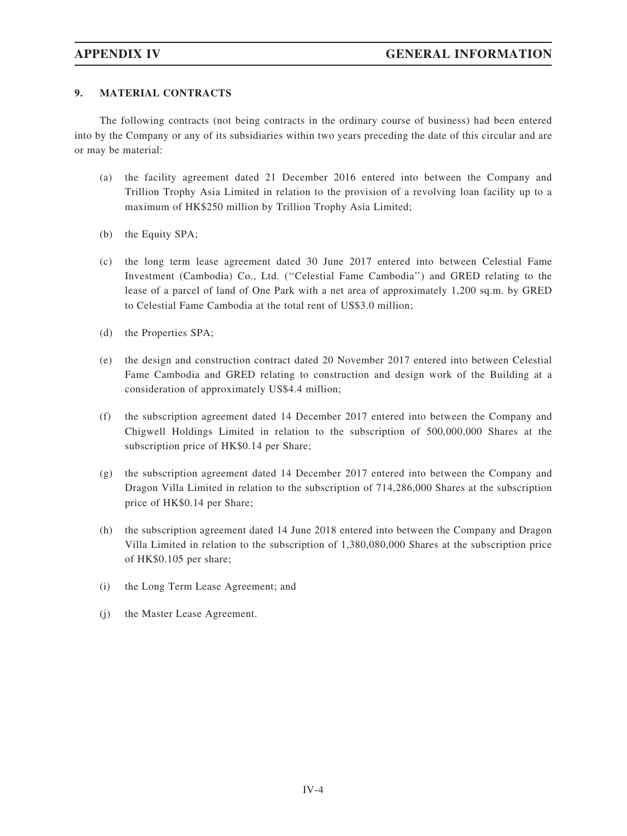### 9. MATERIAL CONTRACTS

The following contracts (not being contracts in the ordinary course of business) had been entered into by the Company or any of its subsidiaries within two years preceding the date of this circular and are or may be material:

- (a) the facility agreement dated 21 December 2016 entered into between the Company and Trillion Trophy Asia Limited in relation to the provision of a revolving loan facility up to a maximum of HK\$250 million by Trillion Trophy Asia Limited;
- (b) the Equity SPA;
- (c) the long term lease agreement dated 30 June 2017 entered into between Celestial Fame Investment (Cambodia) Co., Ltd. (''Celestial Fame Cambodia'') and GRED relating to the lease of a parcel of land of One Park with a net area of approximately 1,200 sq.m. by GRED to Celestial Fame Cambodia at the total rent of US\$3.0 million;
- (d) the Properties SPA;
- (e) the design and construction contract dated 20 November 2017 entered into between Celestial Fame Cambodia and GRED relating to construction and design work of the Building at a consideration of approximately US\$4.4 million;
- (f) the subscription agreement dated 14 December 2017 entered into between the Company and Chigwell Holdings Limited in relation to the subscription of 500,000,000 Shares at the subscription price of HK\$0.14 per Share;
- (g) the subscription agreement dated 14 December 2017 entered into between the Company and Dragon Villa Limited in relation to the subscription of 714,286,000 Shares at the subscription price of HK\$0.14 per Share;
- (h) the subscription agreement dated 14 June 2018 entered into between the Company and Dragon Villa Limited in relation to the subscription of 1,380,080,000 Shares at the subscription price of HK\$0.105 per share;
- (i) the Long Term Lease Agreement; and
- (j) the Master Lease Agreement.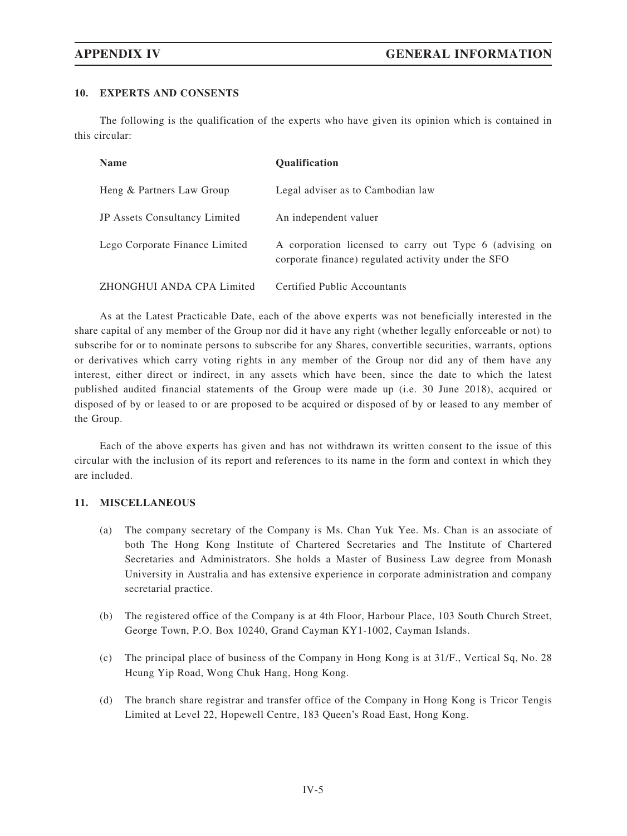#### 10. EXPERTS AND CONSENTS

The following is the qualification of the experts who have given its opinion which is contained in this circular:

| <b>Name</b>                          | <b>Oualification</b>                                                                                           |
|--------------------------------------|----------------------------------------------------------------------------------------------------------------|
| Heng & Partners Law Group            | Legal adviser as to Cambodian law                                                                              |
| <b>JP</b> Assets Consultancy Limited | An independent valuer                                                                                          |
| Lego Corporate Finance Limited       | A corporation licensed to carry out Type 6 (advising on<br>corporate finance) regulated activity under the SFO |
| ZHONGHUI ANDA CPA Limited            | Certified Public Accountants                                                                                   |

As at the Latest Practicable Date, each of the above experts was not beneficially interested in the share capital of any member of the Group nor did it have any right (whether legally enforceable or not) to subscribe for or to nominate persons to subscribe for any Shares, convertible securities, warrants, options or derivatives which carry voting rights in any member of the Group nor did any of them have any interest, either direct or indirect, in any assets which have been, since the date to which the latest published audited financial statements of the Group were made up (i.e. 30 June 2018), acquired or disposed of by or leased to or are proposed to be acquired or disposed of by or leased to any member of the Group.

Each of the above experts has given and has not withdrawn its written consent to the issue of this circular with the inclusion of its report and references to its name in the form and context in which they are included.

#### 11. MISCELLANEOUS

- (a) The company secretary of the Company is Ms. Chan Yuk Yee. Ms. Chan is an associate of both The Hong Kong Institute of Chartered Secretaries and The Institute of Chartered Secretaries and Administrators. She holds a Master of Business Law degree from Monash University in Australia and has extensive experience in corporate administration and company secretarial practice.
- (b) The registered office of the Company is at 4th Floor, Harbour Place, 103 South Church Street, George Town, P.O. Box 10240, Grand Cayman KY1-1002, Cayman Islands.
- (c) The principal place of business of the Company in Hong Kong is at 31/F., Vertical Sq, No. 28 Heung Yip Road, Wong Chuk Hang, Hong Kong.
- (d) The branch share registrar and transfer office of the Company in Hong Kong is Tricor Tengis Limited at Level 22, Hopewell Centre, 183 Queen's Road East, Hong Kong.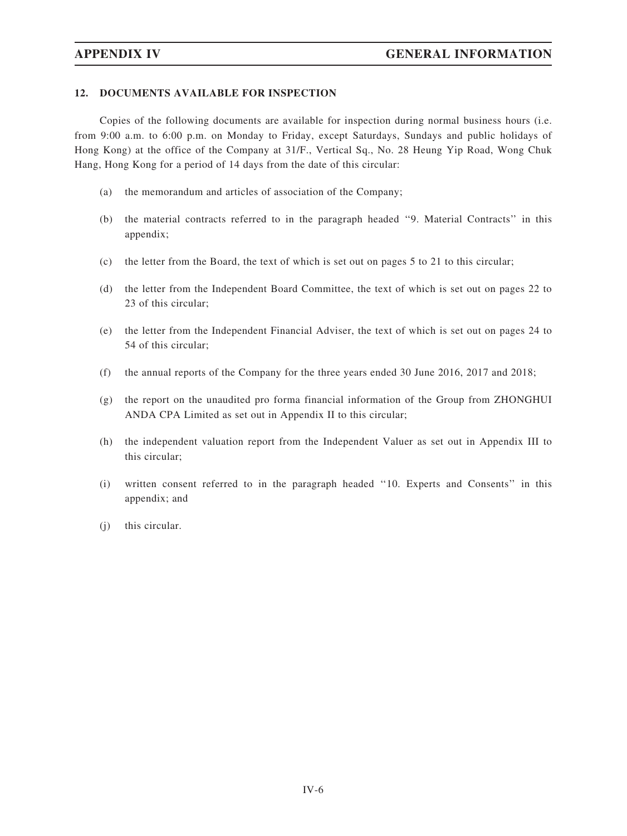### 12. DOCUMENTS AVAILABLE FOR INSPECTION

Copies of the following documents are available for inspection during normal business hours (i.e. from 9:00 a.m. to 6:00 p.m. on Monday to Friday, except Saturdays, Sundays and public holidays of Hong Kong) at the office of the Company at 31/F., Vertical Sq., No. 28 Heung Yip Road, Wong Chuk Hang, Hong Kong for a period of 14 days from the date of this circular:

- (a) the memorandum and articles of association of the Company;
- (b) the material contracts referred to in the paragraph headed ''9. Material Contracts'' in this appendix;
- (c) the letter from the Board, the text of which is set out on pages 5 to 21 to this circular;
- (d) the letter from the Independent Board Committee, the text of which is set out on pages 22 to 23 of this circular;
- (e) the letter from the Independent Financial Adviser, the text of which is set out on pages 24 to 54 of this circular;
- (f) the annual reports of the Company for the three years ended 30 June 2016, 2017 and 2018;
- (g) the report on the unaudited pro forma financial information of the Group from ZHONGHUI ANDA CPA Limited as set out in Appendix II to this circular;
- (h) the independent valuation report from the Independent Valuer as set out in Appendix III to this circular;
- (i) written consent referred to in the paragraph headed ''10. Experts and Consents'' in this appendix; and
- (j) this circular.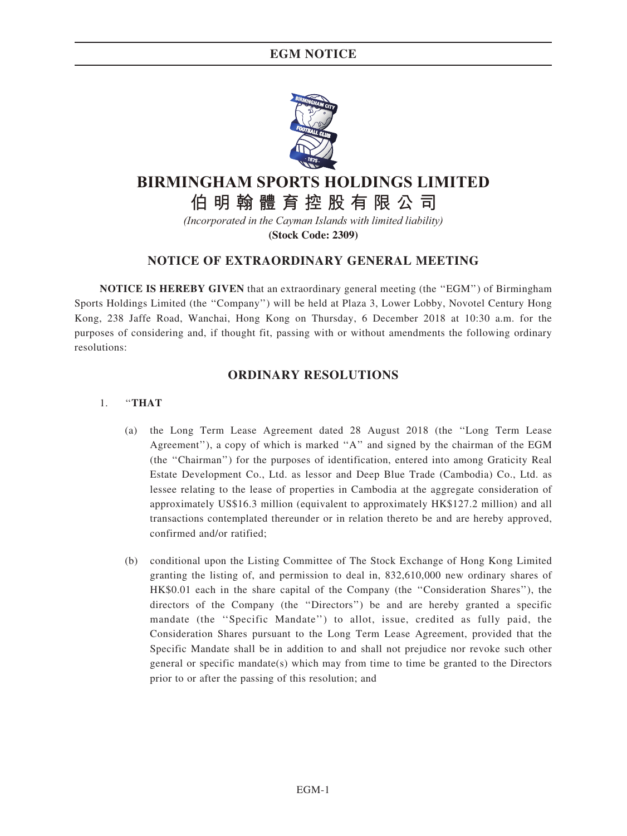# EGM NOTICE



# **AIR的健**宫协职右阳八司

**伯明翰體育控股有限公司**

*(Incorporated in the Cayman Islands with limited liability)*

**(Stock Code: 2309)**

# NOTICE OF EXTRAORDINARY GENERAL MEETING

NOTICE IS HEREBY GIVEN that an extraordinary general meeting (the "EGM") of Birmingham Sports Holdings Limited (the ''Company'') will be held at Plaza 3, Lower Lobby, Novotel Century Hong Kong, 238 Jaffe Road, Wanchai, Hong Kong on Thursday, 6 December 2018 at 10:30 a.m. for the purposes of considering and, if thought fit, passing with or without amendments the following ordinary resolutions:

# ORDINARY RESOLUTIONS

### 1. ''THAT

- (a) the Long Term Lease Agreement dated 28 August 2018 (the ''Long Term Lease Agreement''), a copy of which is marked ''A'' and signed by the chairman of the EGM (the ''Chairman'') for the purposes of identification, entered into among Graticity Real Estate Development Co., Ltd. as lessor and Deep Blue Trade (Cambodia) Co., Ltd. as lessee relating to the lease of properties in Cambodia at the aggregate consideration of approximately US\$16.3 million (equivalent to approximately HK\$127.2 million) and all transactions contemplated thereunder or in relation thereto be and are hereby approved, confirmed and/or ratified;
- (b) conditional upon the Listing Committee of The Stock Exchange of Hong Kong Limited granting the listing of, and permission to deal in, 832,610,000 new ordinary shares of HK\$0.01 each in the share capital of the Company (the ''Consideration Shares''), the directors of the Company (the ''Directors'') be and are hereby granted a specific mandate (the "Specific Mandate") to allot, issue, credited as fully paid, the Consideration Shares pursuant to the Long Term Lease Agreement, provided that the Specific Mandate shall be in addition to and shall not prejudice nor revoke such other general or specific mandate(s) which may from time to time be granted to the Directors prior to or after the passing of this resolution; and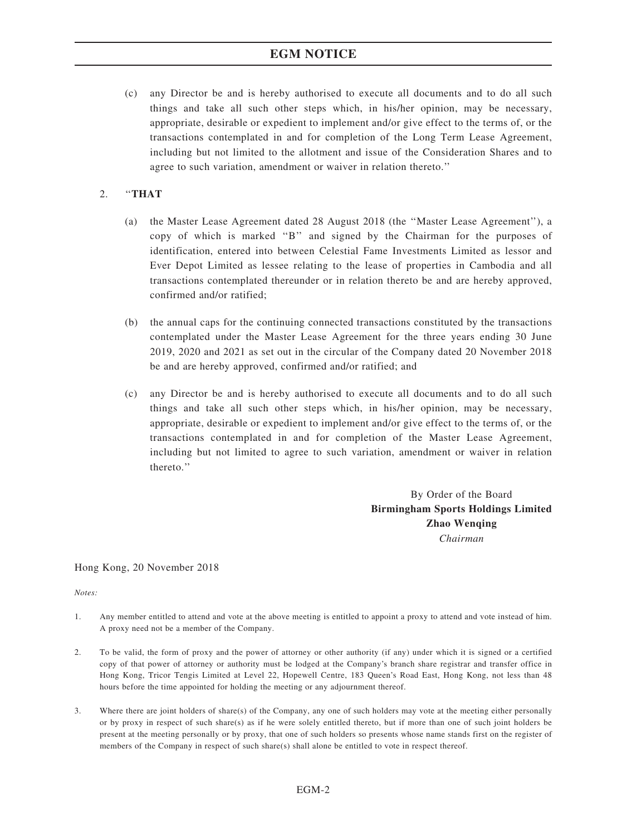# EGM NOTICE

(c) any Director be and is hereby authorised to execute all documents and to do all such things and take all such other steps which, in his/her opinion, may be necessary, appropriate, desirable or expedient to implement and/or give effect to the terms of, or the transactions contemplated in and for completion of the Long Term Lease Agreement, including but not limited to the allotment and issue of the Consideration Shares and to agree to such variation, amendment or waiver in relation thereto.''

### $2.$  "THAT

- (a) the Master Lease Agreement dated 28 August 2018 (the ''Master Lease Agreement''), a copy of which is marked ''B'' and signed by the Chairman for the purposes of identification, entered into between Celestial Fame Investments Limited as lessor and Ever Depot Limited as lessee relating to the lease of properties in Cambodia and all transactions contemplated thereunder or in relation thereto be and are hereby approved, confirmed and/or ratified;
- (b) the annual caps for the continuing connected transactions constituted by the transactions contemplated under the Master Lease Agreement for the three years ending 30 June 2019, 2020 and 2021 as set out in the circular of the Company dated 20 November 2018 be and are hereby approved, confirmed and/or ratified; and
- (c) any Director be and is hereby authorised to execute all documents and to do all such things and take all such other steps which, in his/her opinion, may be necessary, appropriate, desirable or expedient to implement and/or give effect to the terms of, or the transactions contemplated in and for completion of the Master Lease Agreement, including but not limited to agree to such variation, amendment or waiver in relation thereto.''

By Order of the Board Birmingham Sports Holdings Limited Zhao Wenging Chairman

Hong Kong, 20 November 2018

Notes:

- 1. Any member entitled to attend and vote at the above meeting is entitled to appoint a proxy to attend and vote instead of him. A proxy need not be a member of the Company.
- 2. To be valid, the form of proxy and the power of attorney or other authority (if any) under which it is signed or a certified copy of that power of attorney or authority must be lodged at the Company's branch share registrar and transfer office in Hong Kong, Tricor Tengis Limited at Level 22, Hopewell Centre, 183 Queen's Road East, Hong Kong, not less than 48 hours before the time appointed for holding the meeting or any adjournment thereof.
- 3. Where there are joint holders of share(s) of the Company, any one of such holders may vote at the meeting either personally or by proxy in respect of such share(s) as if he were solely entitled thereto, but if more than one of such joint holders be present at the meeting personally or by proxy, that one of such holders so presents whose name stands first on the register of members of the Company in respect of such share(s) shall alone be entitled to vote in respect thereof.